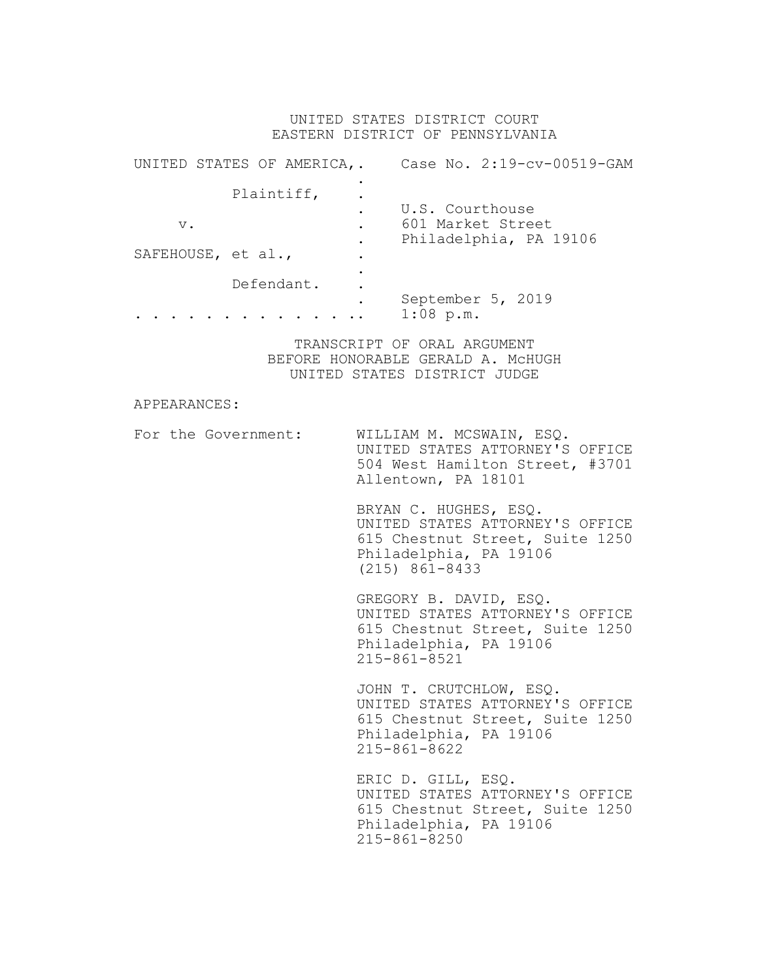## UNITED STATES DISTRICT COURT EASTERN DISTRICT OF PENNSYLVANIA

|                    | UNITED STATES OF AMERICA,. |                 | Case No. 2:19-cv-00519-GAM                  |
|--------------------|----------------------------|-----------------|---------------------------------------------|
|                    | Plaintiff,                 | U.S. Courthouse |                                             |
| $V$ .              |                            |                 | 601 Market Street<br>Philadelphia, PA 19106 |
| SAFEHOUSE, et al., |                            |                 |                                             |
|                    | Defendant.                 |                 | September 5, 2019                           |
|                    |                            | $1:08$ p.m.     |                                             |

TRANSCRIPT OF ORAL ARGUMENT BEFORE HONORABLE GERALD A. McHUGH UNITED STATES DISTRICT JUDGE

## APPEARANCES:

For the Government: WILLIAM M. MCSWAIN, ESQ. UNITED STATES ATTORNEY'S OFFICE 504 West Hamilton Street, #3701 Allentown, PA 18101

> BRYAN C. HUGHES, ESQ. UNITED STATES ATTORNEY'S OFFICE 615 Chestnut Street, Suite 1250 Philadelphia, PA 19106 (215) 861-8433

> GREGORY B. DAVID, ESQ. UNITED STATES ATTORNEY'S OFFICE 615 Chestnut Street, Suite 1250 Philadelphia, PA 19106 215-861-8521

> JOHN T. CRUTCHLOW, ESQ. UNITED STATES ATTORNEY'S OFFICE 615 Chestnut Street, Suite 1250 Philadelphia, PA 19106 215-861-8622

> ERIC D. GILL, ESQ. UNITED STATES ATTORNEY'S OFFICE 615 Chestnut Street, Suite 1250 Philadelphia, PA 19106 215-861-8250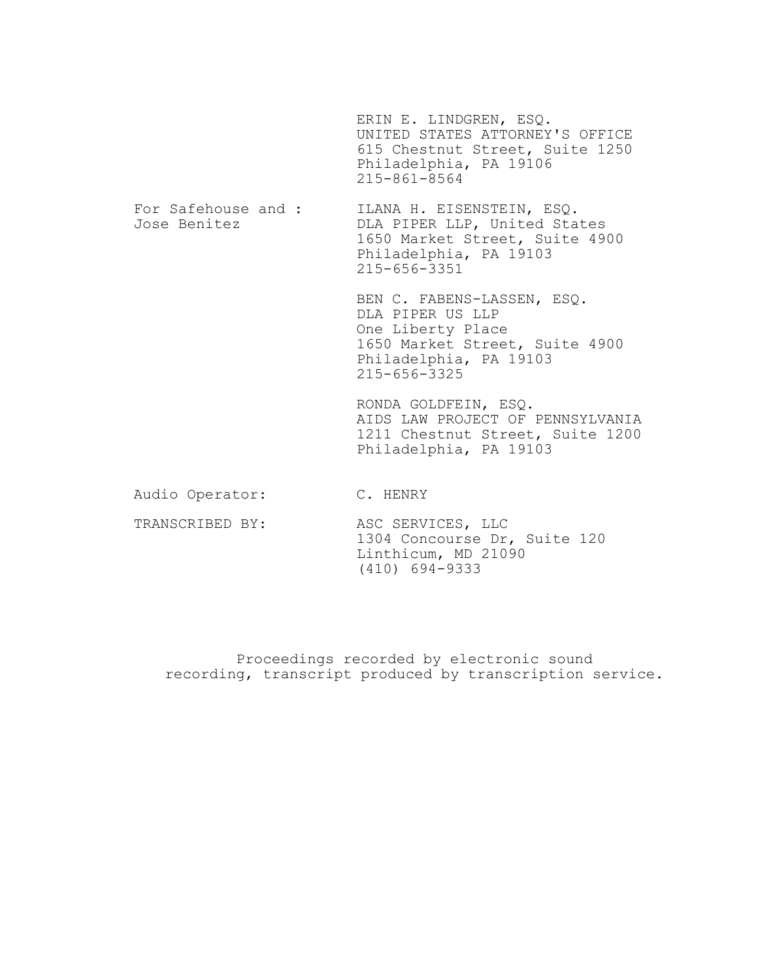|                                     | ERIN E. LINDGREN, ESQ.<br>UNITED STATES ATTORNEY'S OFFICE<br>615 Chestnut Street, Suite 1250<br>Philadelphia, PA 19106<br>$215 - 861 - 8564$          |
|-------------------------------------|-------------------------------------------------------------------------------------------------------------------------------------------------------|
| For Safehouse and :<br>Jose Benitez | ILANA H. EISENSTEIN, ESQ.<br>DLA PIPER LLP, United States<br>1650 Market Street, Suite 4900<br>Philadelphia, PA 19103<br>$215 - 656 - 3351$           |
|                                     | BEN C. FABENS-LASSEN, ESQ.<br>DLA PIPER US LLP<br>One Liberty Place<br>1650 Market Street, Suite 4900<br>Philadelphia, PA 19103<br>$215 - 656 - 3325$ |
|                                     | RONDA GOLDFEIN, ESQ.<br>AIDS LAW PROJECT OF PENNSYLVANIA<br>1211 Chestnut Street, Suite 1200<br>Philadelphia, PA 19103                                |
| Audio Operator:                     | C. HENRY                                                                                                                                              |
| TRANSCRIBED BY:                     | ASC SERVICES, LLC<br>1304 Concourse Dr, Suite 120<br>Linthicum, MD 21090                                                                              |

Proceedings recorded by electronic sound recording, transcript produced by transcription service.

(410) 694-9333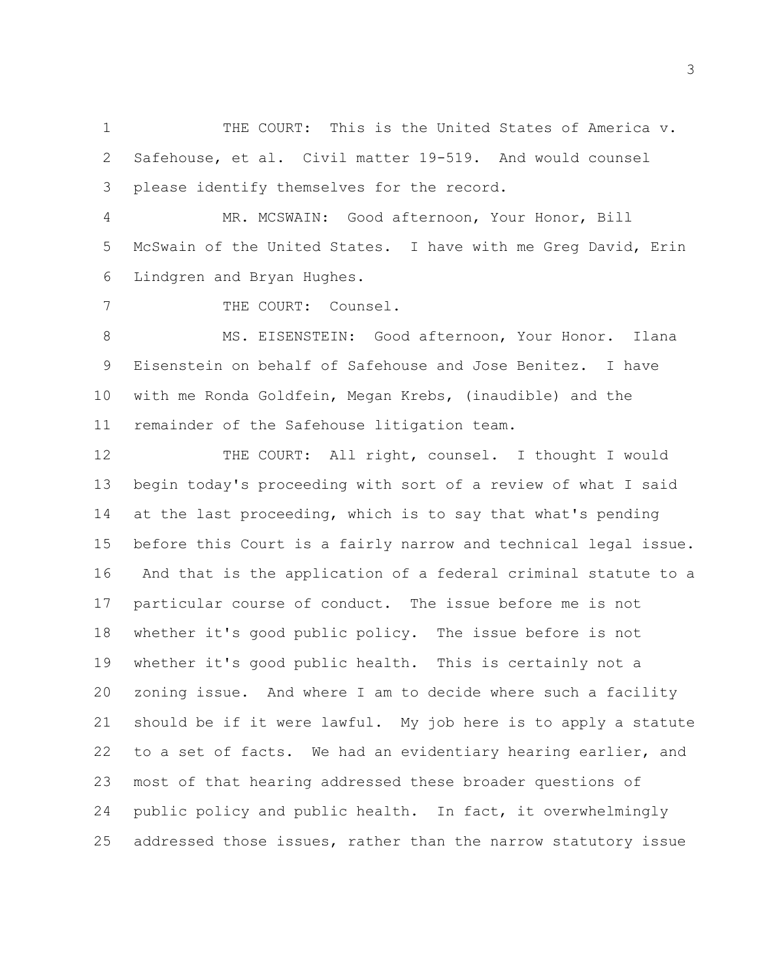THE COURT: This is the United States of America v. Safehouse, et al. Civil matter 19-519. And would counsel please identify themselves for the record.

 MR. MCSWAIN: Good afternoon, Your Honor, Bill McSwain of the United States. I have with me Greg David, Erin Lindgren and Bryan Hughes.

THE COURT: Counsel.

 MS. EISENSTEIN: Good afternoon, Your Honor. Ilana Eisenstein on behalf of Safehouse and Jose Benitez. I have with me Ronda Goldfein, Megan Krebs, (inaudible) and the remainder of the Safehouse litigation team.

12 THE COURT: All right, counsel. I thought I would begin today's proceeding with sort of a review of what I said at the last proceeding, which is to say that what's pending before this Court is a fairly narrow and technical legal issue. And that is the application of a federal criminal statute to a particular course of conduct. The issue before me is not whether it's good public policy. The issue before is not whether it's good public health. This is certainly not a zoning issue. And where I am to decide where such a facility should be if it were lawful. My job here is to apply a statute to a set of facts. We had an evidentiary hearing earlier, and most of that hearing addressed these broader questions of public policy and public health. In fact, it overwhelmingly addressed those issues, rather than the narrow statutory issue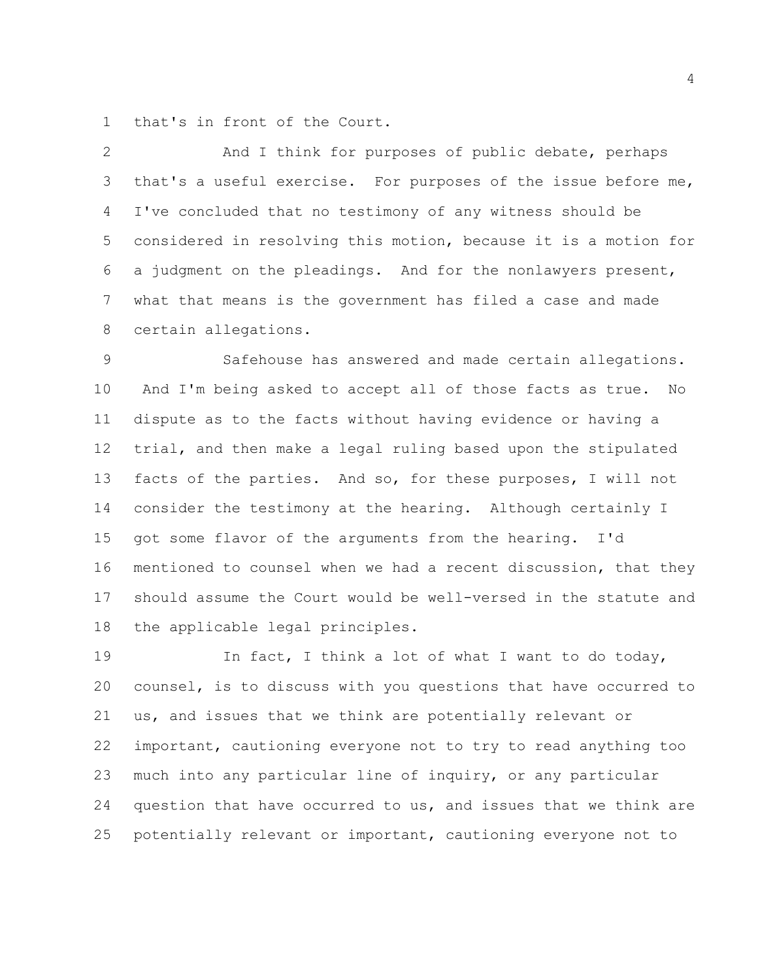that's in front of the Court.

 And I think for purposes of public debate, perhaps that's a useful exercise. For purposes of the issue before me, I've concluded that no testimony of any witness should be considered in resolving this motion, because it is a motion for a judgment on the pleadings. And for the nonlawyers present, what that means is the government has filed a case and made certain allegations.

 Safehouse has answered and made certain allegations. And I'm being asked to accept all of those facts as true. No dispute as to the facts without having evidence or having a trial, and then make a legal ruling based upon the stipulated facts of the parties. And so, for these purposes, I will not consider the testimony at the hearing. Although certainly I got some flavor of the arguments from the hearing. I'd mentioned to counsel when we had a recent discussion, that they should assume the Court would be well-versed in the statute and the applicable legal principles.

 In fact, I think a lot of what I want to do today, counsel, is to discuss with you questions that have occurred to us, and issues that we think are potentially relevant or important, cautioning everyone not to try to read anything too much into any particular line of inquiry, or any particular question that have occurred to us, and issues that we think are potentially relevant or important, cautioning everyone not to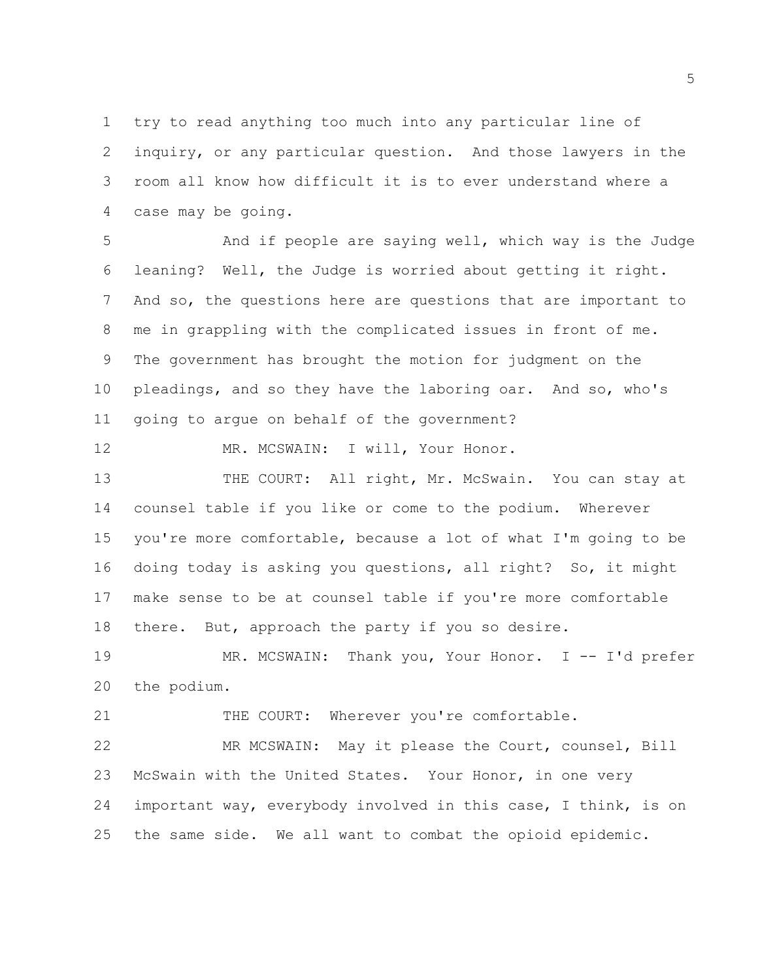try to read anything too much into any particular line of inquiry, or any particular question. And those lawyers in the room all know how difficult it is to ever understand where a case may be going.

 And if people are saying well, which way is the Judge leaning? Well, the Judge is worried about getting it right. And so, the questions here are questions that are important to me in grappling with the complicated issues in front of me. The government has brought the motion for judgment on the pleadings, and so they have the laboring oar. And so, who's going to argue on behalf of the government?

12 MR. MCSWAIN: I will, Your Honor.

13 THE COURT: All right, Mr. McSwain. You can stay at counsel table if you like or come to the podium. Wherever you're more comfortable, because a lot of what I'm going to be doing today is asking you questions, all right? So, it might make sense to be at counsel table if you're more comfortable 18 there. But, approach the party if you so desire.

 MR. MCSWAIN: Thank you, Your Honor. I -- I'd prefer the podium.

THE COURT: Wherever you're comfortable.

 MR MCSWAIN: May it please the Court, counsel, Bill McSwain with the United States. Your Honor, in one very important way, everybody involved in this case, I think, is on the same side. We all want to combat the opioid epidemic.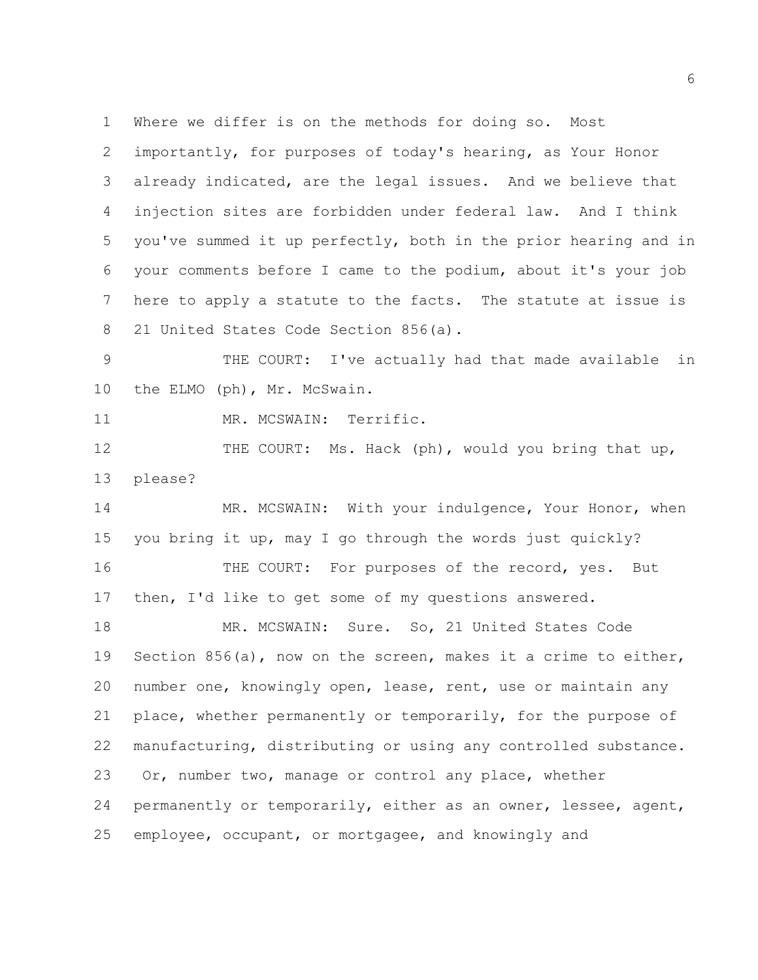Where we differ is on the methods for doing so. Most

 importantly, for purposes of today's hearing, as Your Honor already indicated, are the legal issues. And we believe that injection sites are forbidden under federal law. And I think you've summed it up perfectly, both in the prior hearing and in your comments before I came to the podium, about it's your job here to apply a statute to the facts. The statute at issue is 21 United States Code Section 856(a).

 THE COURT: I've actually had that made available in 10 the ELMO (ph), Mr. McSwain.

MR. MCSWAIN: Terrific.

12 THE COURT: Ms. Hack (ph), would you bring that up, please?

14 MR. MCSWAIN: With your indulgence, Your Honor, when you bring it up, may I go through the words just quickly? 16 THE COURT: For purposes of the record, yes. But then, I'd like to get some of my questions answered.

18 MR. MCSWAIN: Sure. So, 21 United States Code Section 856(a), now on the screen, makes it a crime to either, number one, knowingly open, lease, rent, use or maintain any place, whether permanently or temporarily, for the purpose of manufacturing, distributing or using any controlled substance. Or, number two, manage or control any place, whether permanently or temporarily, either as an owner, lessee, agent, employee, occupant, or mortgagee, and knowingly and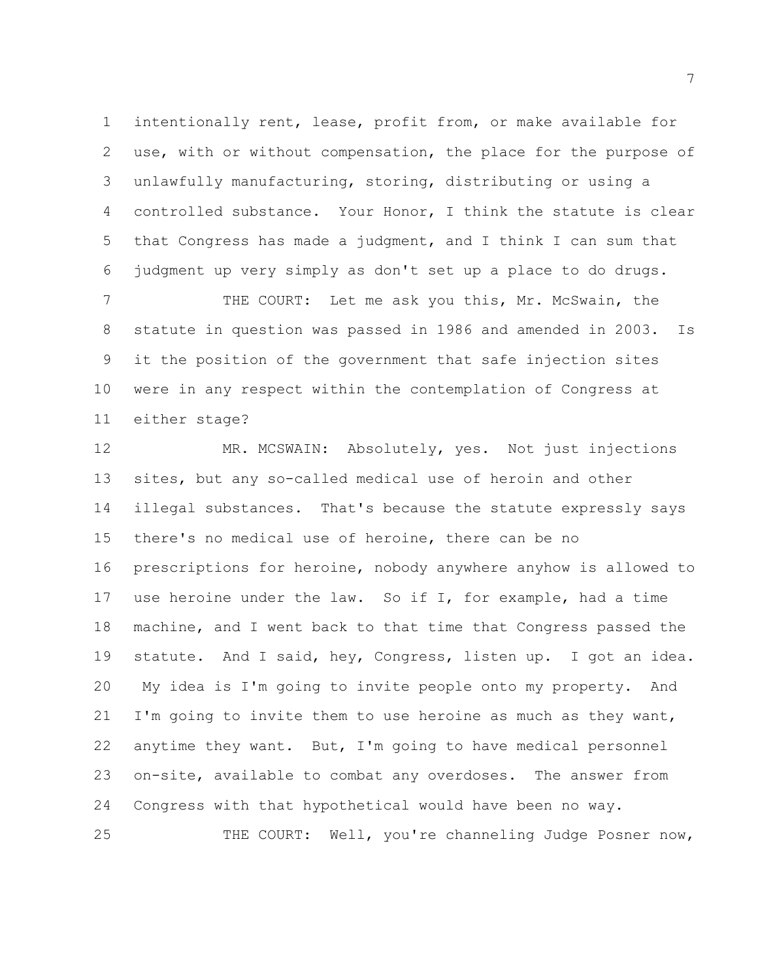intentionally rent, lease, profit from, or make available for use, with or without compensation, the place for the purpose of unlawfully manufacturing, storing, distributing or using a controlled substance. Your Honor, I think the statute is clear that Congress has made a judgment, and I think I can sum that judgment up very simply as don't set up a place to do drugs.

7 THE COURT: Let me ask you this, Mr. McSwain, the statute in question was passed in 1986 and amended in 2003. Is it the position of the government that safe injection sites were in any respect within the contemplation of Congress at either stage?

 MR. MCSWAIN: Absolutely, yes. Not just injections sites, but any so-called medical use of heroin and other illegal substances. That's because the statute expressly says there's no medical use of heroine, there can be no prescriptions for heroine, nobody anywhere anyhow is allowed to use heroine under the law. So if I, for example, had a time machine, and I went back to that time that Congress passed the statute. And I said, hey, Congress, listen up. I got an idea. My idea is I'm going to invite people onto my property. And I'm going to invite them to use heroine as much as they want, anytime they want. But, I'm going to have medical personnel on-site, available to combat any overdoses. The answer from Congress with that hypothetical would have been no way. THE COURT: Well, you're channeling Judge Posner now,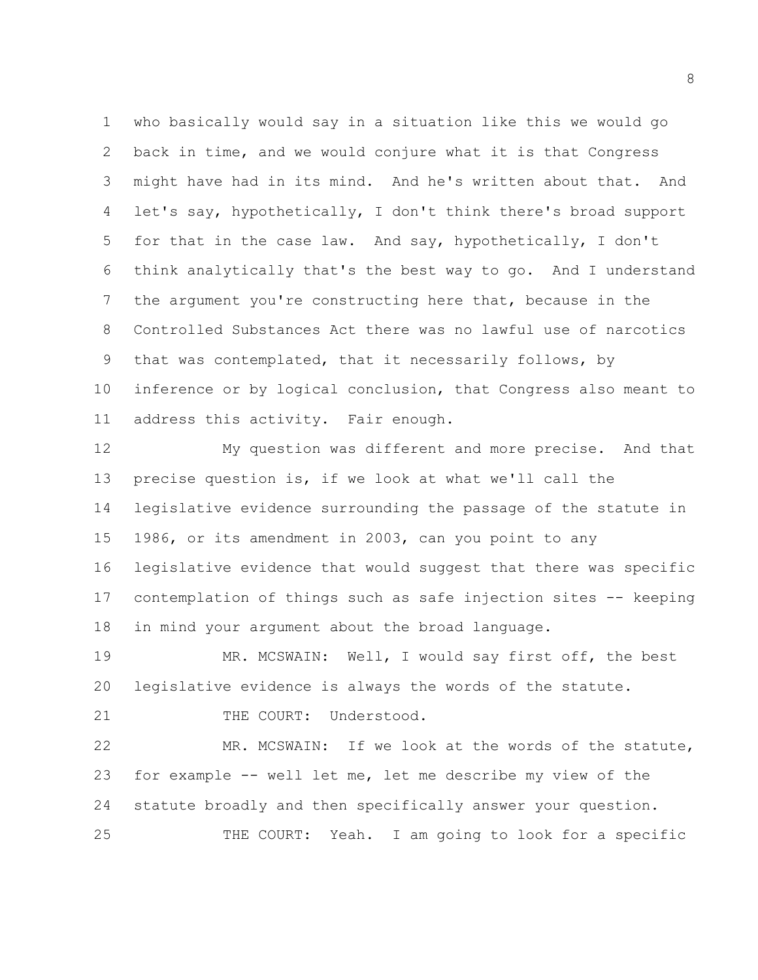who basically would say in a situation like this we would go back in time, and we would conjure what it is that Congress might have had in its mind. And he's written about that. And let's say, hypothetically, I don't think there's broad support for that in the case law. And say, hypothetically, I don't think analytically that's the best way to go. And I understand the argument you're constructing here that, because in the Controlled Substances Act there was no lawful use of narcotics that was contemplated, that it necessarily follows, by inference or by logical conclusion, that Congress also meant to address this activity. Fair enough.

 My question was different and more precise. And that precise question is, if we look at what we'll call the legislative evidence surrounding the passage of the statute in 1986, or its amendment in 2003, can you point to any legislative evidence that would suggest that there was specific contemplation of things such as safe injection sites -- keeping in mind your argument about the broad language.

 MR. MCSWAIN: Well, I would say first off, the best legislative evidence is always the words of the statute.

21 THE COURT: Understood.

 MR. MCSWAIN: If we look at the words of the statute, for example -- well let me, let me describe my view of the statute broadly and then specifically answer your question. THE COURT: Yeah. I am going to look for a specific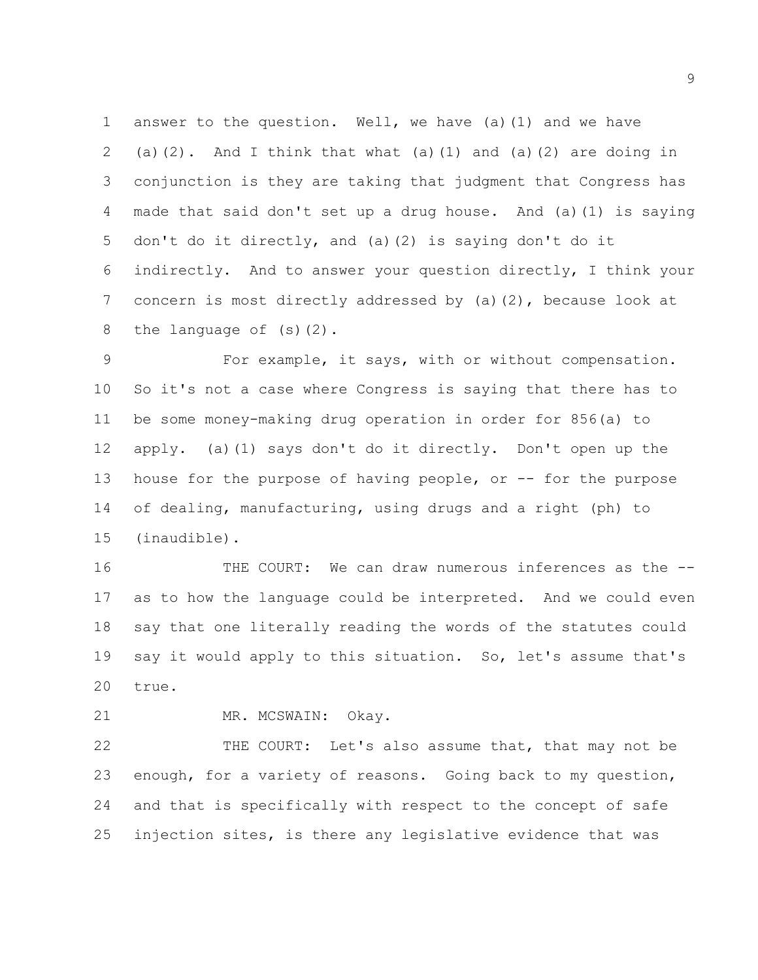answer to the question. Well, we have (a)(1) and we have 2 (a)(2). And I think that what (a)(1) and (a)(2) are doing in conjunction is they are taking that judgment that Congress has made that said don't set up a drug house. And (a)(1) is saying don't do it directly, and (a)(2) is saying don't do it indirectly. And to answer your question directly, I think your concern is most directly addressed by (a)(2), because look at the language of (s)(2).

 For example, it says, with or without compensation. So it's not a case where Congress is saying that there has to be some money-making drug operation in order for 856(a) to apply. (a)(1) says don't do it directly. Don't open up the 13 house for the purpose of having people, or -- for the purpose of dealing, manufacturing, using drugs and a right (ph) to (inaudible).

16 THE COURT: We can draw numerous inferences as the  $-$  as to how the language could be interpreted. And we could even say that one literally reading the words of the statutes could say it would apply to this situation. So, let's assume that's true.

MR. MCSWAIN: Okay.

 THE COURT: Let's also assume that, that may not be enough, for a variety of reasons. Going back to my question, and that is specifically with respect to the concept of safe injection sites, is there any legislative evidence that was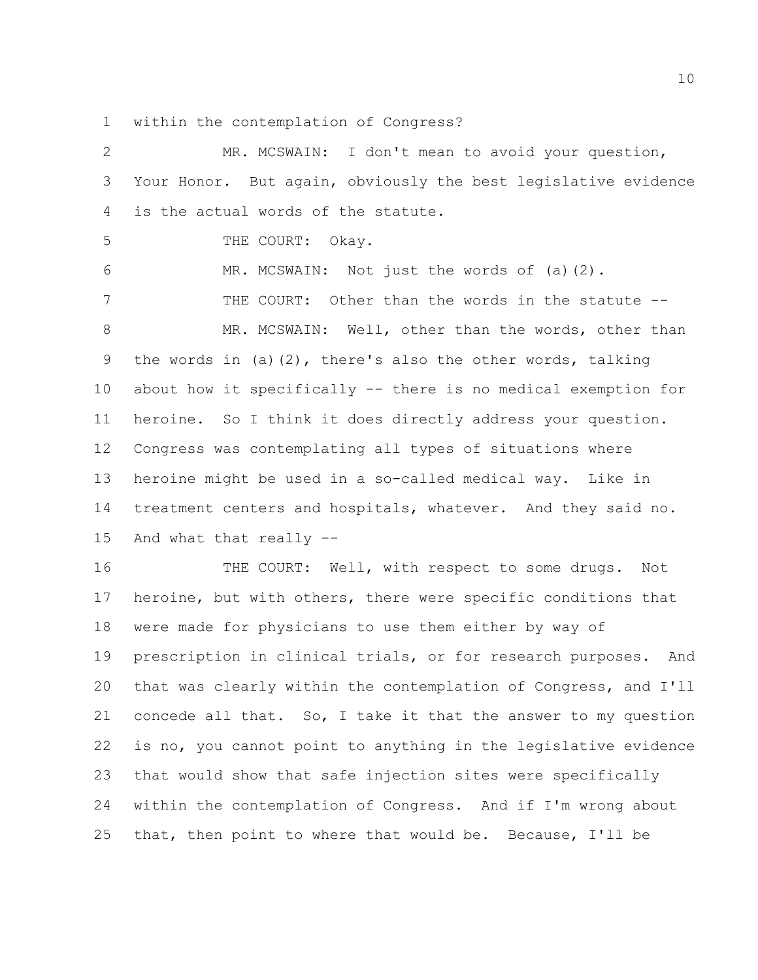within the contemplation of Congress?

| 2  | MR. MCSWAIN:<br>I don't mean to avoid your question,            |
|----|-----------------------------------------------------------------|
| 3  | Your Honor. But again, obviously the best legislative evidence  |
| 4  | is the actual words of the statute.                             |
| 5  | THE COURT:<br>Okay.                                             |
| 6  | MR. MCSWAIN: Not just the words of (a)(2).                      |
| 7  | THE COURT: Other than the words in the statute --               |
| 8  | MR. MCSWAIN: Well, other than the words, other than             |
| 9  | the words in (a)(2), there's also the other words, talking      |
| 10 | about how it specifically -- there is no medical exemption for  |
| 11 | heroine. So I think it does directly address your question.     |
| 12 | Congress was contemplating all types of situations where        |
| 13 | heroine might be used in a so-called medical way. Like in       |
| 14 | treatment centers and hospitals, whatever. And they said no.    |
| 15 | And what that really --                                         |
| 16 | THE COURT: Well, with respect to some drugs.<br>Not             |
| 17 | heroine, but with others, there were specific conditions that   |
| 18 | were made for physicians to use them either by way of           |
| 19 | prescription in clinical trials, or for research purposes. And  |
| 20 | that was clearly within the contemplation of Congress, and I'll |
| 21 | concede all that. So, I take it that the answer to my question  |
| 22 | is no, you cannot point to anything in the legislative evidence |
| 23 | that would show that safe injection sites were specifically     |
| 24 | within the contemplation of Congress. And if I'm wrong about    |
|    |                                                                 |

that, then point to where that would be. Because, I'll be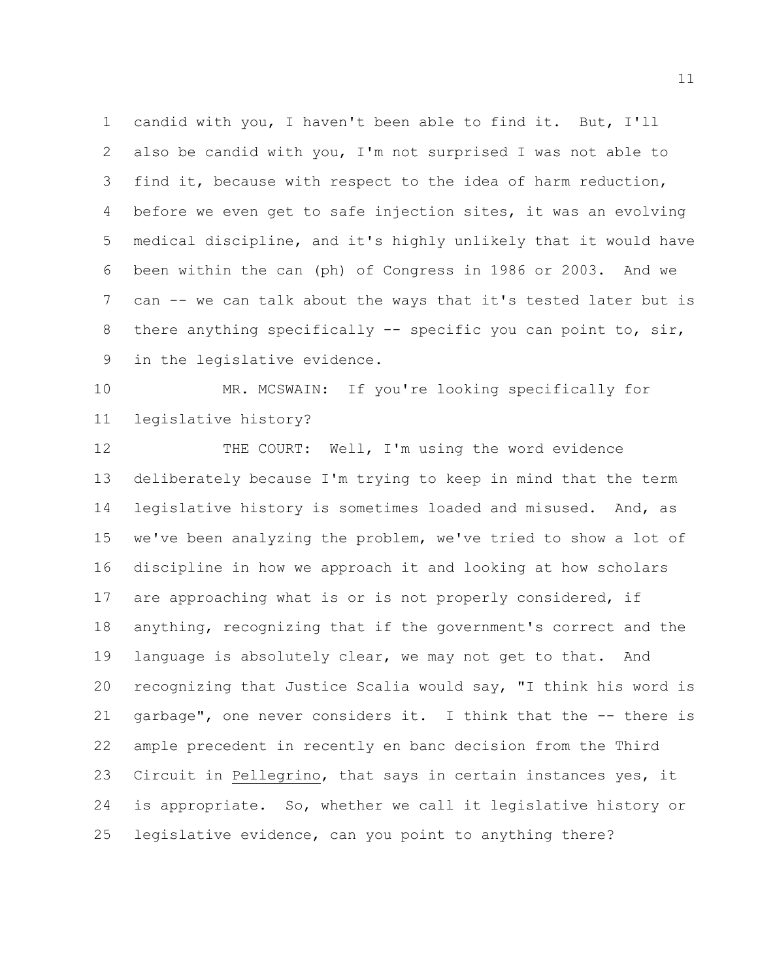candid with you, I haven't been able to find it. But, I'll also be candid with you, I'm not surprised I was not able to find it, because with respect to the idea of harm reduction, before we even get to safe injection sites, it was an evolving medical discipline, and it's highly unlikely that it would have been within the can (ph) of Congress in 1986 or 2003. And we can -- we can talk about the ways that it's tested later but is 8 there anything specifically -- specific you can point to, sir, in the legislative evidence.

 MR. MCSWAIN: If you're looking specifically for legislative history?

12 THE COURT: Well, I'm using the word evidence deliberately because I'm trying to keep in mind that the term legislative history is sometimes loaded and misused. And, as we've been analyzing the problem, we've tried to show a lot of discipline in how we approach it and looking at how scholars are approaching what is or is not properly considered, if anything, recognizing that if the government's correct and the language is absolutely clear, we may not get to that. And recognizing that Justice Scalia would say, "I think his word is garbage", one never considers it. I think that the -- there is ample precedent in recently en banc decision from the Third Circuit in Pellegrino, that says in certain instances yes, it is appropriate. So, whether we call it legislative history or legislative evidence, can you point to anything there?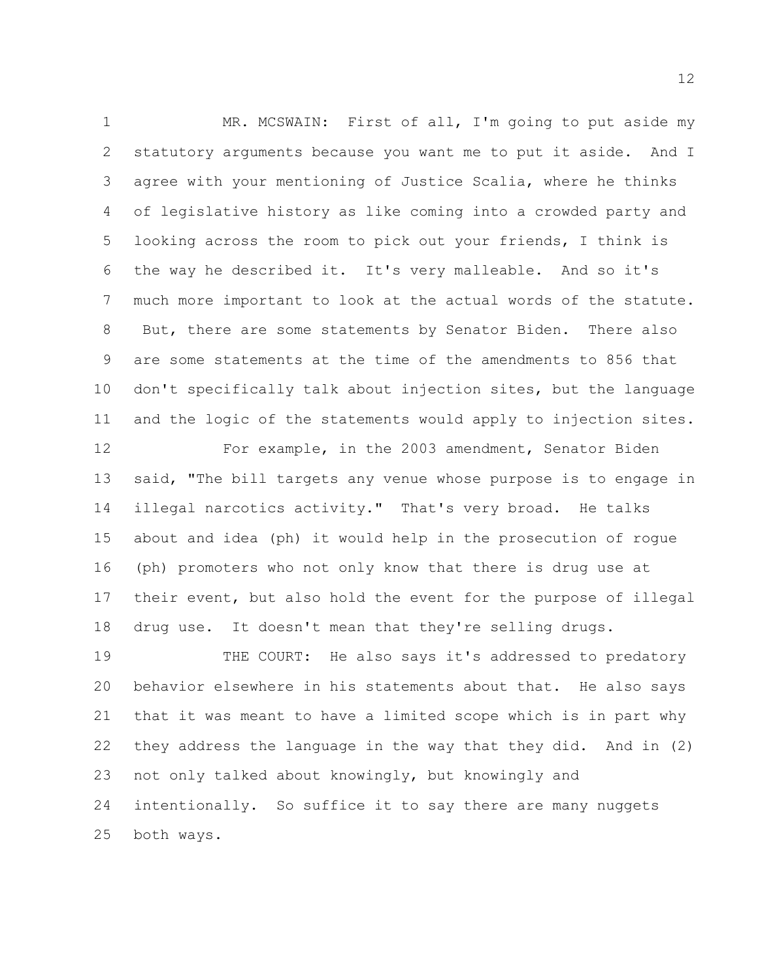1 MR. MCSWAIN: First of all, I'm going to put aside my statutory arguments because you want me to put it aside. And I agree with your mentioning of Justice Scalia, where he thinks of legislative history as like coming into a crowded party and looking across the room to pick out your friends, I think is the way he described it. It's very malleable. And so it's much more important to look at the actual words of the statute. But, there are some statements by Senator Biden. There also are some statements at the time of the amendments to 856 that don't specifically talk about injection sites, but the language and the logic of the statements would apply to injection sites.

 For example, in the 2003 amendment, Senator Biden said, "The bill targets any venue whose purpose is to engage in illegal narcotics activity." That's very broad. He talks about and idea (ph) it would help in the prosecution of rogue (ph) promoters who not only know that there is drug use at their event, but also hold the event for the purpose of illegal drug use. It doesn't mean that they're selling drugs.

 THE COURT: He also says it's addressed to predatory behavior elsewhere in his statements about that. He also says that it was meant to have a limited scope which is in part why they address the language in the way that they did. And in (2) not only talked about knowingly, but knowingly and intentionally. So suffice it to say there are many nuggets both ways.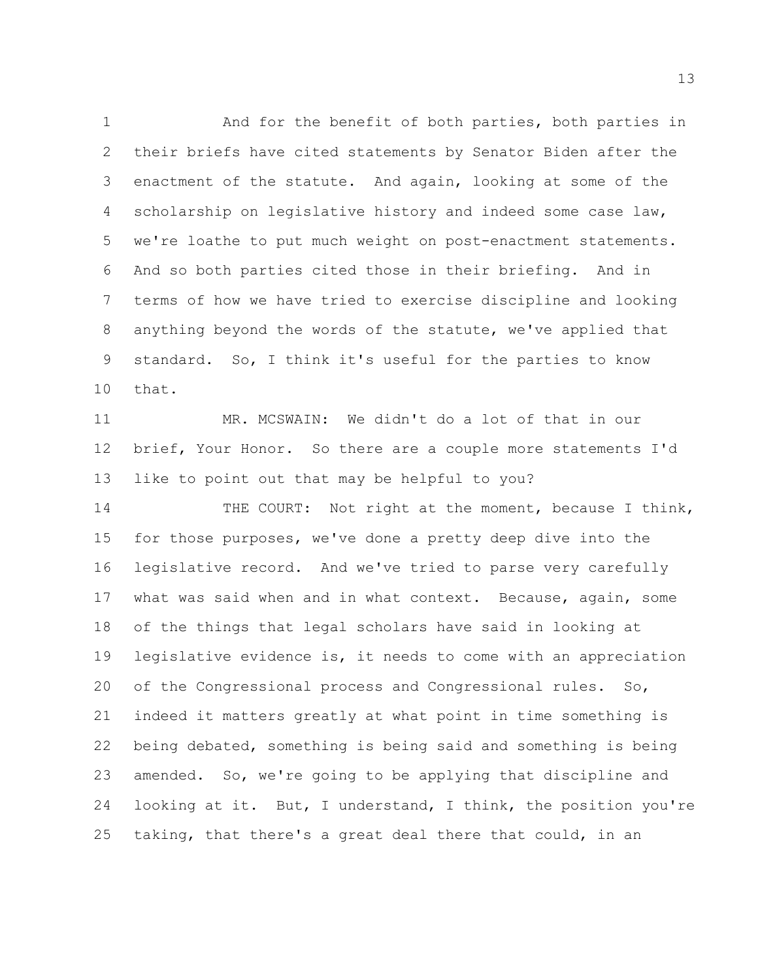And for the benefit of both parties, both parties in their briefs have cited statements by Senator Biden after the enactment of the statute. And again, looking at some of the 4 scholarship on legislative history and indeed some case law, we're loathe to put much weight on post-enactment statements. And so both parties cited those in their briefing. And in terms of how we have tried to exercise discipline and looking anything beyond the words of the statute, we've applied that standard. So, I think it's useful for the parties to know that.

 MR. MCSWAIN: We didn't do a lot of that in our brief, Your Honor. So there are a couple more statements I'd like to point out that may be helpful to you?

14 THE COURT: Not right at the moment, because I think, for those purposes, we've done a pretty deep dive into the legislative record. And we've tried to parse very carefully what was said when and in what context. Because, again, some of the things that legal scholars have said in looking at legislative evidence is, it needs to come with an appreciation 20 of the Congressional process and Congressional rules. So, indeed it matters greatly at what point in time something is being debated, something is being said and something is being amended. So, we're going to be applying that discipline and looking at it. But, I understand, I think, the position you're taking, that there's a great deal there that could, in an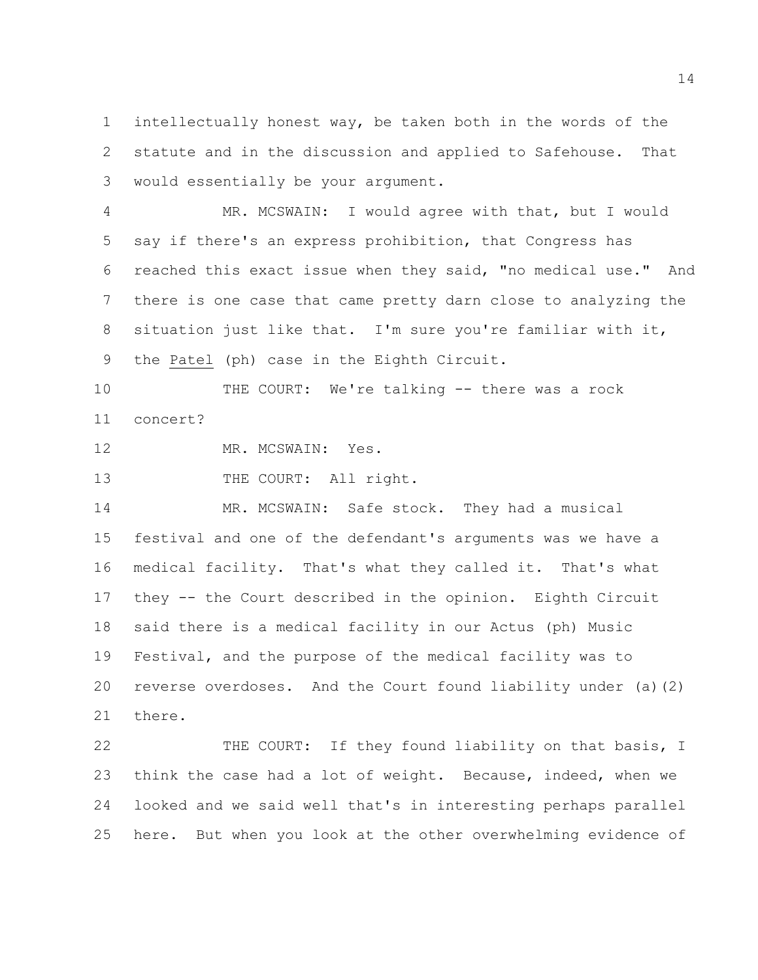intellectually honest way, be taken both in the words of the statute and in the discussion and applied to Safehouse. That would essentially be your argument.

 MR. MCSWAIN: I would agree with that, but I would say if there's an express prohibition, that Congress has reached this exact issue when they said, "no medical use." And there is one case that came pretty darn close to analyzing the situation just like that. I'm sure you're familiar with it, the Patel (ph) case in the Eighth Circuit.

 THE COURT: We're talking -- there was a rock concert?

MR. MCSWAIN: Yes.

13 THE COURT: All right.

 MR. MCSWAIN: Safe stock. They had a musical festival and one of the defendant's arguments was we have a medical facility. That's what they called it. That's what they -- the Court described in the opinion. Eighth Circuit said there is a medical facility in our Actus (ph) Music Festival, and the purpose of the medical facility was to reverse overdoses. And the Court found liability under (a)(2) there.

 THE COURT: If they found liability on that basis, I think the case had a lot of weight. Because, indeed, when we looked and we said well that's in interesting perhaps parallel here. But when you look at the other overwhelming evidence of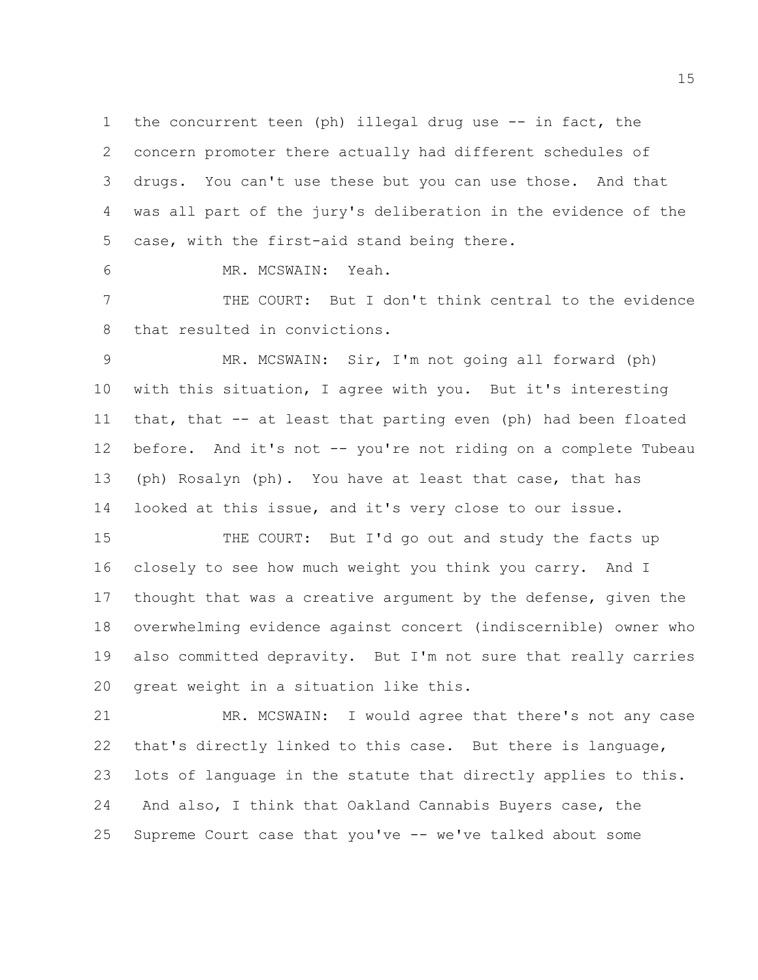the concurrent teen (ph) illegal drug use -- in fact, the concern promoter there actually had different schedules of drugs. You can't use these but you can use those. And that was all part of the jury's deliberation in the evidence of the case, with the first-aid stand being there.

MR. MCSWAIN: Yeah.

 THE COURT: But I don't think central to the evidence that resulted in convictions.

 MR. MCSWAIN: Sir, I'm not going all forward (ph) with this situation, I agree with you. But it's interesting that, that -- at least that parting even (ph) had been floated before. And it's not -- you're not riding on a complete Tubeau (ph) Rosalyn (ph). You have at least that case, that has looked at this issue, and it's very close to our issue.

15 THE COURT: But I'd go out and study the facts up closely to see how much weight you think you carry. And I thought that was a creative argument by the defense, given the overwhelming evidence against concert (indiscernible) owner who also committed depravity. But I'm not sure that really carries great weight in a situation like this.

 MR. MCSWAIN: I would agree that there's not any case that's directly linked to this case. But there is language, lots of language in the statute that directly applies to this. And also, I think that Oakland Cannabis Buyers case, the Supreme Court case that you've -- we've talked about some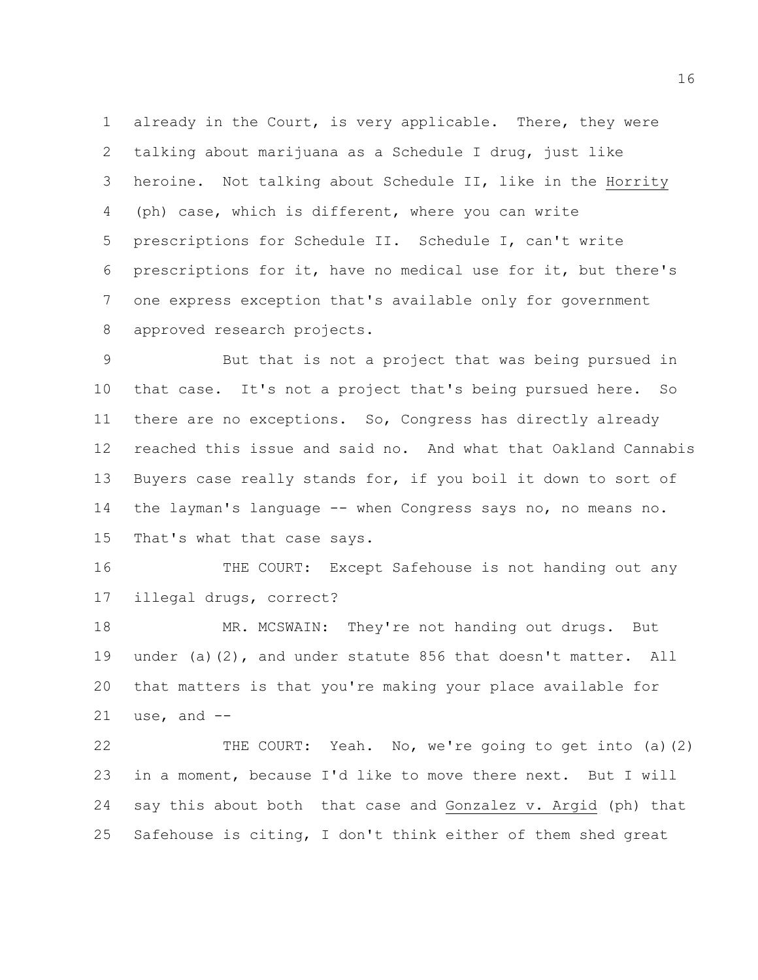already in the Court, is very applicable. There, they were talking about marijuana as a Schedule I drug, just like heroine. Not talking about Schedule II, like in the Horrity (ph) case, which is different, where you can write prescriptions for Schedule II. Schedule I, can't write prescriptions for it, have no medical use for it, but there's one express exception that's available only for government 8 approved research projects.

 But that is not a project that was being pursued in that case. It's not a project that's being pursued here. So there are no exceptions. So, Congress has directly already reached this issue and said no. And what that Oakland Cannabis Buyers case really stands for, if you boil it down to sort of the layman's language -- when Congress says no, no means no. That's what that case says.

16 THE COURT: Except Safehouse is not handing out any illegal drugs, correct?

18 MR. MCSWAIN: They're not handing out drugs. But under (a)(2), and under statute 856 that doesn't matter. All that matters is that you're making your place available for use, and  $-$ 

 THE COURT: Yeah. No, we're going to get into (a)(2) in a moment, because I'd like to move there next. But I will say this about both that case and Gonzalez v. Argid (ph) that Safehouse is citing, I don't think either of them shed great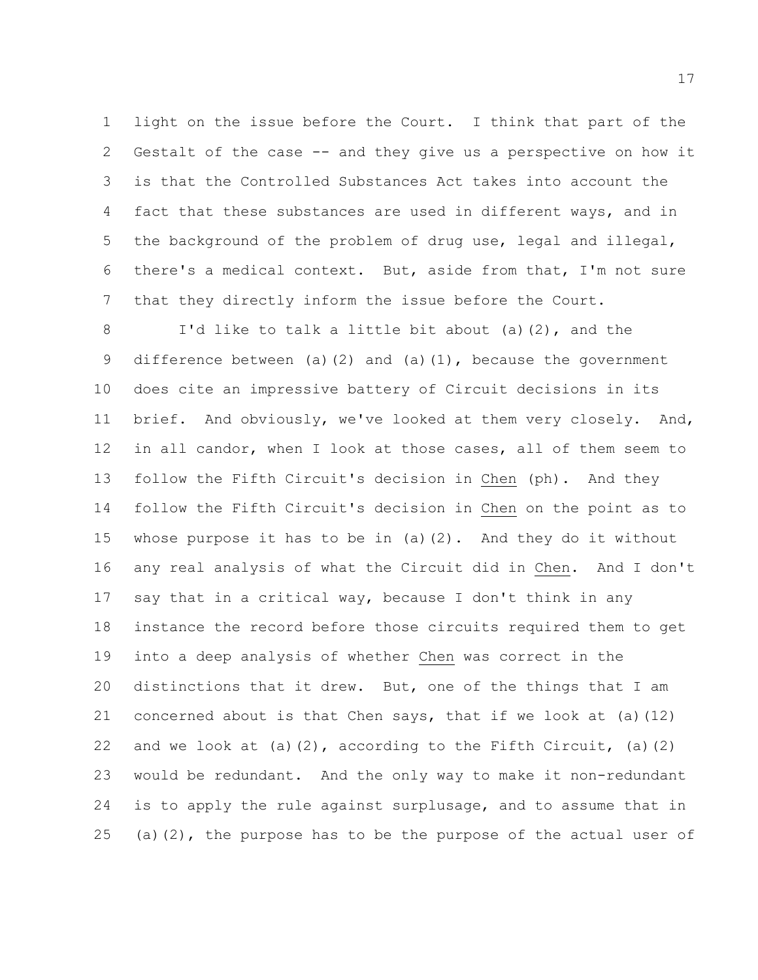light on the issue before the Court. I think that part of the Gestalt of the case -- and they give us a perspective on how it is that the Controlled Substances Act takes into account the fact that these substances are used in different ways, and in the background of the problem of drug use, legal and illegal, there's a medical context. But, aside from that, I'm not sure that they directly inform the issue before the Court.

 I'd like to talk a little bit about (a)(2), and the 9 difference between (a)(2) and (a)(1), because the government does cite an impressive battery of Circuit decisions in its brief. And obviously, we've looked at them very closely. And, in all candor, when I look at those cases, all of them seem to follow the Fifth Circuit's decision in Chen (ph). And they follow the Fifth Circuit's decision in Chen on the point as to whose purpose it has to be in (a)(2). And they do it without any real analysis of what the Circuit did in Chen. And I don't say that in a critical way, because I don't think in any instance the record before those circuits required them to get into a deep analysis of whether Chen was correct in the distinctions that it drew. But, one of the things that I am concerned about is that Chen says, that if we look at (a)(12) 22 and we look at (a)(2), according to the Fifth Circuit, (a)(2) would be redundant. And the only way to make it non-redundant is to apply the rule against surplusage, and to assume that in 25 (a)(2), the purpose has to be the purpose of the actual user of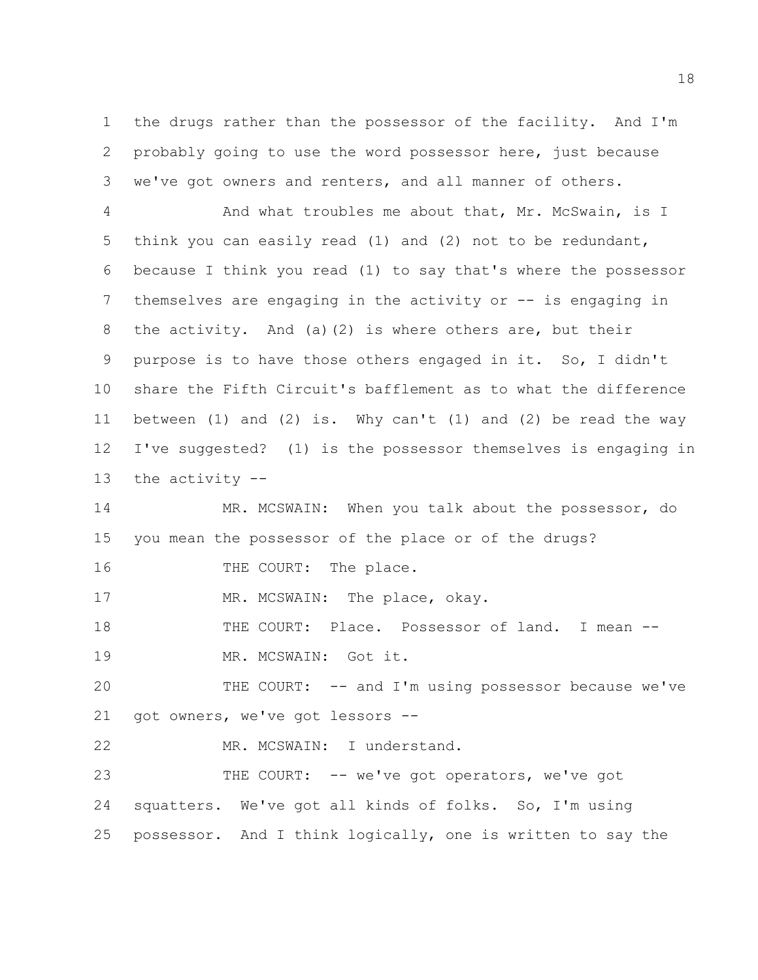the drugs rather than the possessor of the facility. And I'm probably going to use the word possessor here, just because we've got owners and renters, and all manner of others.

4 And what troubles me about that, Mr. McSwain, is I think you can easily read (1) and (2) not to be redundant, because I think you read (1) to say that's where the possessor 7 themselves are engaging in the activity or -- is engaging in the activity. And (a)(2) is where others are, but their purpose is to have those others engaged in it. So, I didn't share the Fifth Circuit's bafflement as to what the difference between (1) and (2) is. Why can't (1) and (2) be read the way I've suggested? (1) is the possessor themselves is engaging in the activity --

 MR. MCSWAIN: When you talk about the possessor, do you mean the possessor of the place or of the drugs?

16 THE COURT: The place.

17 MR. MCSWAIN: The place, okay.

 THE COURT: Place. Possessor of land. I mean -- MR. MCSWAIN: Got it.

 THE COURT: -- and I'm using possessor because we've got owners, we've got lessors --

MR. MCSWAIN: I understand.

 THE COURT: -- we've got operators, we've got squatters. We've got all kinds of folks. So, I'm using possessor. And I think logically, one is written to say the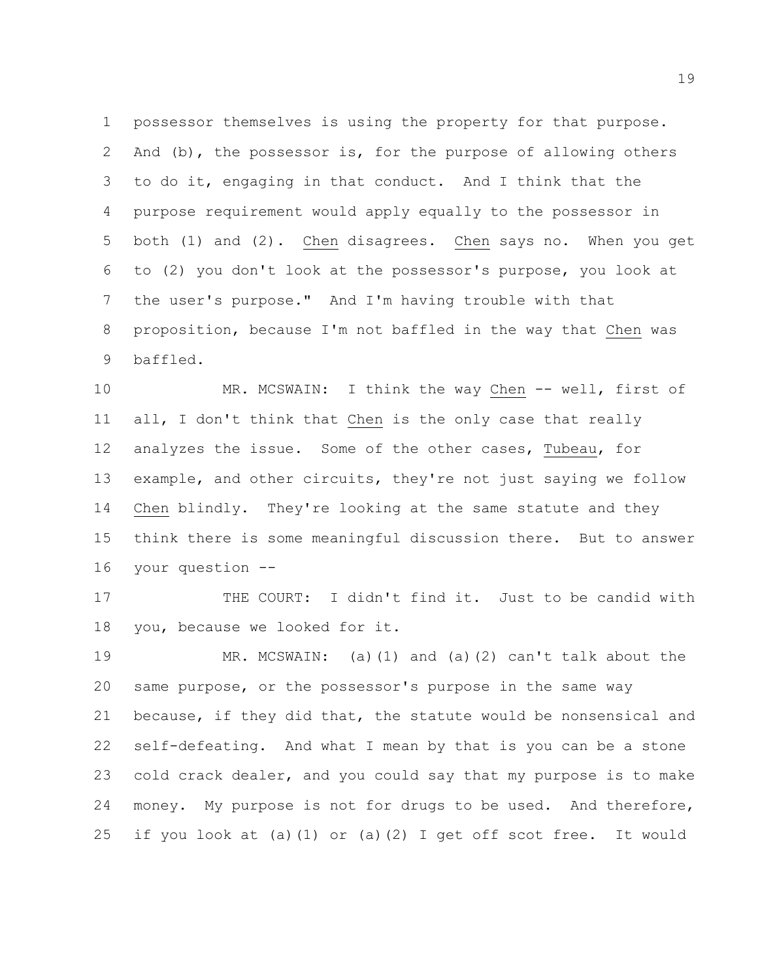possessor themselves is using the property for that purpose. And (b), the possessor is, for the purpose of allowing others to do it, engaging in that conduct. And I think that the purpose requirement would apply equally to the possessor in both (1) and (2). Chen disagrees. Chen says no. When you get to (2) you don't look at the possessor's purpose, you look at the user's purpose." And I'm having trouble with that proposition, because I'm not baffled in the way that Chen was baffled.

 MR. MCSWAIN: I think the way Chen -- well, first of all, I don't think that Chen is the only case that really analyzes the issue. Some of the other cases, Tubeau, for example, and other circuits, they're not just saying we follow Chen blindly. They're looking at the same statute and they think there is some meaningful discussion there. But to answer your question --

17 THE COURT: I didn't find it. Just to be candid with you, because we looked for it.

 MR. MCSWAIN: (a)(1) and (a)(2) can't talk about the same purpose, or the possessor's purpose in the same way because, if they did that, the statute would be nonsensical and self-defeating. And what I mean by that is you can be a stone cold crack dealer, and you could say that my purpose is to make money. My purpose is not for drugs to be used. And therefore, if you look at (a)(1) or (a)(2) I get off scot free. It would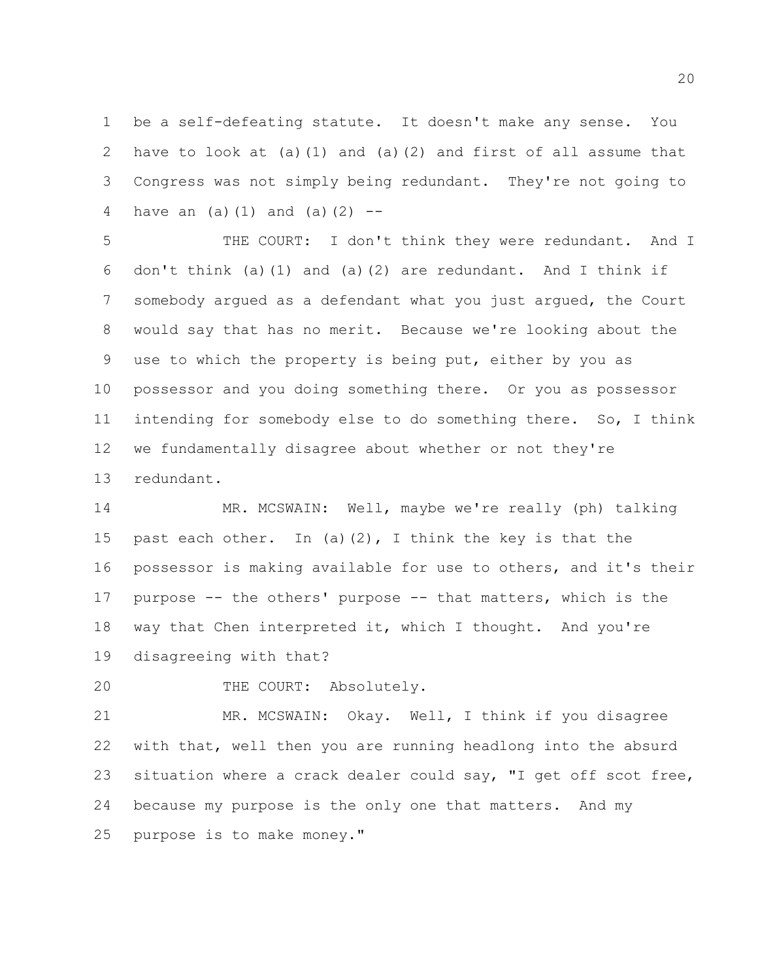be a self-defeating statute. It doesn't make any sense. You have to look at (a)(1) and (a)(2) and first of all assume that Congress was not simply being redundant. They're not going to 4 have an  $(a)(1)$  and  $(a)(2)$  --

 THE COURT: I don't think they were redundant. And I don't think (a)(1) and (a)(2) are redundant. And I think if somebody argued as a defendant what you just argued, the Court would say that has no merit. Because we're looking about the use to which the property is being put, either by you as possessor and you doing something there. Or you as possessor intending for somebody else to do something there. So, I think we fundamentally disagree about whether or not they're redundant.

 MR. MCSWAIN: Well, maybe we're really (ph) talking 15 past each other. In (a)(2), I think the key is that the possessor is making available for use to others, and it's their purpose -- the others' purpose -- that matters, which is the way that Chen interpreted it, which I thought. And you're disagreeing with that?

THE COURT: Absolutely.

 MR. MCSWAIN: Okay. Well, I think if you disagree with that, well then you are running headlong into the absurd 23 situation where a crack dealer could say, "I get off scot free, because my purpose is the only one that matters. And my purpose is to make money."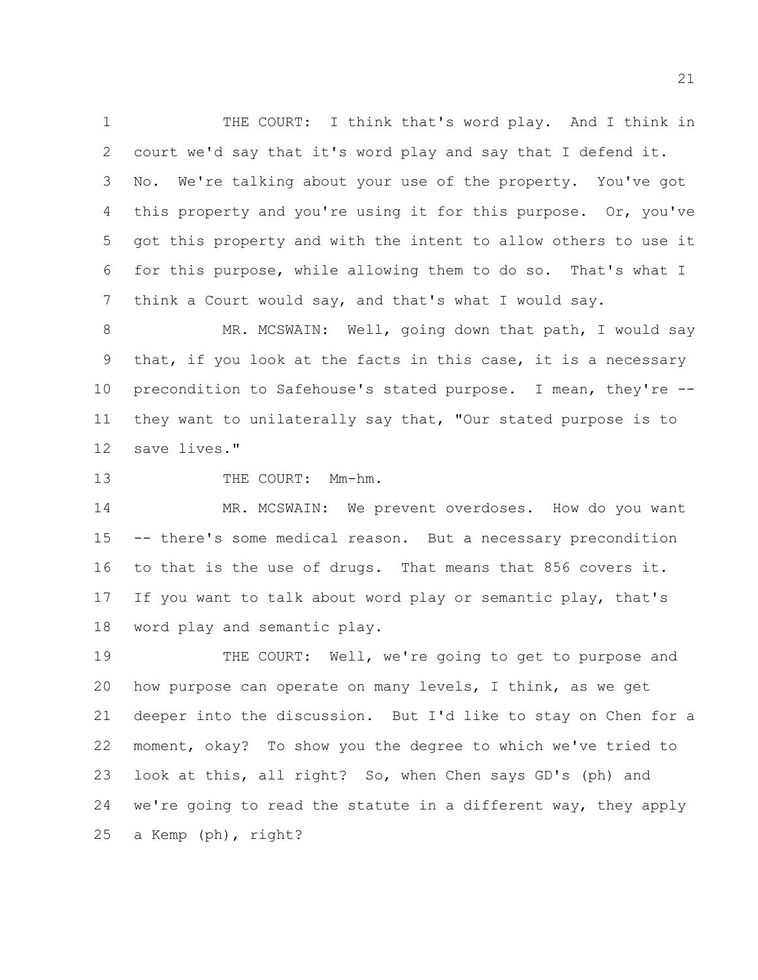THE COURT: I think that's word play. And I think in court we'd say that it's word play and say that I defend it. No. We're talking about your use of the property. You've got 4 this property and you're using it for this purpose. Or, you've got this property and with the intent to allow others to use it for this purpose, while allowing them to do so. That's what I think a Court would say, and that's what I would say.

8 MR. MCSWAIN: Well, going down that path, I would say that, if you look at the facts in this case, it is a necessary precondition to Safehouse's stated purpose. I mean, they're -- they want to unilaterally say that, "Our stated purpose is to save lives."

## 13 THE COURT: Mm-hm.

 MR. MCSWAIN: We prevent overdoses. How do you want -- there's some medical reason. But a necessary precondition to that is the use of drugs. That means that 856 covers it. If you want to talk about word play or semantic play, that's word play and semantic play.

 THE COURT: Well, we're going to get to purpose and how purpose can operate on many levels, I think, as we get deeper into the discussion. But I'd like to stay on Chen for a moment, okay? To show you the degree to which we've tried to look at this, all right? So, when Chen says GD's (ph) and we're going to read the statute in a different way, they apply a Kemp (ph), right?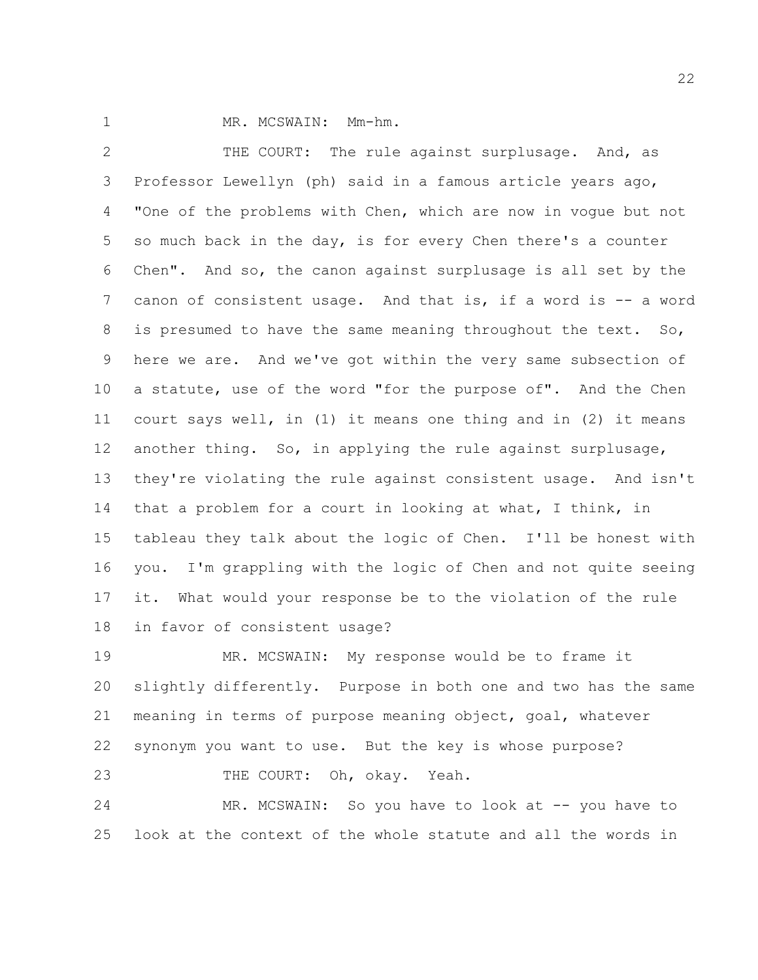1 MR. MCSWAIN: Mm-hm.

 THE COURT: The rule against surplusage. And, as Professor Lewellyn (ph) said in a famous article years ago, "One of the problems with Chen, which are now in vogue but not so much back in the day, is for every Chen there's a counter Chen". And so, the canon against surplusage is all set by the canon of consistent usage. And that is, if a word is -- a word 8 is presumed to have the same meaning throughout the text. So, here we are. And we've got within the very same subsection of a statute, use of the word "for the purpose of". And the Chen court says well, in (1) it means one thing and in (2) it means another thing. So, in applying the rule against surplusage, they're violating the rule against consistent usage. And isn't that a problem for a court in looking at what, I think, in tableau they talk about the logic of Chen. I'll be honest with you. I'm grappling with the logic of Chen and not quite seeing it. What would your response be to the violation of the rule in favor of consistent usage?

 MR. MCSWAIN: My response would be to frame it slightly differently. Purpose in both one and two has the same meaning in terms of purpose meaning object, goal, whatever synonym you want to use. But the key is whose purpose? 23 THE COURT: Oh, okay. Yeah.

 MR. MCSWAIN: So you have to look at -- you have to look at the context of the whole statute and all the words in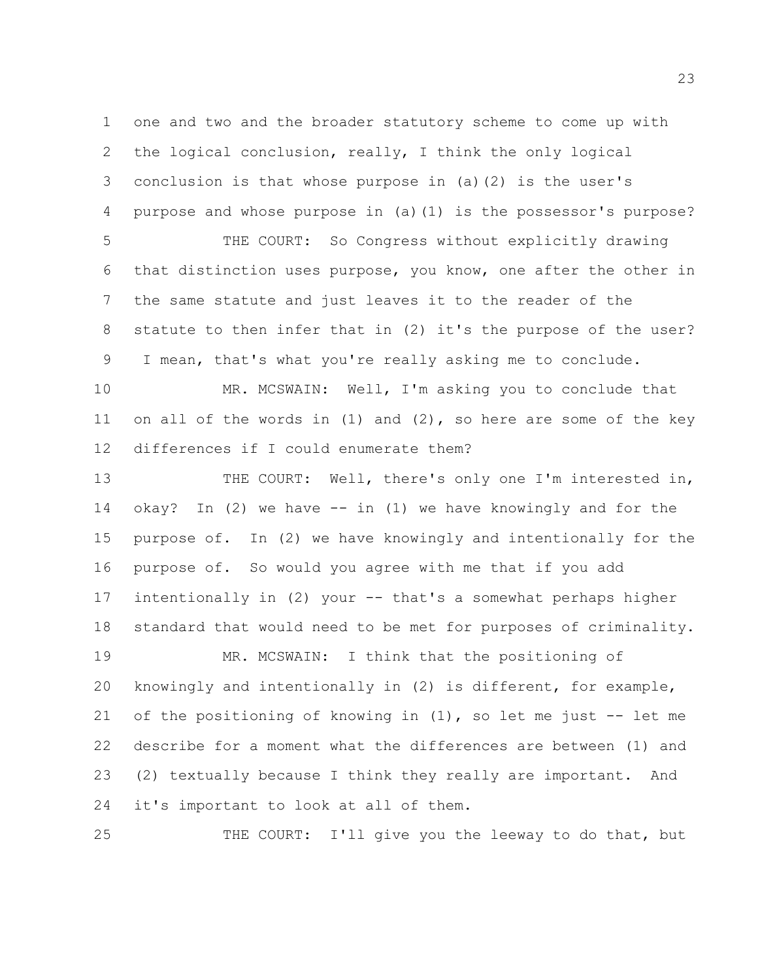one and two and the broader statutory scheme to come up with the logical conclusion, really, I think the only logical conclusion is that whose purpose in (a)(2) is the user's purpose and whose purpose in (a)(1) is the possessor's purpose?

 THE COURT: So Congress without explicitly drawing that distinction uses purpose, you know, one after the other in the same statute and just leaves it to the reader of the statute to then infer that in (2) it's the purpose of the user? I mean, that's what you're really asking me to conclude.

 MR. MCSWAIN: Well, I'm asking you to conclude that on all of the words in (1) and (2), so here are some of the key differences if I could enumerate them?

 THE COURT: Well, there's only one I'm interested in, okay? In (2) we have -- in (1) we have knowingly and for the purpose of. In (2) we have knowingly and intentionally for the purpose of. So would you agree with me that if you add intentionally in (2) your -- that's a somewhat perhaps higher standard that would need to be met for purposes of criminality. MR. MCSWAIN: I think that the positioning of knowingly and intentionally in (2) is different, for example, 21 of the positioning of knowing in  $(1)$ , so let me just  $-$  let me describe for a moment what the differences are between (1) and (2) textually because I think they really are important. And

it's important to look at all of them.

THE COURT: I'll give you the leeway to do that, but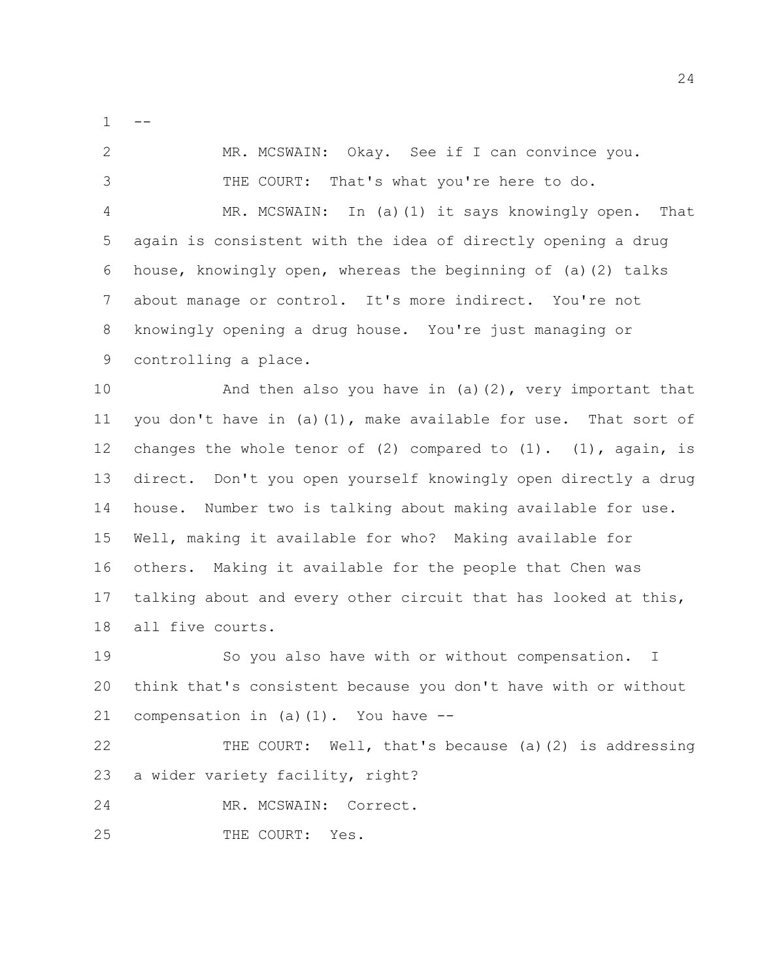$1 - -$ 

 MR. MCSWAIN: Okay. See if I can convince you. THE COURT: That's what you're here to do. MR. MCSWAIN: In (a)(1) it says knowingly open. That again is consistent with the idea of directly opening a drug house, knowingly open, whereas the beginning of (a)(2) talks about manage or control. It's more indirect. You're not knowingly opening a drug house. You're just managing or controlling a place. And then also you have in (a)(2), very important that you don't have in (a)(1), make available for use. That sort of 12 changes the whole tenor of  $(2)$  compared to  $(1)$ .  $(1)$ , again, is

 direct. Don't you open yourself knowingly open directly a drug house. Number two is talking about making available for use. Well, making it available for who? Making available for others. Making it available for the people that Chen was talking about and every other circuit that has looked at this, all five courts.

 So you also have with or without compensation. I think that's consistent because you don't have with or without compensation in (a)(1). You have --

 THE COURT: Well, that's because (a)(2) is addressing a wider variety facility, right?

MR. MCSWAIN: Correct.

25 THE COURT: Yes.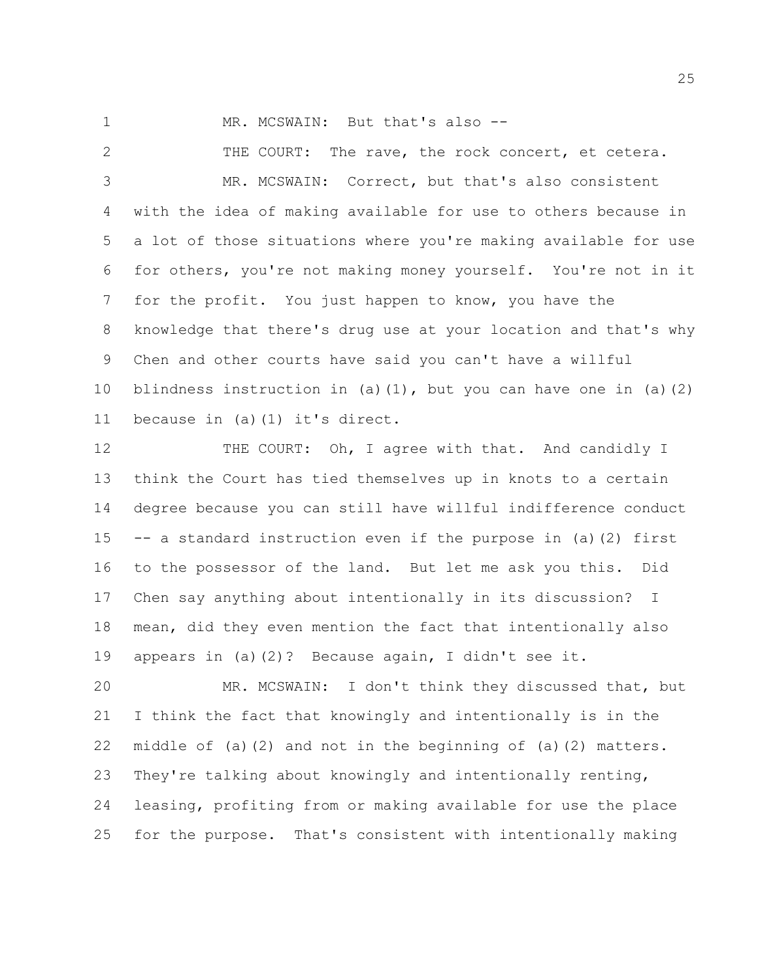1 MR. MCSWAIN: But that's also --

 THE COURT: The rave, the rock concert, et cetera. MR. MCSWAIN: Correct, but that's also consistent with the idea of making available for use to others because in a lot of those situations where you're making available for use for others, you're not making money yourself. You're not in it for the profit. You just happen to know, you have the knowledge that there's drug use at your location and that's why Chen and other courts have said you can't have a willful blindness instruction in (a)(1), but you can have one in (a)(2) because in (a)(1) it's direct.

12 THE COURT: Oh, I agree with that. And candidly I think the Court has tied themselves up in knots to a certain degree because you can still have willful indifference conduct -- a standard instruction even if the purpose in (a)(2) first to the possessor of the land. But let me ask you this. Did Chen say anything about intentionally in its discussion? I mean, did they even mention the fact that intentionally also appears in (a)(2)? Because again, I didn't see it.

 MR. MCSWAIN: I don't think they discussed that, but I think the fact that knowingly and intentionally is in the middle of (a)(2) and not in the beginning of (a)(2) matters. They're talking about knowingly and intentionally renting, leasing, profiting from or making available for use the place for the purpose. That's consistent with intentionally making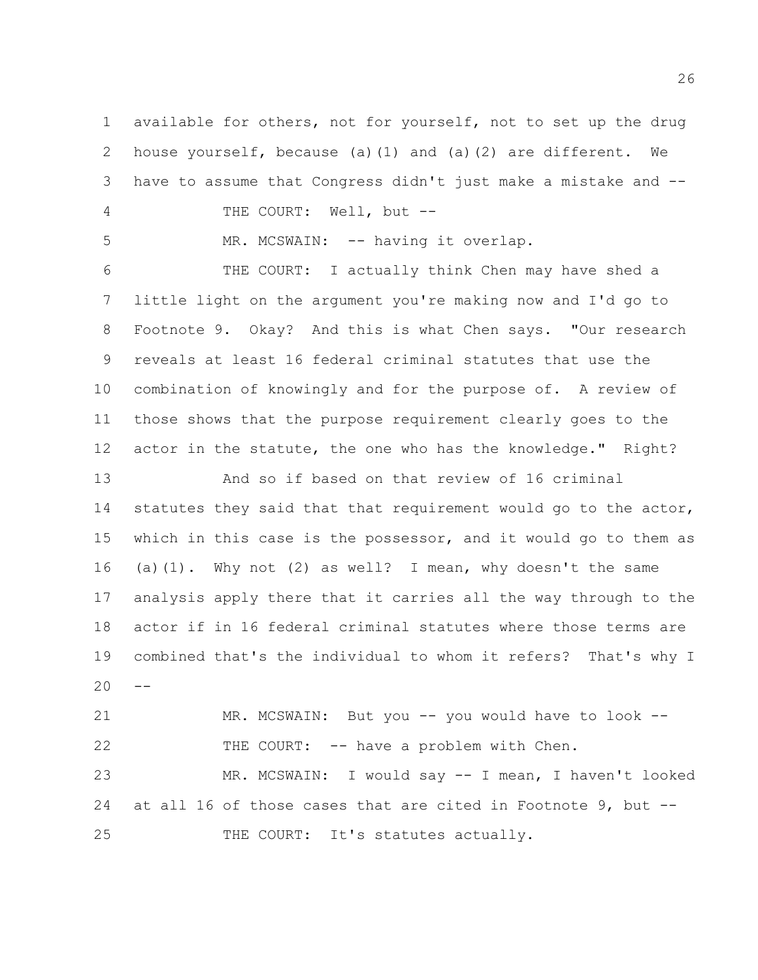available for others, not for yourself, not to set up the drug house yourself, because (a)(1) and (a)(2) are different. We have to assume that Congress didn't just make a mistake and -- 4 THE COURT: Well, but --

5 MR. MCSWAIN: -- having it overlap.

 THE COURT: I actually think Chen may have shed a little light on the argument you're making now and I'd go to Footnote 9. Okay? And this is what Chen says. "Our research reveals at least 16 federal criminal statutes that use the combination of knowingly and for the purpose of. A review of those shows that the purpose requirement clearly goes to the actor in the statute, the one who has the knowledge." Right?

 And so if based on that review of 16 criminal statutes they said that that requirement would go to the actor, which in this case is the possessor, and it would go to them as (a)(1). Why not (2) as well? I mean, why doesn't the same analysis apply there that it carries all the way through to the actor if in 16 federal criminal statutes where those terms are combined that's the individual to whom it refers? That's why I  $20 -$ 

 MR. MCSWAIN: But you -- you would have to look -- THE COURT: -- have a problem with Chen. MR. MCSWAIN: I would say -- I mean, I haven't looked at all 16 of those cases that are cited in Footnote 9, but -- 25 THE COURT: It's statutes actually.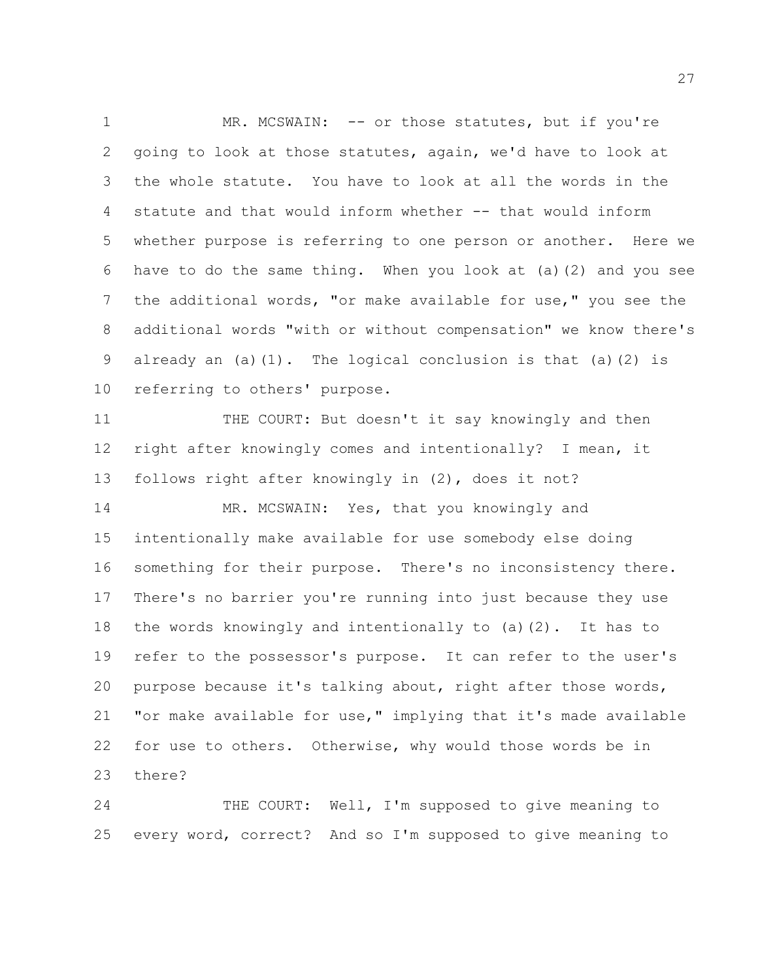1 MR. MCSWAIN: -- or those statutes, but if you're going to look at those statutes, again, we'd have to look at the whole statute. You have to look at all the words in the statute and that would inform whether -- that would inform whether purpose is referring to one person or another. Here we have to do the same thing. When you look at (a)(2) and you see the additional words, "or make available for use," you see the additional words "with or without compensation" we know there's 9 already an  $(a)(1)$ . The logical conclusion is that  $(a)(2)$  is referring to others' purpose.

 THE COURT: But doesn't it say knowingly and then right after knowingly comes and intentionally? I mean, it follows right after knowingly in (2), does it not?

14 MR. MCSWAIN: Yes, that you knowingly and intentionally make available for use somebody else doing something for their purpose. There's no inconsistency there. There's no barrier you're running into just because they use the words knowingly and intentionally to (a)(2). It has to refer to the possessor's purpose. It can refer to the user's purpose because it's talking about, right after those words, "or make available for use," implying that it's made available for use to others. Otherwise, why would those words be in there?

 THE COURT: Well, I'm supposed to give meaning to every word, correct? And so I'm supposed to give meaning to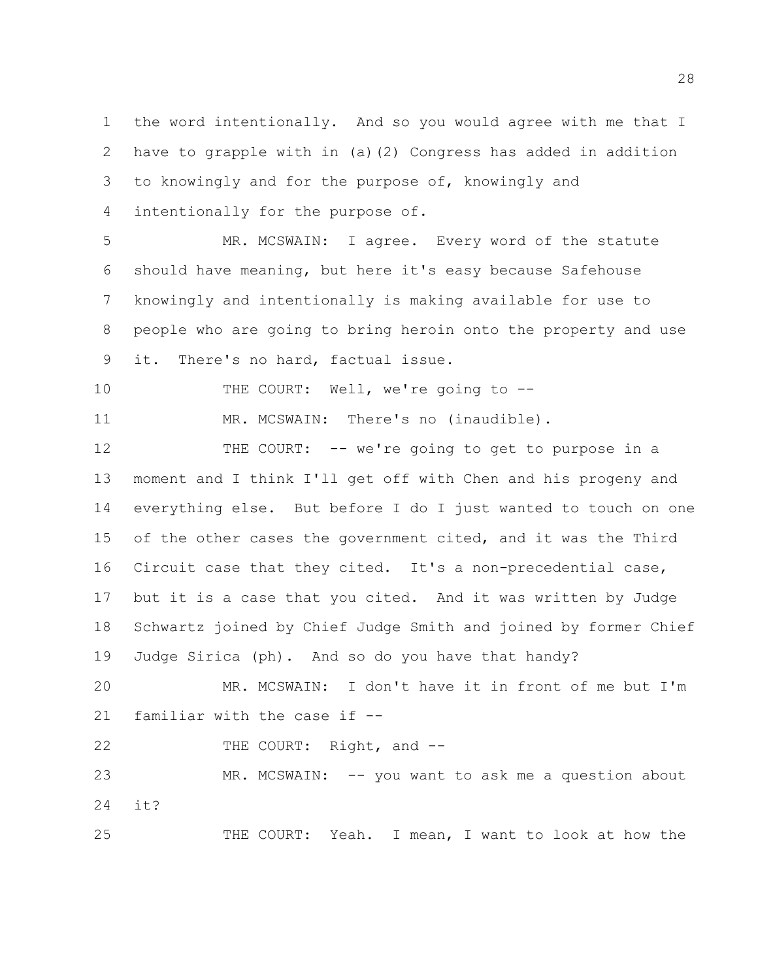the word intentionally. And so you would agree with me that I have to grapple with in (a)(2) Congress has added in addition to knowingly and for the purpose of, knowingly and intentionally for the purpose of.

 MR. MCSWAIN: I agree. Every word of the statute should have meaning, but here it's easy because Safehouse knowingly and intentionally is making available for use to people who are going to bring heroin onto the property and use it. There's no hard, factual issue.

10 THE COURT: Well, we're going to --

11 MR. MCSWAIN: There's no (inaudible).

 THE COURT: -- we're going to get to purpose in a moment and I think I'll get off with Chen and his progeny and everything else. But before I do I just wanted to touch on one of the other cases the government cited, and it was the Third Circuit case that they cited. It's a non-precedential case, but it is a case that you cited. And it was written by Judge Schwartz joined by Chief Judge Smith and joined by former Chief Judge Sirica (ph). And so do you have that handy?

 MR. MCSWAIN: I don't have it in front of me but I'm familiar with the case if --

22 THE COURT: Right, and --

 MR. MCSWAIN: -- you want to ask me a question about it?

THE COURT: Yeah. I mean, I want to look at how the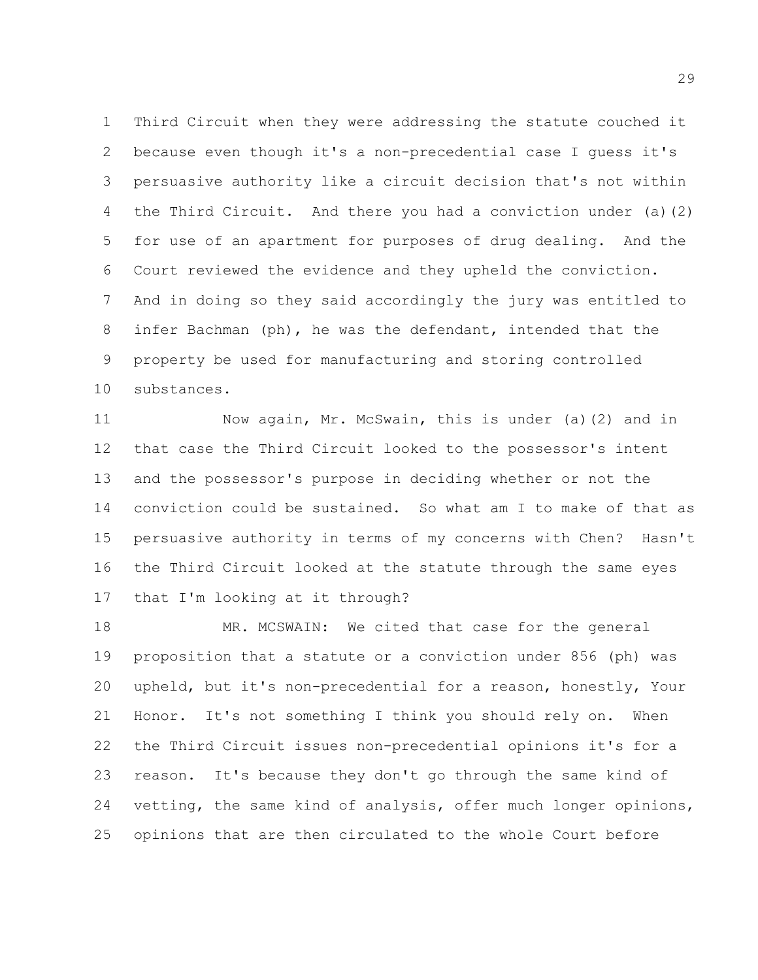Third Circuit when they were addressing the statute couched it because even though it's a non-precedential case I guess it's persuasive authority like a circuit decision that's not within the Third Circuit. And there you had a conviction under (a)(2) for use of an apartment for purposes of drug dealing. And the Court reviewed the evidence and they upheld the conviction. And in doing so they said accordingly the jury was entitled to infer Bachman (ph), he was the defendant, intended that the property be used for manufacturing and storing controlled substances.

 Now again, Mr. McSwain, this is under (a)(2) and in that case the Third Circuit looked to the possessor's intent and the possessor's purpose in deciding whether or not the conviction could be sustained. So what am I to make of that as persuasive authority in terms of my concerns with Chen? Hasn't the Third Circuit looked at the statute through the same eyes that I'm looking at it through?

 MR. MCSWAIN: We cited that case for the general proposition that a statute or a conviction under 856 (ph) was upheld, but it's non-precedential for a reason, honestly, Your Honor. It's not something I think you should rely on. When the Third Circuit issues non-precedential opinions it's for a reason. It's because they don't go through the same kind of vetting, the same kind of analysis, offer much longer opinions, opinions that are then circulated to the whole Court before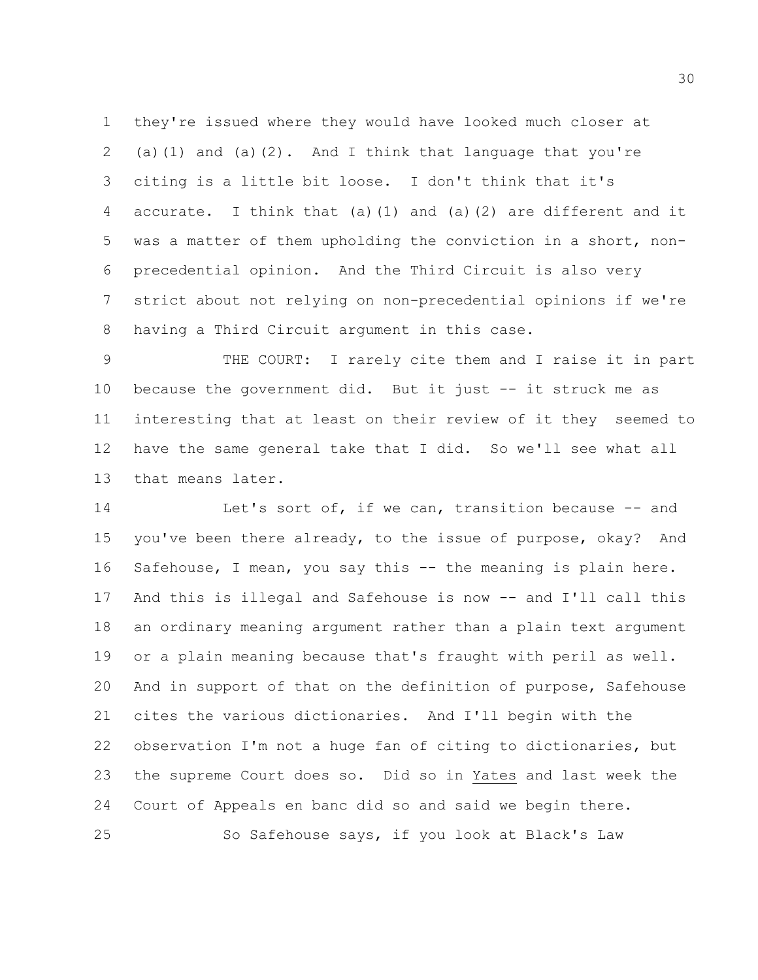they're issued where they would have looked much closer at 2 (a)(1) and (a)(2). And I think that language that you're citing is a little bit loose. I don't think that it's accurate. I think that (a)(1) and (a)(2) are different and it was a matter of them upholding the conviction in a short, non- precedential opinion. And the Third Circuit is also very strict about not relying on non-precedential opinions if we're having a Third Circuit argument in this case.

 THE COURT: I rarely cite them and I raise it in part because the government did. But it just -- it struck me as interesting that at least on their review of it they seemed to have the same general take that I did. So we'll see what all that means later.

14 Let's sort of, if we can, transition because -- and you've been there already, to the issue of purpose, okay? And Safehouse, I mean, you say this -- the meaning is plain here. And this is illegal and Safehouse is now -- and I'll call this an ordinary meaning argument rather than a plain text argument or a plain meaning because that's fraught with peril as well. And in support of that on the definition of purpose, Safehouse cites the various dictionaries. And I'll begin with the observation I'm not a huge fan of citing to dictionaries, but the supreme Court does so. Did so in Yates and last week the Court of Appeals en banc did so and said we begin there. So Safehouse says, if you look at Black's Law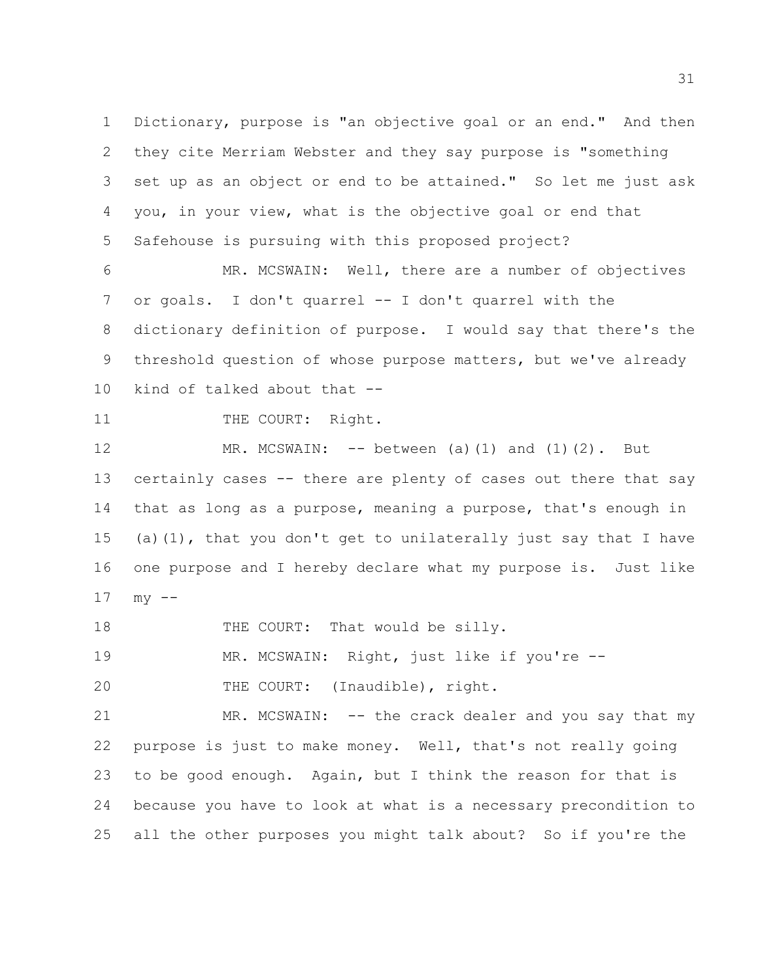Dictionary, purpose is "an objective goal or an end." And then they cite Merriam Webster and they say purpose is "something set up as an object or end to be attained." So let me just ask you, in your view, what is the objective goal or end that Safehouse is pursuing with this proposed project?

 MR. MCSWAIN: Well, there are a number of objectives or goals. I don't quarrel -- I don't quarrel with the dictionary definition of purpose. I would say that there's the threshold question of whose purpose matters, but we've already kind of talked about that --

11 THE COURT: Right.

 MR. MCSWAIN: -- between (a)(1) and (1)(2). But certainly cases -- there are plenty of cases out there that say that as long as a purpose, meaning a purpose, that's enough in (a)(1), that you don't get to unilaterally just say that I have one purpose and I hereby declare what my purpose is. Just like  $17 \,$  my  $-$ 

18 THE COURT: That would be silly.

MR. MCSWAIN: Right, just like if you're --

20 THE COURT: (Inaudible), right.

 MR. MCSWAIN: -- the crack dealer and you say that my purpose is just to make money. Well, that's not really going to be good enough. Again, but I think the reason for that is because you have to look at what is a necessary precondition to all the other purposes you might talk about? So if you're the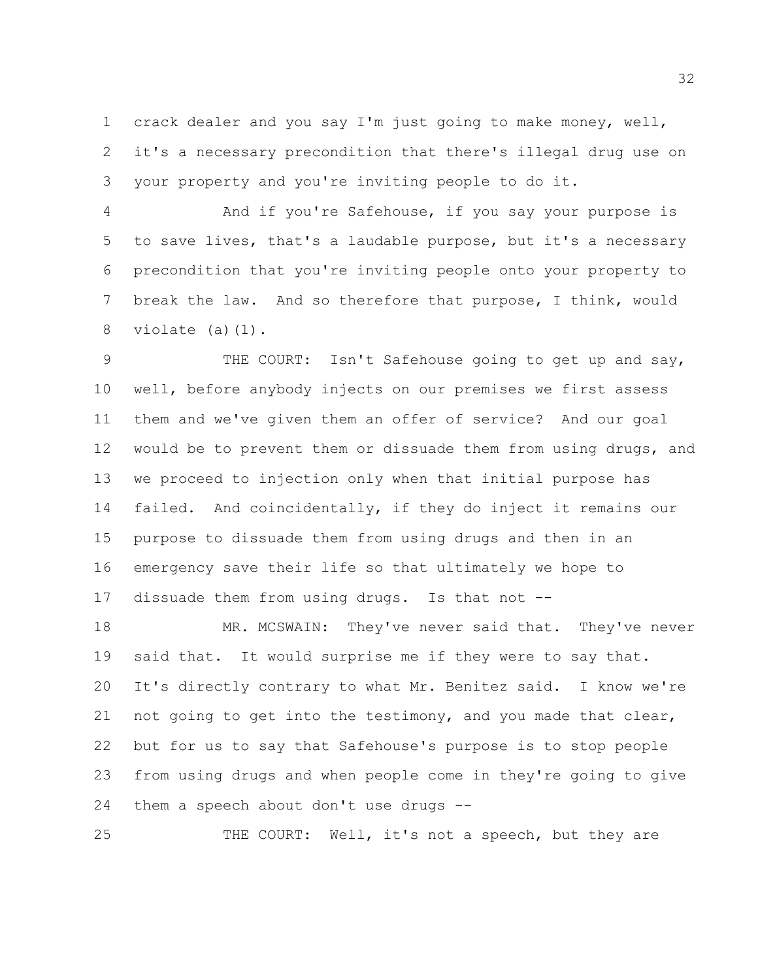crack dealer and you say I'm just going to make money, well, it's a necessary precondition that there's illegal drug use on your property and you're inviting people to do it.

 And if you're Safehouse, if you say your purpose is to save lives, that's a laudable purpose, but it's a necessary precondition that you're inviting people onto your property to break the law. And so therefore that purpose, I think, would violate (a)(1).

 THE COURT: Isn't Safehouse going to get up and say, well, before anybody injects on our premises we first assess them and we've given them an offer of service? And our goal would be to prevent them or dissuade them from using drugs, and we proceed to injection only when that initial purpose has failed. And coincidentally, if they do inject it remains our purpose to dissuade them from using drugs and then in an emergency save their life so that ultimately we hope to dissuade them from using drugs. Is that not --

18 MR. MCSWAIN: They've never said that. They've never said that. It would surprise me if they were to say that. It's directly contrary to what Mr. Benitez said. I know we're 21 not going to get into the testimony, and you made that clear, but for us to say that Safehouse's purpose is to stop people from using drugs and when people come in they're going to give them a speech about don't use drugs --

THE COURT: Well, it's not a speech, but they are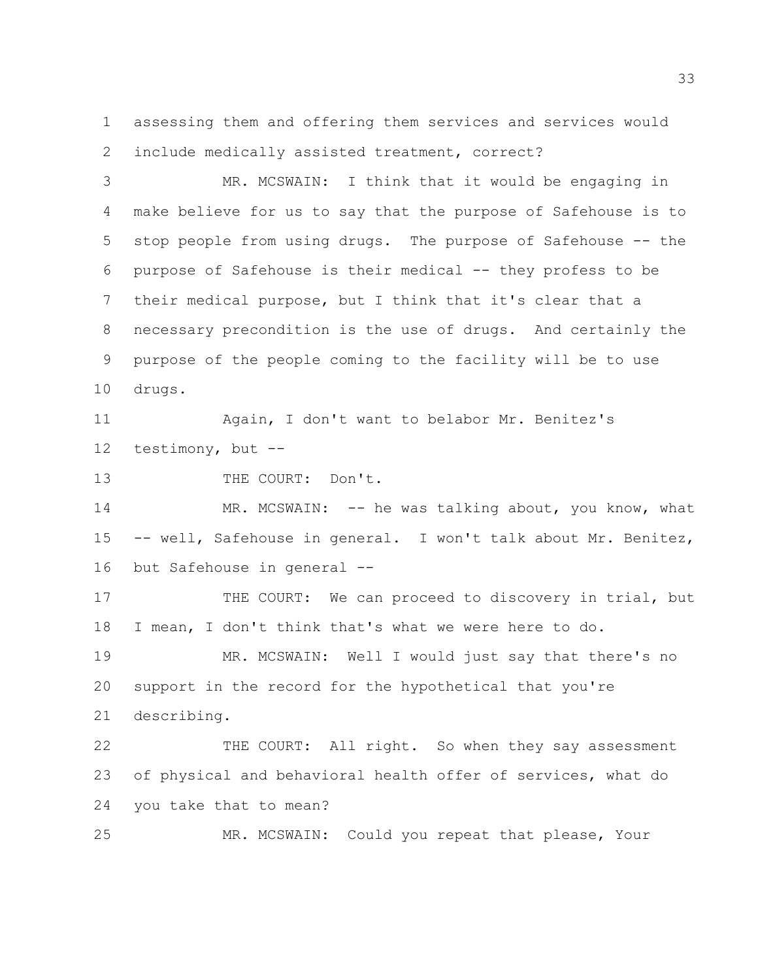assessing them and offering them services and services would include medically assisted treatment, correct?

 MR. MCSWAIN: I think that it would be engaging in make believe for us to say that the purpose of Safehouse is to stop people from using drugs. The purpose of Safehouse -- the purpose of Safehouse is their medical -- they profess to be their medical purpose, but I think that it's clear that a necessary precondition is the use of drugs. And certainly the purpose of the people coming to the facility will be to use drugs.

 Again, I don't want to belabor Mr. Benitez's testimony, but --

13 THE COURT: Don't.

14 MR. MCSWAIN: -- he was talking about, you know, what -- well, Safehouse in general. I won't talk about Mr. Benitez, but Safehouse in general --

17 THE COURT: We can proceed to discovery in trial, but I mean, I don't think that's what we were here to do.

 MR. MCSWAIN: Well I would just say that there's no support in the record for the hypothetical that you're describing.

 THE COURT: All right. So when they say assessment of physical and behavioral health offer of services, what do you take that to mean?

MR. MCSWAIN: Could you repeat that please, Your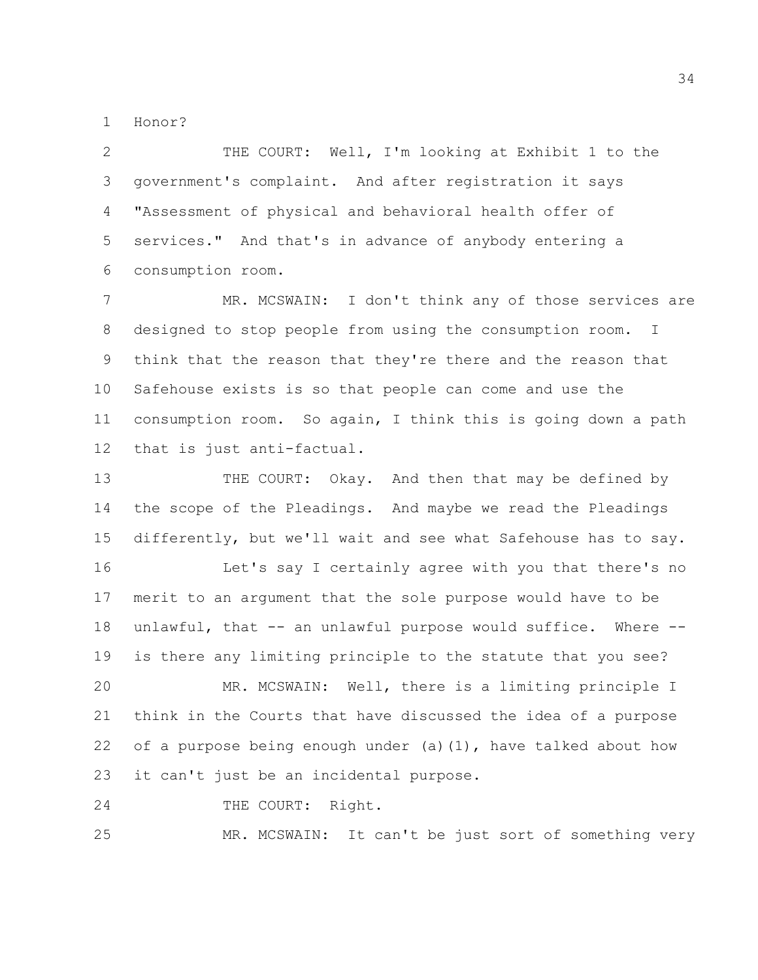Honor?

 THE COURT: Well, I'm looking at Exhibit 1 to the government's complaint. And after registration it says "Assessment of physical and behavioral health offer of services." And that's in advance of anybody entering a consumption room.

 MR. MCSWAIN: I don't think any of those services are designed to stop people from using the consumption room. I think that the reason that they're there and the reason that Safehouse exists is so that people can come and use the consumption room. So again, I think this is going down a path that is just anti-factual.

 THE COURT: Okay. And then that may be defined by the scope of the Pleadings. And maybe we read the Pleadings differently, but we'll wait and see what Safehouse has to say. Let's say I certainly agree with you that there's no merit to an argument that the sole purpose would have to be unlawful, that -- an unlawful purpose would suffice. Where -- is there any limiting principle to the statute that you see? MR. MCSWAIN: Well, there is a limiting principle I think in the Courts that have discussed the idea of a purpose 22 of a purpose being enough under (a)(1), have talked about how

it can't just be an incidental purpose.

24 THE COURT: Right.

MR. MCSWAIN: It can't be just sort of something very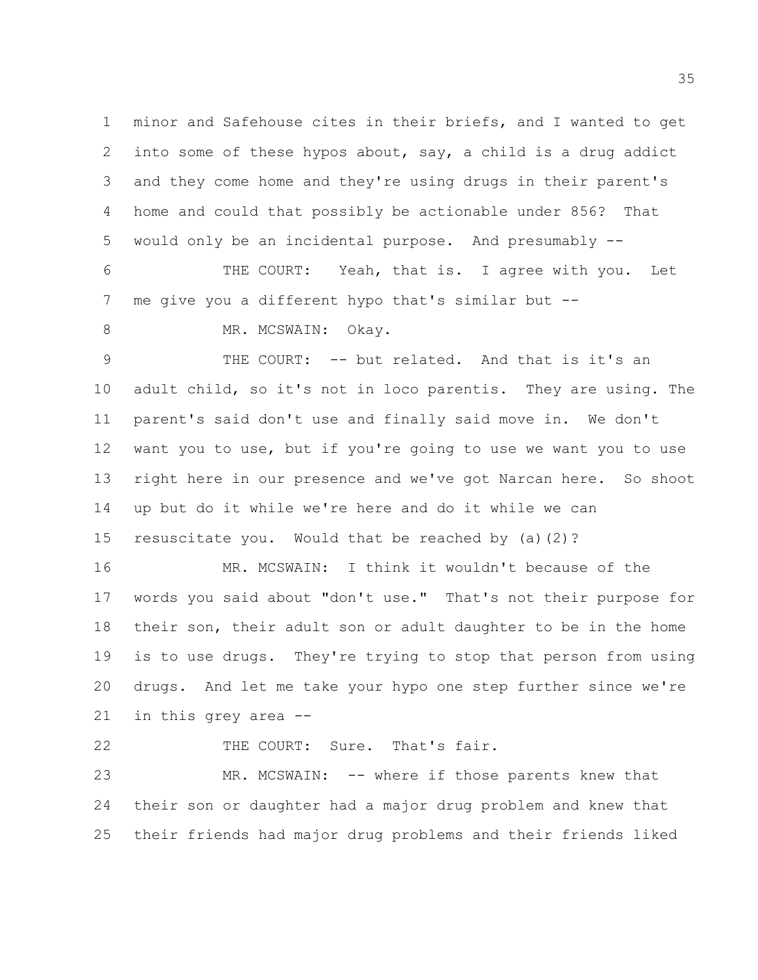minor and Safehouse cites in their briefs, and I wanted to get into some of these hypos about, say, a child is a drug addict and they come home and they're using drugs in their parent's home and could that possibly be actionable under 856? That would only be an incidental purpose. And presumably --

 THE COURT: Yeah, that is. I agree with you. Let me give you a different hypo that's similar but --

8 MR. MCSWAIN: Okay.

 THE COURT: -- but related. And that is it's an adult child, so it's not in loco parentis. They are using. The parent's said don't use and finally said move in. We don't want you to use, but if you're going to use we want you to use right here in our presence and we've got Narcan here. So shoot up but do it while we're here and do it while we can resuscitate you. Would that be reached by (a)(2)?

 MR. MCSWAIN: I think it wouldn't because of the words you said about "don't use." That's not their purpose for their son, their adult son or adult daughter to be in the home is to use drugs. They're trying to stop that person from using drugs. And let me take your hypo one step further since we're in this grey area --

THE COURT: Sure. That's fair.

 MR. MCSWAIN: -- where if those parents knew that their son or daughter had a major drug problem and knew that their friends had major drug problems and their friends liked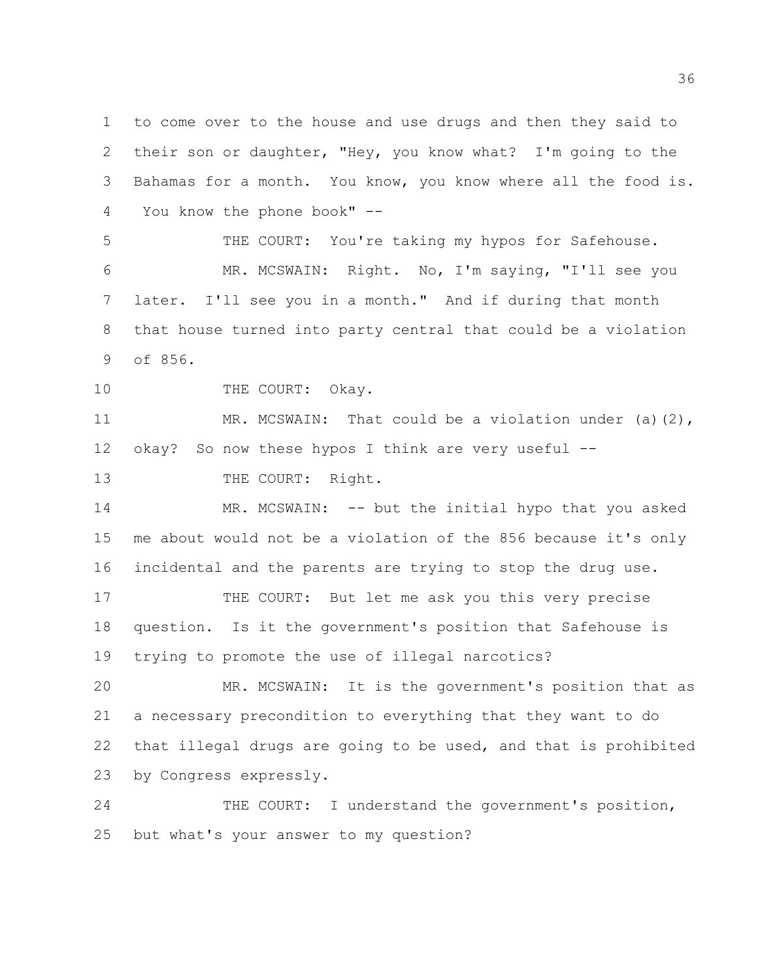to come over to the house and use drugs and then they said to their son or daughter, "Hey, you know what? I'm going to the Bahamas for a month. You know, you know where all the food is. You know the phone book" --

 THE COURT: You're taking my hypos for Safehouse. MR. MCSWAIN: Right. No, I'm saying, "I'll see you later. I'll see you in a month." And if during that month that house turned into party central that could be a violation of 856.

10 THE COURT: Okay.

11 MR. MCSWAIN: That could be a violation under (a)(2), okay? So now these hypos I think are very useful --

13 THE COURT: Right.

 MR. MCSWAIN: -- but the initial hypo that you asked me about would not be a violation of the 856 because it's only incidental and the parents are trying to stop the drug use.

17 THE COURT: But let me ask you this very precise question. Is it the government's position that Safehouse is trying to promote the use of illegal narcotics?

 MR. MCSWAIN: It is the government's position that as a necessary precondition to everything that they want to do that illegal drugs are going to be used, and that is prohibited by Congress expressly.

 THE COURT: I understand the government's position, but what's your answer to my question?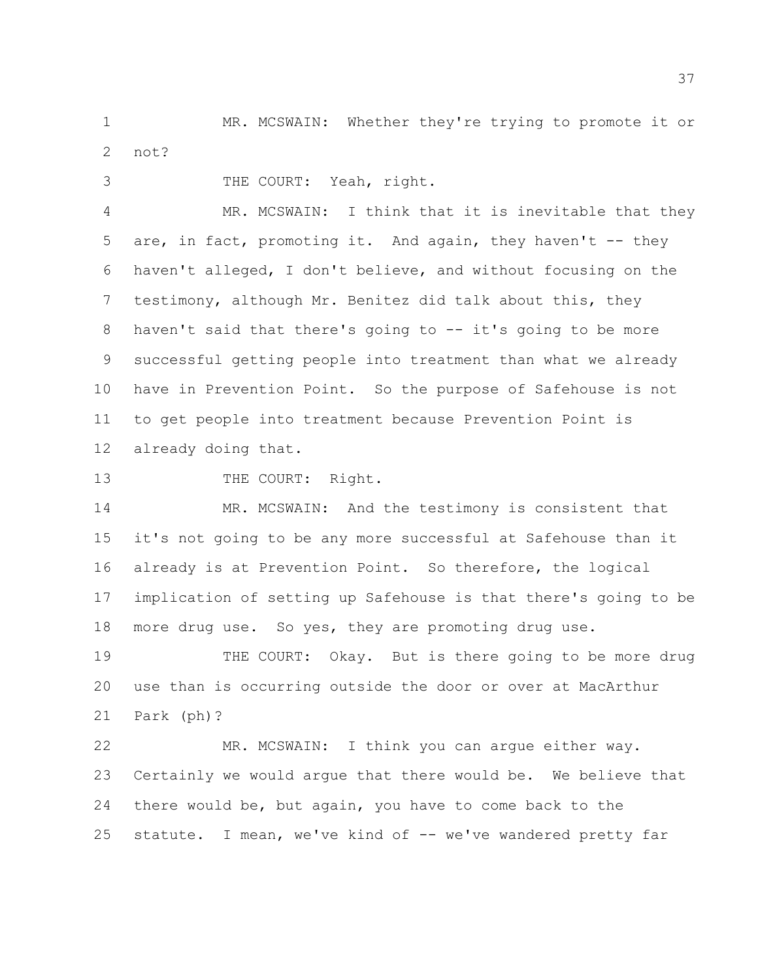MR. MCSWAIN: Whether they're trying to promote it or not?

THE COURT: Yeah, right.

 MR. MCSWAIN: I think that it is inevitable that they 5 are, in fact, promoting it. And again, they haven't -- they haven't alleged, I don't believe, and without focusing on the testimony, although Mr. Benitez did talk about this, they haven't said that there's going to -- it's going to be more successful getting people into treatment than what we already have in Prevention Point. So the purpose of Safehouse is not to get people into treatment because Prevention Point is already doing that.

13 THE COURT: Right.

14 MR. MCSWAIN: And the testimony is consistent that it's not going to be any more successful at Safehouse than it already is at Prevention Point. So therefore, the logical implication of setting up Safehouse is that there's going to be more drug use. So yes, they are promoting drug use.

 THE COURT: Okay. But is there going to be more drug use than is occurring outside the door or over at MacArthur Park (ph)?

 MR. MCSWAIN: I think you can argue either way. Certainly we would argue that there would be. We believe that there would be, but again, you have to come back to the statute. I mean, we've kind of -- we've wandered pretty far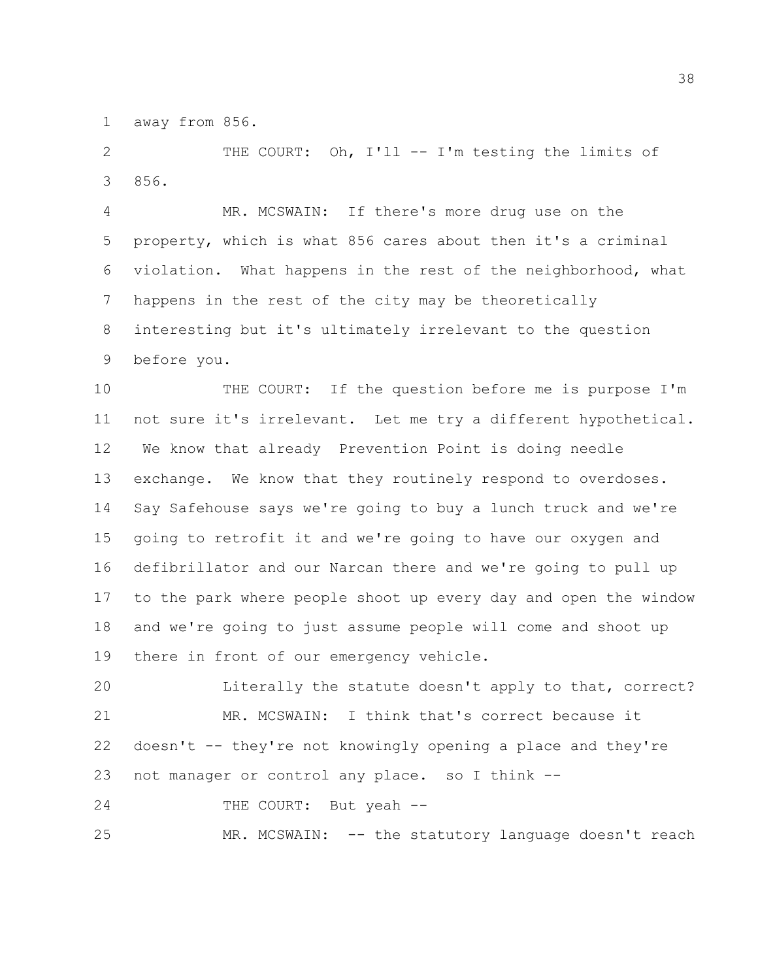away from 856.

 THE COURT: Oh, I'll -- I'm testing the limits of 856.

 MR. MCSWAIN: If there's more drug use on the property, which is what 856 cares about then it's a criminal violation. What happens in the rest of the neighborhood, what happens in the rest of the city may be theoretically interesting but it's ultimately irrelevant to the question before you.

 THE COURT: If the question before me is purpose I'm not sure it's irrelevant. Let me try a different hypothetical. We know that already Prevention Point is doing needle exchange. We know that they routinely respond to overdoses. Say Safehouse says we're going to buy a lunch truck and we're going to retrofit it and we're going to have our oxygen and defibrillator and our Narcan there and we're going to pull up to the park where people shoot up every day and open the window and we're going to just assume people will come and shoot up there in front of our emergency vehicle.

 Literally the statute doesn't apply to that, correct? MR. MCSWAIN: I think that's correct because it doesn't  $-$  they're not knowingly opening a place and they're not manager or control any place. so I think --

24 THE COURT: But yeah --

MR. MCSWAIN: -- the statutory language doesn't reach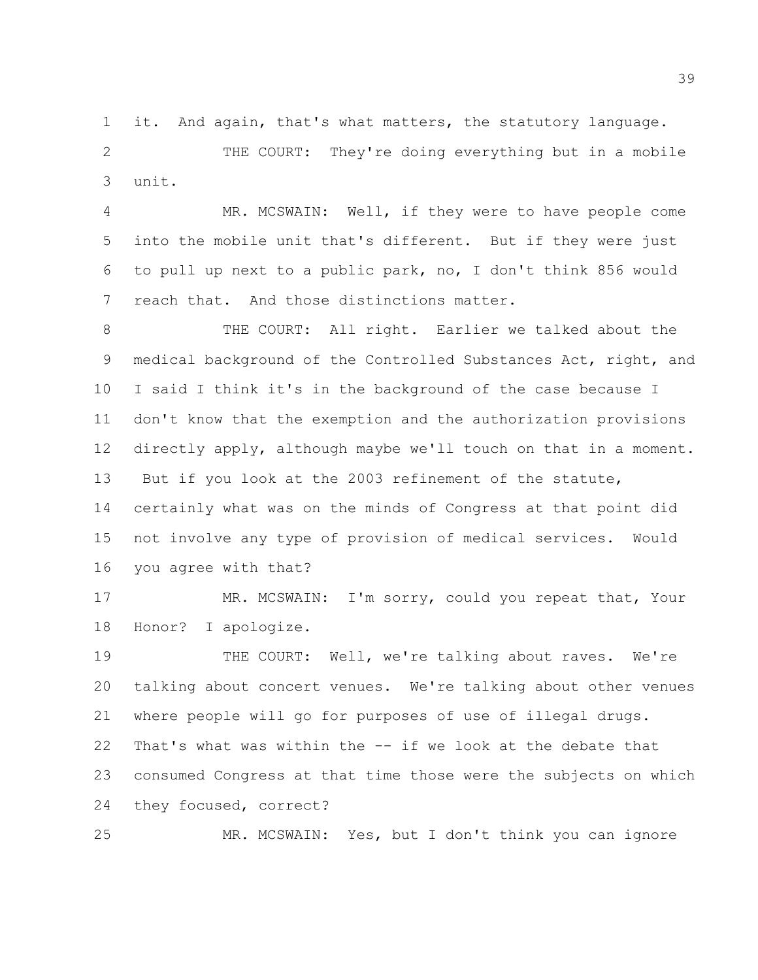it. And again, that's what matters, the statutory language.

 THE COURT: They're doing everything but in a mobile unit.

 MR. MCSWAIN: Well, if they were to have people come into the mobile unit that's different. But if they were just to pull up next to a public park, no, I don't think 856 would reach that. And those distinctions matter.

 THE COURT: All right. Earlier we talked about the medical background of the Controlled Substances Act, right, and I said I think it's in the background of the case because I don't know that the exemption and the authorization provisions directly apply, although maybe we'll touch on that in a moment. But if you look at the 2003 refinement of the statute, certainly what was on the minds of Congress at that point did not involve any type of provision of medical services. Would you agree with that?

 MR. MCSWAIN: I'm sorry, could you repeat that, Your Honor? I apologize.

 THE COURT: Well, we're talking about raves. We're talking about concert venues. We're talking about other venues where people will go for purposes of use of illegal drugs. That's what was within the -- if we look at the debate that consumed Congress at that time those were the subjects on which they focused, correct?

MR. MCSWAIN: Yes, but I don't think you can ignore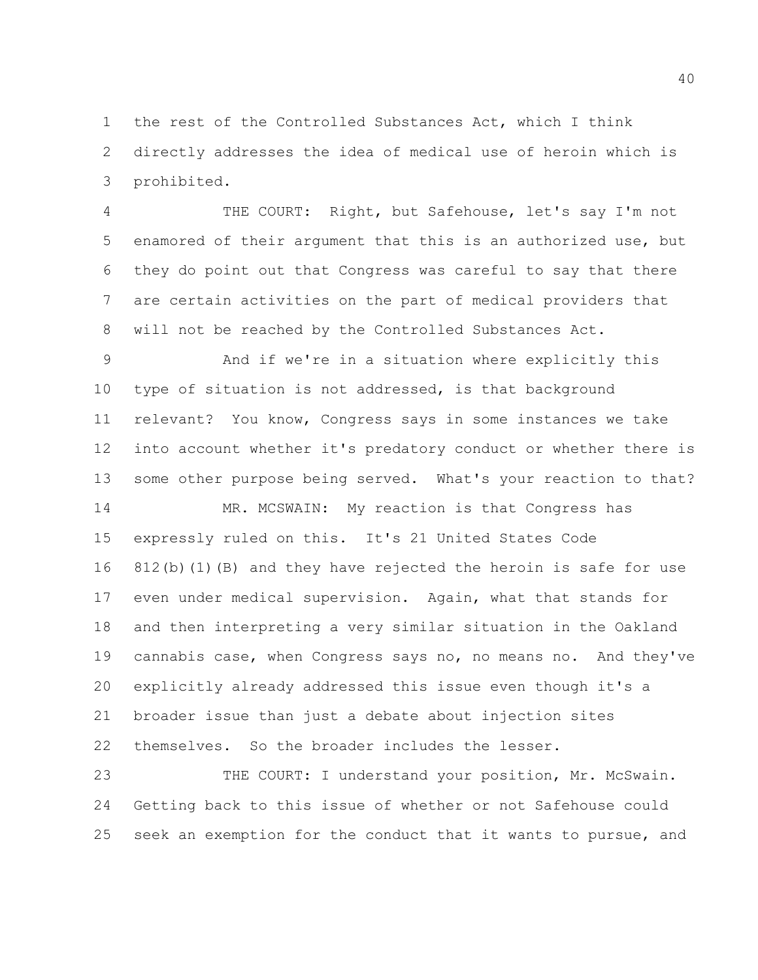the rest of the Controlled Substances Act, which I think directly addresses the idea of medical use of heroin which is prohibited.

 THE COURT: Right, but Safehouse, let's say I'm not enamored of their argument that this is an authorized use, but they do point out that Congress was careful to say that there are certain activities on the part of medical providers that will not be reached by the Controlled Substances Act.

 And if we're in a situation where explicitly this type of situation is not addressed, is that background relevant? You know, Congress says in some instances we take into account whether it's predatory conduct or whether there is some other purpose being served. What's your reaction to that?

14 MR. MCSWAIN: My reaction is that Congress has expressly ruled on this. It's 21 United States Code 812(b)(1)(B) and they have rejected the heroin is safe for use even under medical supervision. Again, what that stands for and then interpreting a very similar situation in the Oakland cannabis case, when Congress says no, no means no. And they've explicitly already addressed this issue even though it's a broader issue than just a debate about injection sites themselves. So the broader includes the lesser.

23 THE COURT: I understand your position, Mr. McSwain. Getting back to this issue of whether or not Safehouse could seek an exemption for the conduct that it wants to pursue, and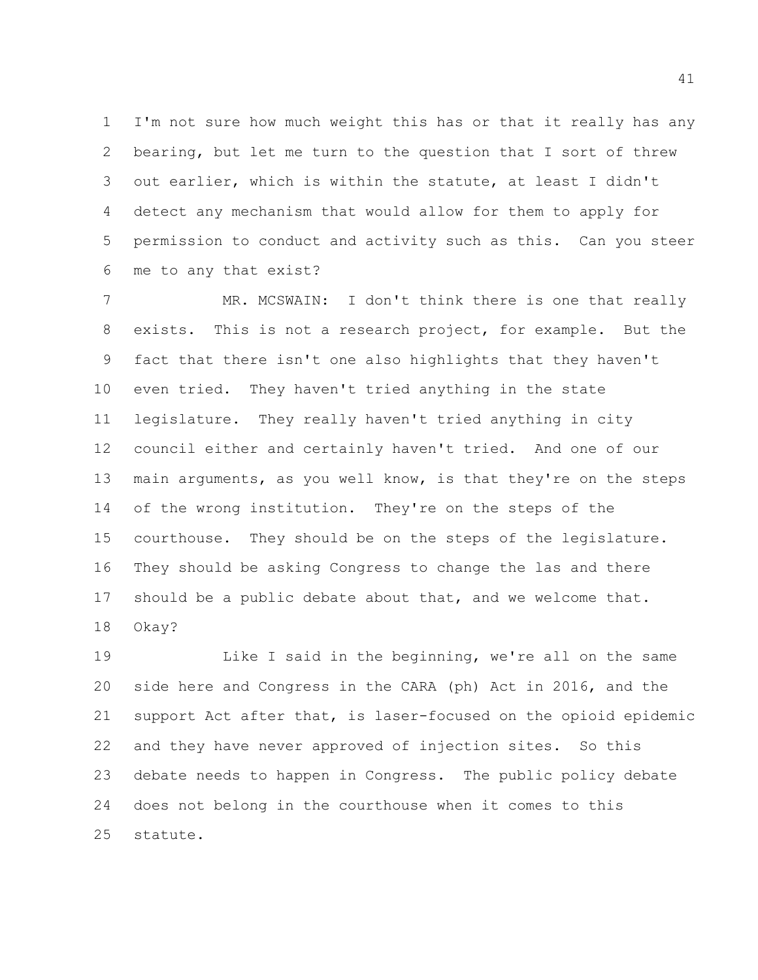I'm not sure how much weight this has or that it really has any bearing, but let me turn to the question that I sort of threw out earlier, which is within the statute, at least I didn't detect any mechanism that would allow for them to apply for permission to conduct and activity such as this. Can you steer me to any that exist?

7 MR. MCSWAIN: I don't think there is one that really exists. This is not a research project, for example. But the fact that there isn't one also highlights that they haven't even tried. They haven't tried anything in the state legislature. They really haven't tried anything in city council either and certainly haven't tried. And one of our main arguments, as you well know, is that they're on the steps 14 of the wrong institution. They're on the steps of the courthouse. They should be on the steps of the legislature. They should be asking Congress to change the las and there should be a public debate about that, and we welcome that. Okay?

 Like I said in the beginning, we're all on the same side here and Congress in the CARA (ph) Act in 2016, and the support Act after that, is laser-focused on the opioid epidemic and they have never approved of injection sites. So this debate needs to happen in Congress. The public policy debate does not belong in the courthouse when it comes to this statute.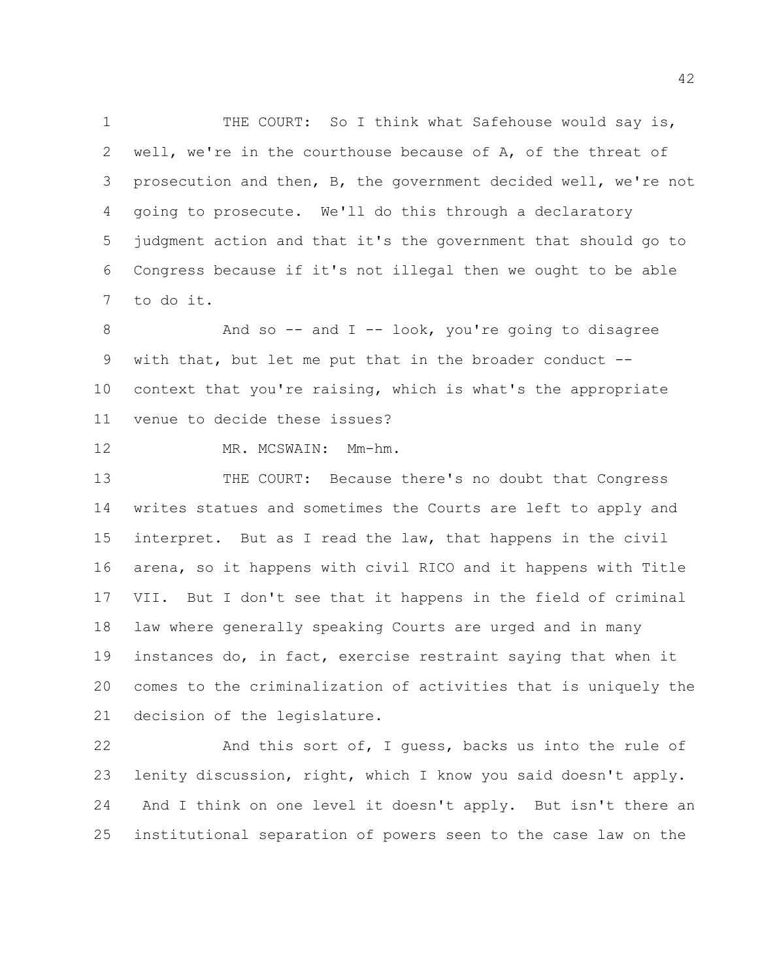1 THE COURT: So I think what Safehouse would say is, well, we're in the courthouse because of A, of the threat of prosecution and then, B, the government decided well, we're not going to prosecute. We'll do this through a declaratory judgment action and that it's the government that should go to Congress because if it's not illegal then we ought to be able to do it.

8 And so -- and I -- look, you're going to disagree with that, but let me put that in the broader conduct -- context that you're raising, which is what's the appropriate venue to decide these issues?

MR. MCSWAIN: Mm-hm.

 THE COURT: Because there's no doubt that Congress writes statues and sometimes the Courts are left to apply and interpret. But as I read the law, that happens in the civil arena, so it happens with civil RICO and it happens with Title VII. But I don't see that it happens in the field of criminal law where generally speaking Courts are urged and in many instances do, in fact, exercise restraint saying that when it comes to the criminalization of activities that is uniquely the decision of the legislature.

 And this sort of, I guess, backs us into the rule of lenity discussion, right, which I know you said doesn't apply. And I think on one level it doesn't apply. But isn't there an institutional separation of powers seen to the case law on the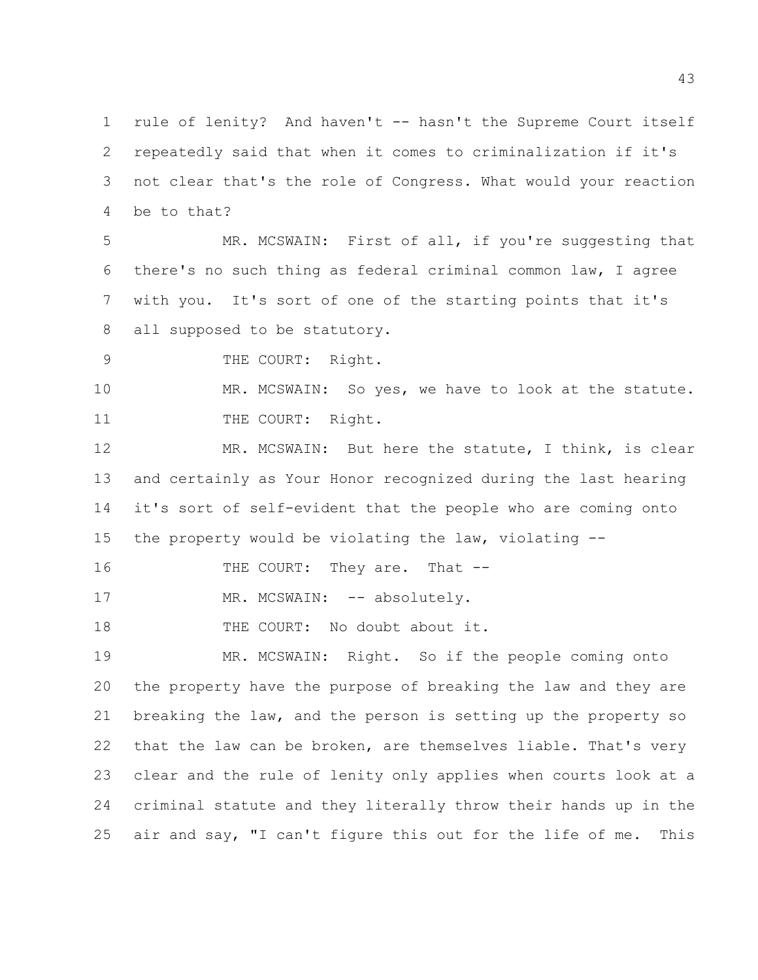rule of lenity? And haven't -- hasn't the Supreme Court itself repeatedly said that when it comes to criminalization if it's not clear that's the role of Congress. What would your reaction be to that?

 MR. MCSWAIN: First of all, if you're suggesting that there's no such thing as federal criminal common law, I agree with you. It's sort of one of the starting points that it's all supposed to be statutory.

9 THE COURT: Right.

 MR. MCSWAIN: So yes, we have to look at the statute. 11 THE COURT: Right.

12 MR. MCSWAIN: But here the statute, I think, is clear and certainly as Your Honor recognized during the last hearing it's sort of self-evident that the people who are coming onto the property would be violating the law, violating --

16 THE COURT: They are. That --

17 MR. MCSWAIN: -- absolutely.

18 THE COURT: No doubt about it.

 MR. MCSWAIN: Right. So if the people coming onto the property have the purpose of breaking the law and they are breaking the law, and the person is setting up the property so that the law can be broken, are themselves liable. That's very clear and the rule of lenity only applies when courts look at a criminal statute and they literally throw their hands up in the air and say, "I can't figure this out for the life of me. This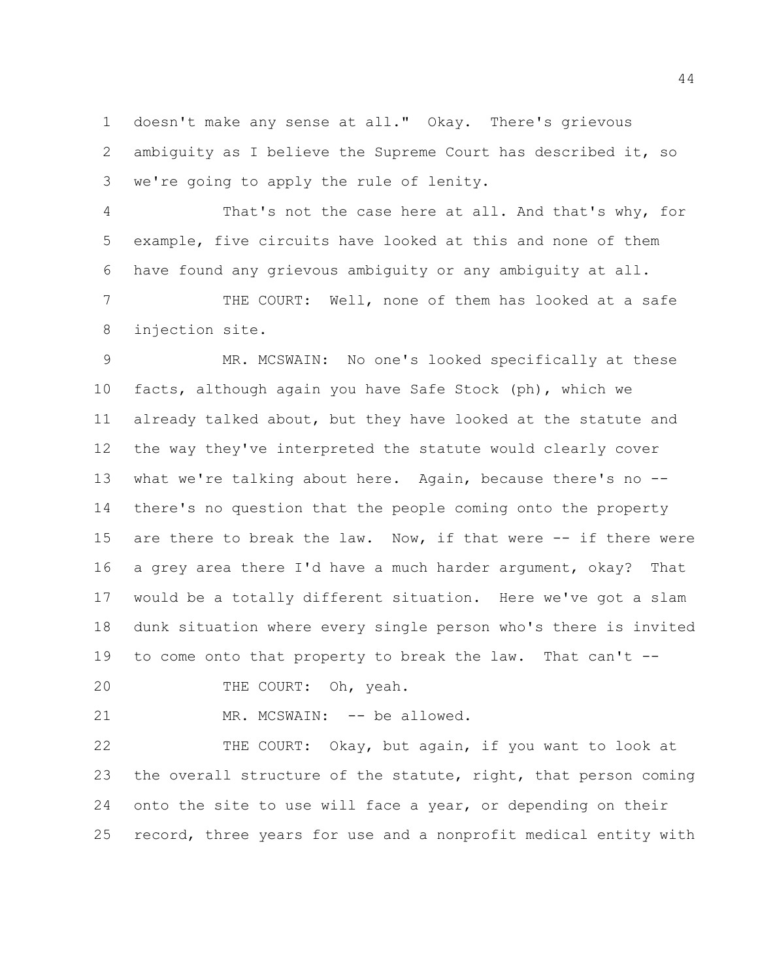doesn't make any sense at all." Okay. There's grievous ambiguity as I believe the Supreme Court has described it, so we're going to apply the rule of lenity.

 That's not the case here at all. And that's why, for example, five circuits have looked at this and none of them have found any grievous ambiguity or any ambiguity at all.

7 THE COURT: Well, none of them has looked at a safe injection site.

 MR. MCSWAIN: No one's looked specifically at these facts, although again you have Safe Stock (ph), which we already talked about, but they have looked at the statute and the way they've interpreted the statute would clearly cover what we're talking about here. Again, because there's no -- there's no question that the people coming onto the property are there to break the law. Now, if that were -- if there were a grey area there I'd have a much harder argument, okay? That would be a totally different situation. Here we've got a slam dunk situation where every single person who's there is invited to come onto that property to break the law. That can't --

20 THE COURT: Oh, yeah.

21 MR. MCSWAIN: -- be allowed.

 THE COURT: Okay, but again, if you want to look at the overall structure of the statute, right, that person coming onto the site to use will face a year, or depending on their record, three years for use and a nonprofit medical entity with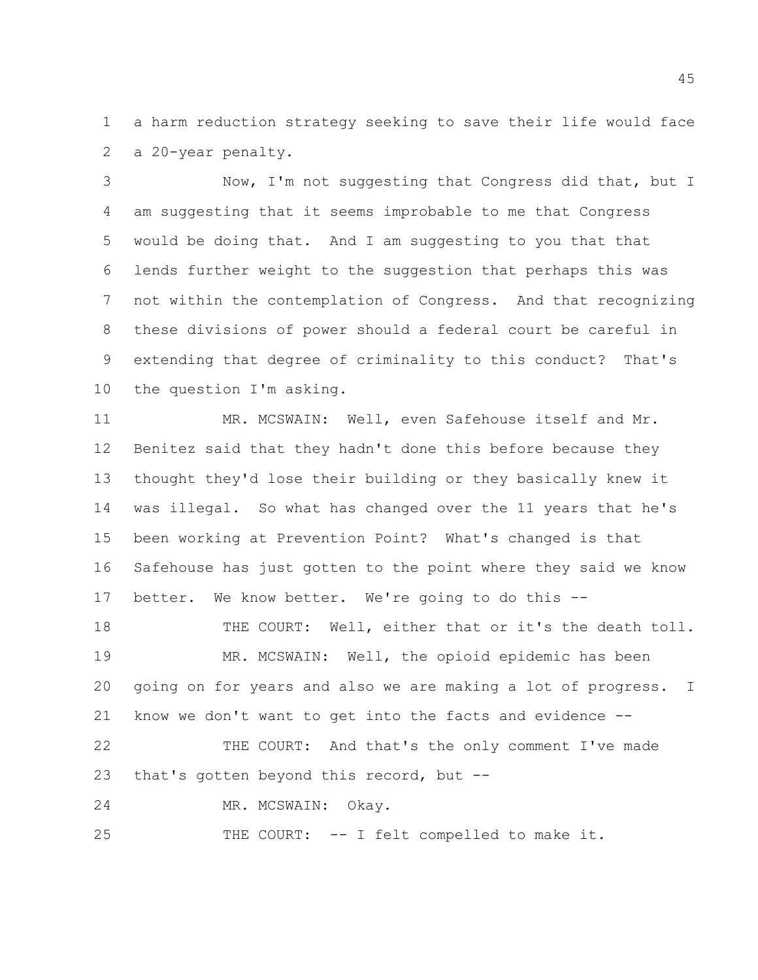a harm reduction strategy seeking to save their life would face a 20-year penalty.

 Now, I'm not suggesting that Congress did that, but I am suggesting that it seems improbable to me that Congress would be doing that. And I am suggesting to you that that lends further weight to the suggestion that perhaps this was not within the contemplation of Congress. And that recognizing these divisions of power should a federal court be careful in extending that degree of criminality to this conduct? That's the question I'm asking.

 MR. MCSWAIN: Well, even Safehouse itself and Mr. Benitez said that they hadn't done this before because they thought they'd lose their building or they basically knew it was illegal. So what has changed over the 11 years that he's been working at Prevention Point? What's changed is that Safehouse has just gotten to the point where they said we know better. We know better. We're going to do this -- 18 THE COURT: Well, either that or it's the death toll. MR. MCSWAIN: Well, the opioid epidemic has been going on for years and also we are making a lot of progress. I know we don't want to get into the facts and evidence -- 22 THE COURT: And that's the only comment I've made that's gotten beyond this record, but -- MR. MCSWAIN: Okay.

THE COURT: -- I felt compelled to make it.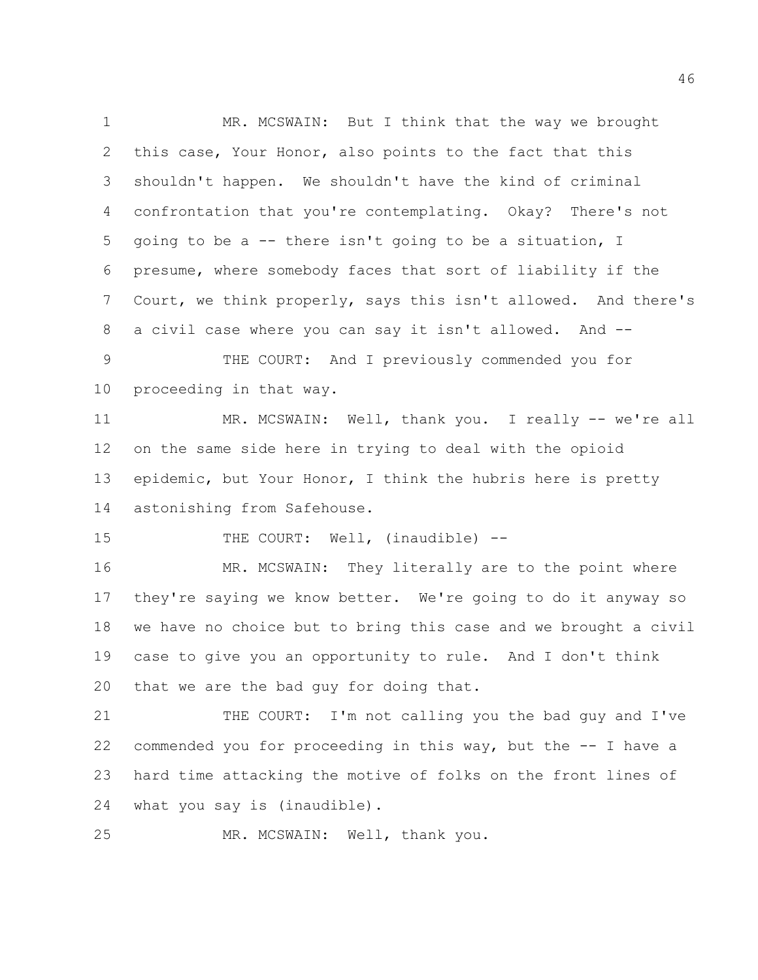1 MR. MCSWAIN: But I think that the way we brought this case, Your Honor, also points to the fact that this shouldn't happen. We shouldn't have the kind of criminal confrontation that you're contemplating. Okay? There's not going to be a -- there isn't going to be a situation, I presume, where somebody faces that sort of liability if the Court, we think properly, says this isn't allowed. And there's a civil case where you can say it isn't allowed. And -- THE COURT: And I previously commended you for proceeding in that way. 11 MR. MCSWAIN: Well, thank you. I really -- we're all on the same side here in trying to deal with the opioid 13 epidemic, but Your Honor, I think the hubris here is pretty astonishing from Safehouse. 15 THE COURT: Well, (inaudible) --16 MR. MCSWAIN: They literally are to the point where they're saying we know better. We're going to do it anyway so we have no choice but to bring this case and we brought a civil case to give you an opportunity to rule. And I don't think that we are the bad guy for doing that. THE COURT: I'm not calling you the bad guy and I've commended you for proceeding in this way, but the -- I have a hard time attacking the motive of folks on the front lines of

what you say is (inaudible).

MR. MCSWAIN: Well, thank you.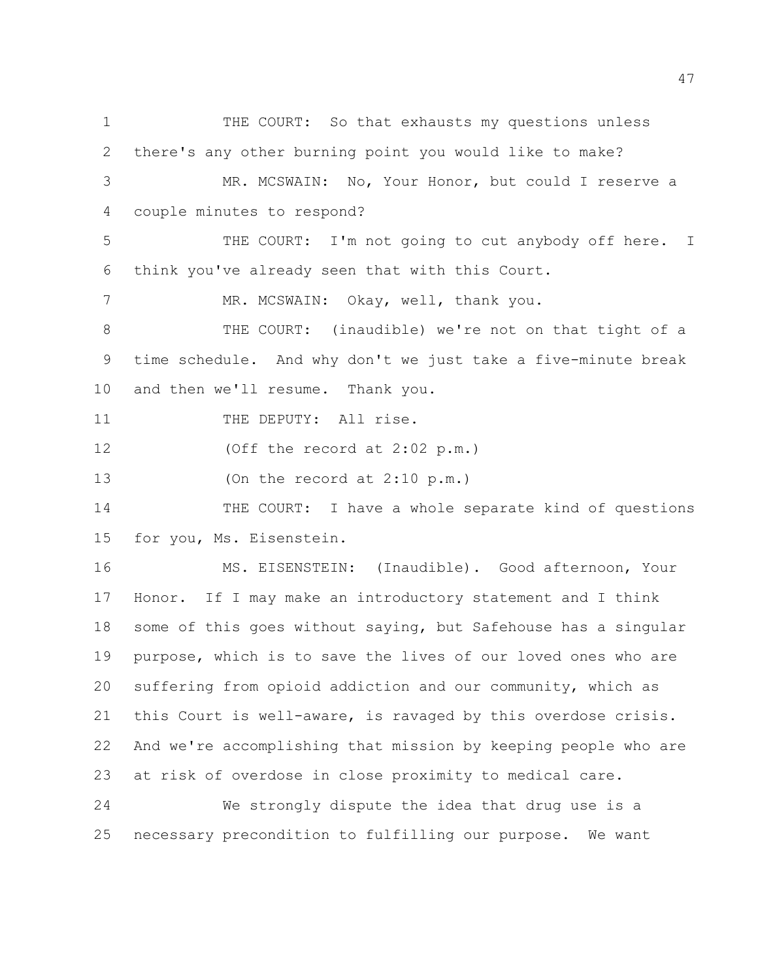1 THE COURT: So that exhausts my questions unless there's any other burning point you would like to make? MR. MCSWAIN: No, Your Honor, but could I reserve a

couple minutes to respond?

5 THE COURT: I'm not going to cut anybody off here. I think you've already seen that with this Court.

7 MR. MCSWAIN: Okay, well, thank you.

 THE COURT: (inaudible) we're not on that tight of a time schedule. And why don't we just take a five-minute break and then we'll resume. Thank you.

11 THE DEPUTY: All rise.

(Off the record at 2:02 p.m.)

(On the record at 2:10 p.m.)

 THE COURT: I have a whole separate kind of questions for you, Ms. Eisenstein.

 MS. EISENSTEIN: (Inaudible). Good afternoon, Your Honor. If I may make an introductory statement and I think some of this goes without saying, but Safehouse has a singular purpose, which is to save the lives of our loved ones who are suffering from opioid addiction and our community, which as this Court is well-aware, is ravaged by this overdose crisis. And we're accomplishing that mission by keeping people who are at risk of overdose in close proximity to medical care.

 We strongly dispute the idea that drug use is a necessary precondition to fulfilling our purpose. We want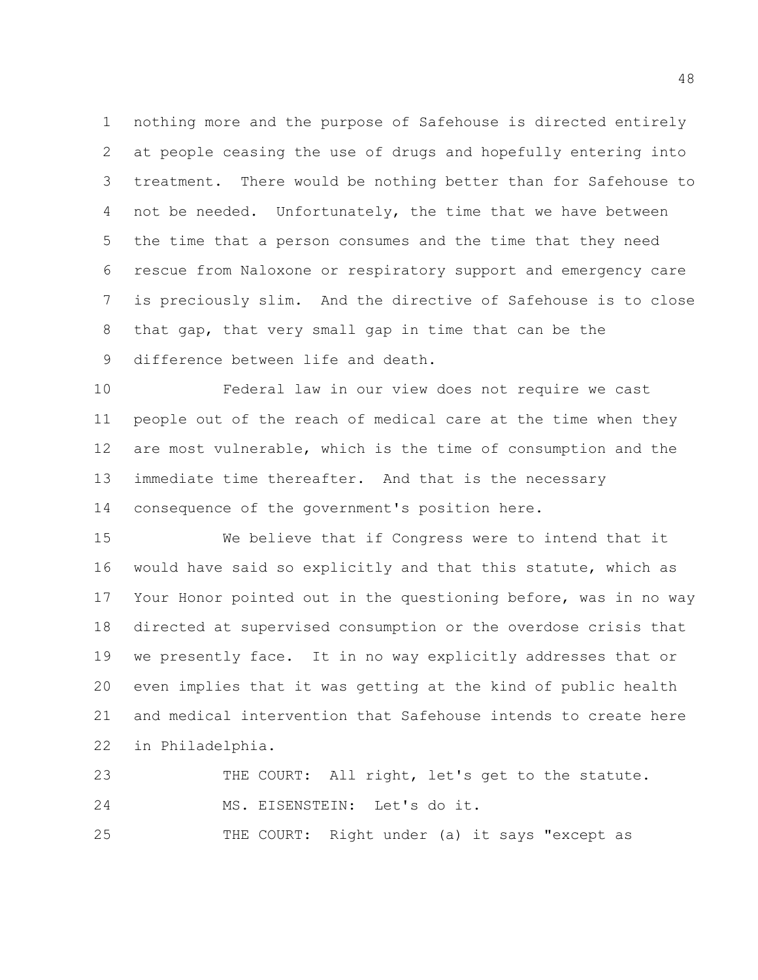nothing more and the purpose of Safehouse is directed entirely at people ceasing the use of drugs and hopefully entering into treatment. There would be nothing better than for Safehouse to 4 not be needed. Unfortunately, the time that we have between the time that a person consumes and the time that they need rescue from Naloxone or respiratory support and emergency care is preciously slim. And the directive of Safehouse is to close that gap, that very small gap in time that can be the difference between life and death.

 Federal law in our view does not require we cast people out of the reach of medical care at the time when they are most vulnerable, which is the time of consumption and the immediate time thereafter. And that is the necessary consequence of the government's position here.

 We believe that if Congress were to intend that it would have said so explicitly and that this statute, which as Your Honor pointed out in the questioning before, was in no way directed at supervised consumption or the overdose crisis that we presently face. It in no way explicitly addresses that or even implies that it was getting at the kind of public health and medical intervention that Safehouse intends to create here in Philadelphia.

23 THE COURT: All right, let's get to the statute. MS. EISENSTEIN: Let's do it. THE COURT: Right under (a) it says "except as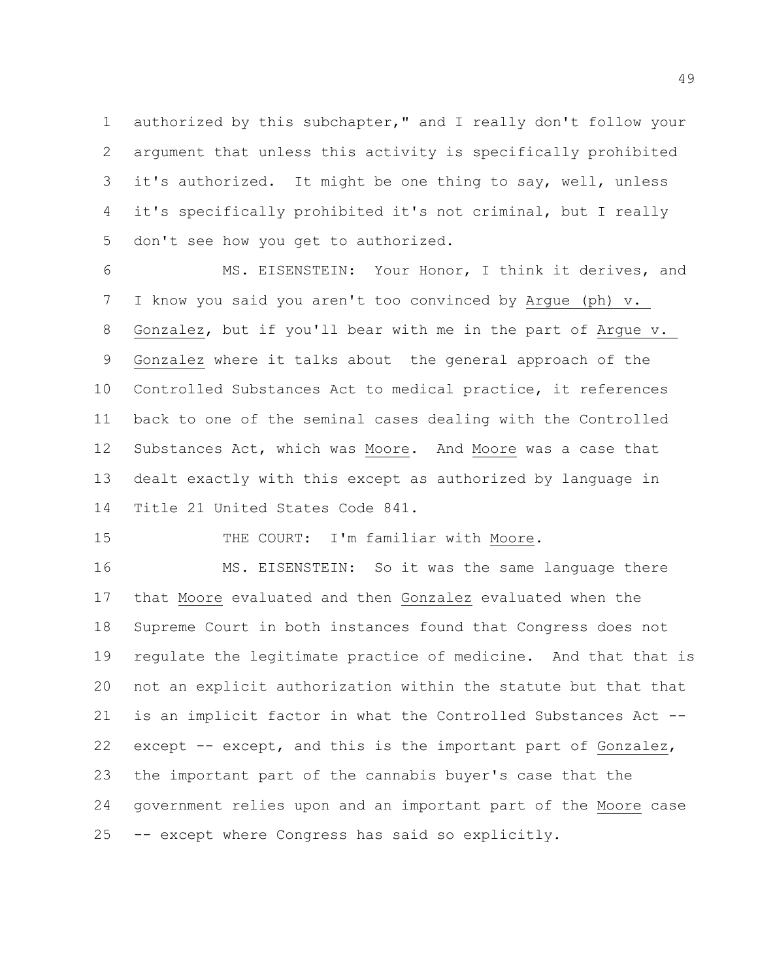authorized by this subchapter," and I really don't follow your argument that unless this activity is specifically prohibited it's authorized. It might be one thing to say, well, unless it's specifically prohibited it's not criminal, but I really don't see how you get to authorized.

 MS. EISENSTEIN: Your Honor, I think it derives, and I know you said you aren't too convinced by Argue (ph) v. Gonzalez, but if you'll bear with me in the part of Argue v. Gonzalez where it talks about the general approach of the Controlled Substances Act to medical practice, it references back to one of the seminal cases dealing with the Controlled Substances Act, which was Moore. And Moore was a case that dealt exactly with this except as authorized by language in Title 21 United States Code 841.

15 THE COURT: I'm familiar with Moore.

 MS. EISENSTEIN: So it was the same language there that Moore evaluated and then Gonzalez evaluated when the Supreme Court in both instances found that Congress does not regulate the legitimate practice of medicine. And that that is not an explicit authorization within the statute but that that is an implicit factor in what the Controlled Substances Act -- except -- except, and this is the important part of Gonzalez, the important part of the cannabis buyer's case that the government relies upon and an important part of the Moore case -- except where Congress has said so explicitly.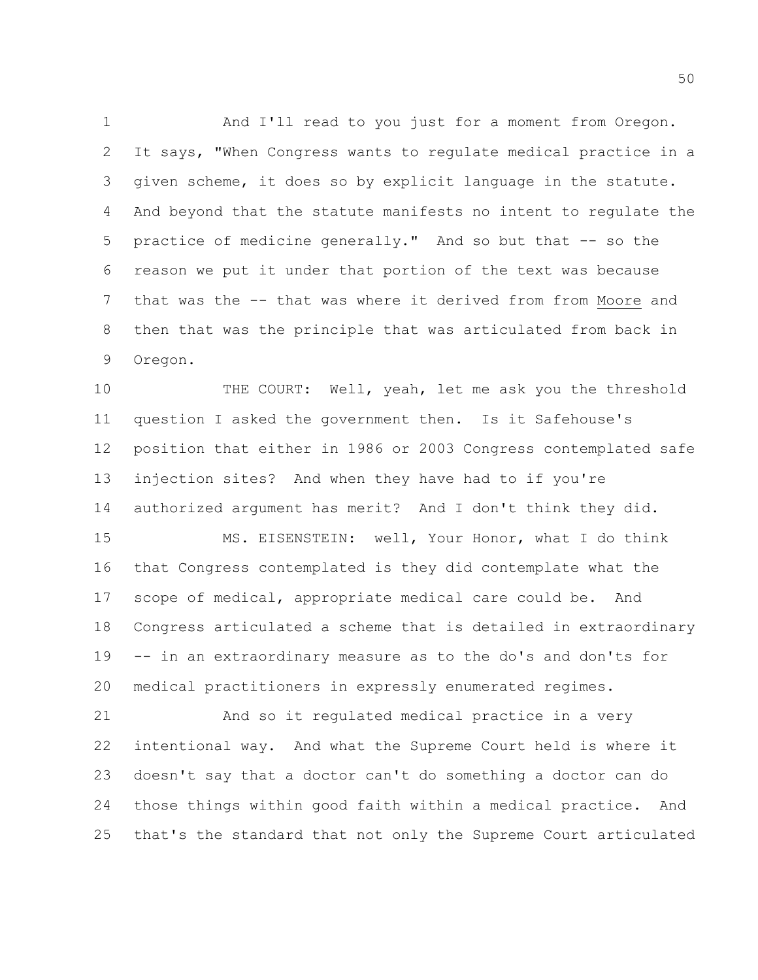And I'll read to you just for a moment from Oregon. It says, "When Congress wants to regulate medical practice in a given scheme, it does so by explicit language in the statute. And beyond that the statute manifests no intent to regulate the practice of medicine generally." And so but that -- so the reason we put it under that portion of the text was because that was the -- that was where it derived from from Moore and then that was the principle that was articulated from back in Oregon.

 THE COURT: Well, yeah, let me ask you the threshold question I asked the government then. Is it Safehouse's position that either in 1986 or 2003 Congress contemplated safe injection sites? And when they have had to if you're authorized argument has merit? And I don't think they did.

 MS. EISENSTEIN: well, Your Honor, what I do think that Congress contemplated is they did contemplate what the scope of medical, appropriate medical care could be. And Congress articulated a scheme that is detailed in extraordinary -- in an extraordinary measure as to the do's and don'ts for medical practitioners in expressly enumerated regimes.

 And so it regulated medical practice in a very intentional way. And what the Supreme Court held is where it doesn't say that a doctor can't do something a doctor can do those things within good faith within a medical practice. And that's the standard that not only the Supreme Court articulated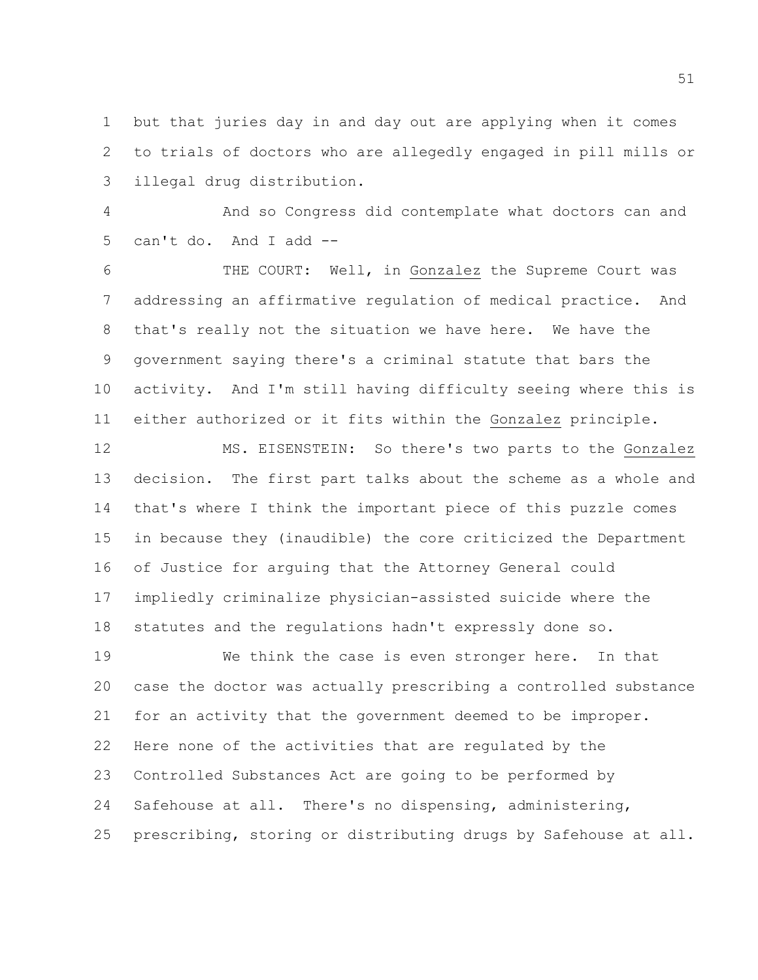but that juries day in and day out are applying when it comes to trials of doctors who are allegedly engaged in pill mills or illegal drug distribution.

 And so Congress did contemplate what doctors can and can't do. And I add --

 THE COURT: Well, in Gonzalez the Supreme Court was addressing an affirmative regulation of medical practice. And that's really not the situation we have here. We have the government saying there's a criminal statute that bars the activity. And I'm still having difficulty seeing where this is either authorized or it fits within the Gonzalez principle.

 MS. EISENSTEIN: So there's two parts to the Gonzalez decision. The first part talks about the scheme as a whole and that's where I think the important piece of this puzzle comes in because they (inaudible) the core criticized the Department of Justice for arguing that the Attorney General could impliedly criminalize physician-assisted suicide where the statutes and the regulations hadn't expressly done so.

 We think the case is even stronger here. In that case the doctor was actually prescribing a controlled substance for an activity that the government deemed to be improper. Here none of the activities that are regulated by the Controlled Substances Act are going to be performed by Safehouse at all. There's no dispensing, administering, prescribing, storing or distributing drugs by Safehouse at all.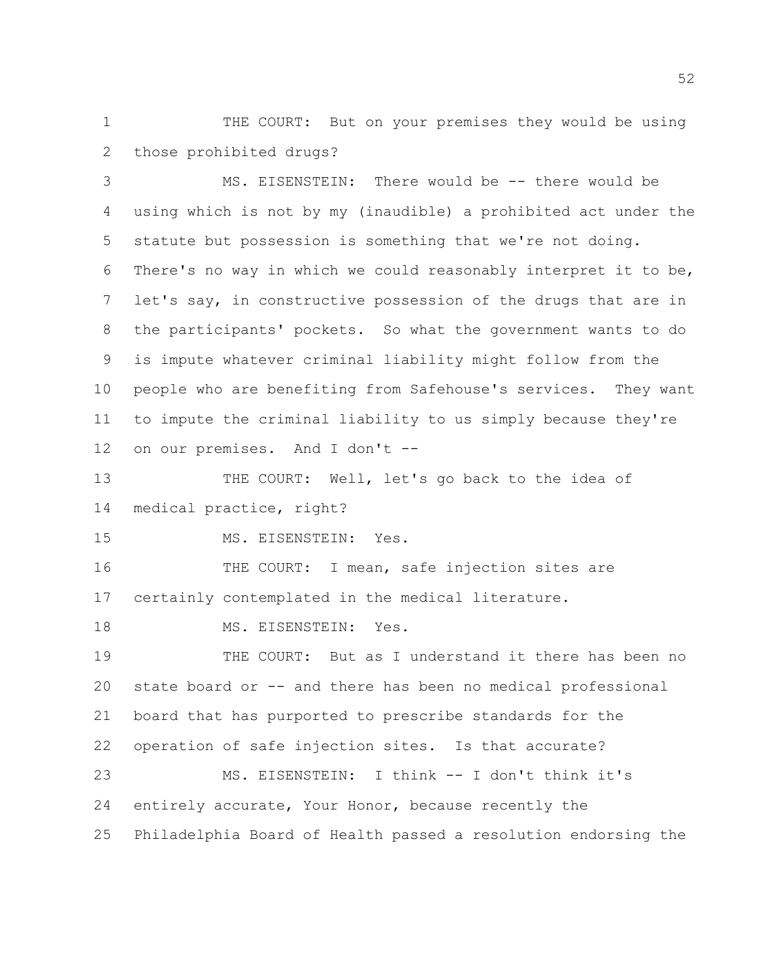1 THE COURT: But on your premises they would be using those prohibited drugs?

 MS. EISENSTEIN: There would be -- there would be using which is not by my (inaudible) a prohibited act under the statute but possession is something that we're not doing. There's no way in which we could reasonably interpret it to be, let's say, in constructive possession of the drugs that are in the participants' pockets. So what the government wants to do is impute whatever criminal liability might follow from the people who are benefiting from Safehouse's services. They want to impute the criminal liability to us simply because they're on our premises. And I don't --

 THE COURT: Well, let's go back to the idea of medical practice, right?

MS. EISENSTEIN: Yes.

16 THE COURT: I mean, safe injection sites are certainly contemplated in the medical literature.

18 MS. EISENSTEIN: Yes.

 THE COURT: But as I understand it there has been no state board or -- and there has been no medical professional board that has purported to prescribe standards for the operation of safe injection sites. Is that accurate? MS. EISENSTEIN: I think -- I don't think it's

 entirely accurate, Your Honor, because recently the Philadelphia Board of Health passed a resolution endorsing the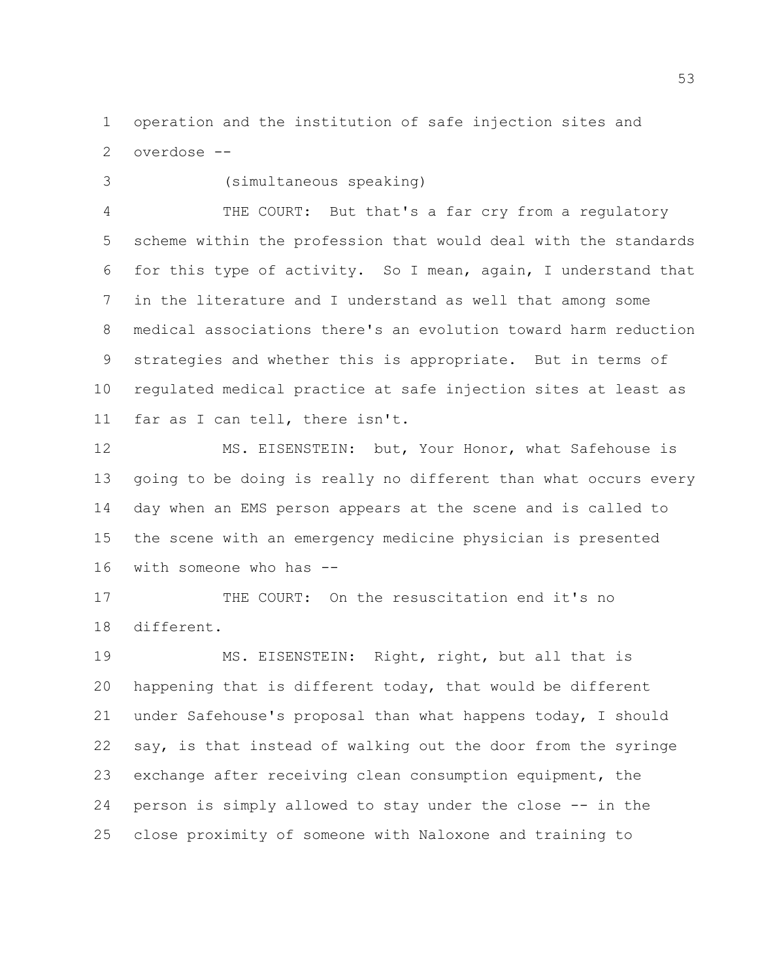operation and the institution of safe injection sites and overdose --

## (simultaneous speaking)

 THE COURT: But that's a far cry from a regulatory scheme within the profession that would deal with the standards for this type of activity. So I mean, again, I understand that in the literature and I understand as well that among some medical associations there's an evolution toward harm reduction strategies and whether this is appropriate. But in terms of regulated medical practice at safe injection sites at least as far as I can tell, there isn't.

 MS. EISENSTEIN: but, Your Honor, what Safehouse is going to be doing is really no different than what occurs every day when an EMS person appears at the scene and is called to the scene with an emergency medicine physician is presented with someone who has --

 THE COURT: On the resuscitation end it's no different.

19 MS. EISENSTEIN: Right, right, but all that is happening that is different today, that would be different under Safehouse's proposal than what happens today, I should say, is that instead of walking out the door from the syringe exchange after receiving clean consumption equipment, the person is simply allowed to stay under the close -- in the close proximity of someone with Naloxone and training to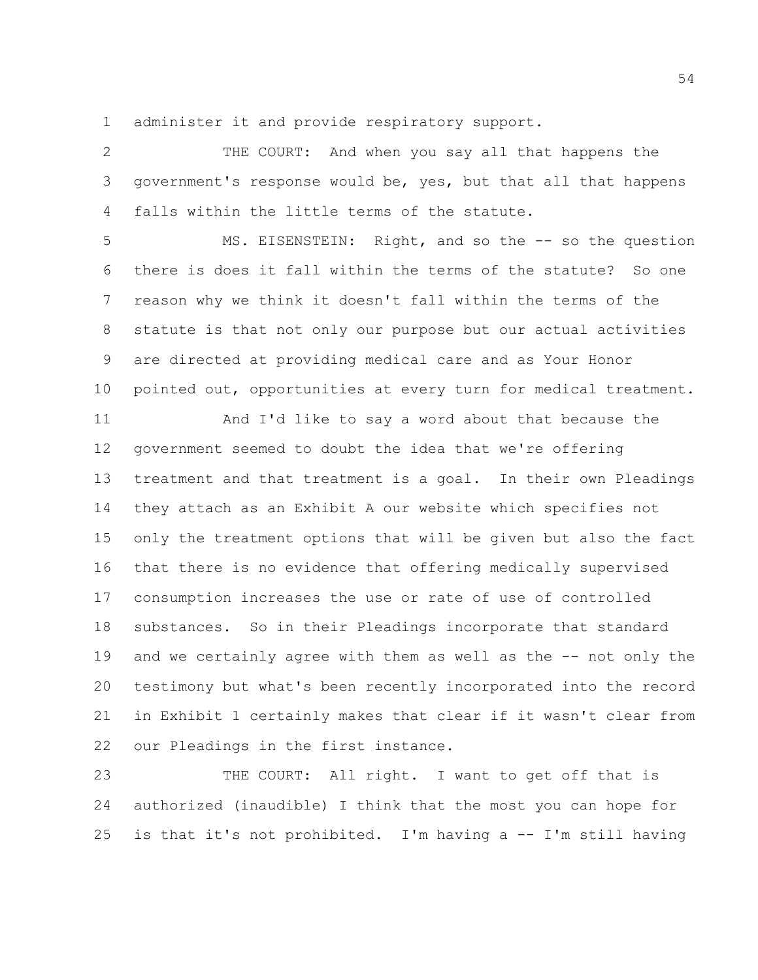administer it and provide respiratory support.

 THE COURT: And when you say all that happens the government's response would be, yes, but that all that happens falls within the little terms of the statute.

5 MS. EISENSTEIN: Right, and so the -- so the question there is does it fall within the terms of the statute? So one reason why we think it doesn't fall within the terms of the statute is that not only our purpose but our actual activities are directed at providing medical care and as Your Honor pointed out, opportunities at every turn for medical treatment.

 And I'd like to say a word about that because the government seemed to doubt the idea that we're offering treatment and that treatment is a goal. In their own Pleadings they attach as an Exhibit A our website which specifies not only the treatment options that will be given but also the fact that there is no evidence that offering medically supervised consumption increases the use or rate of use of controlled substances. So in their Pleadings incorporate that standard and we certainly agree with them as well as the -- not only the testimony but what's been recently incorporated into the record in Exhibit 1 certainly makes that clear if it wasn't clear from our Pleadings in the first instance.

23 THE COURT: All right. I want to get off that is authorized (inaudible) I think that the most you can hope for is that it's not prohibited. I'm having a -- I'm still having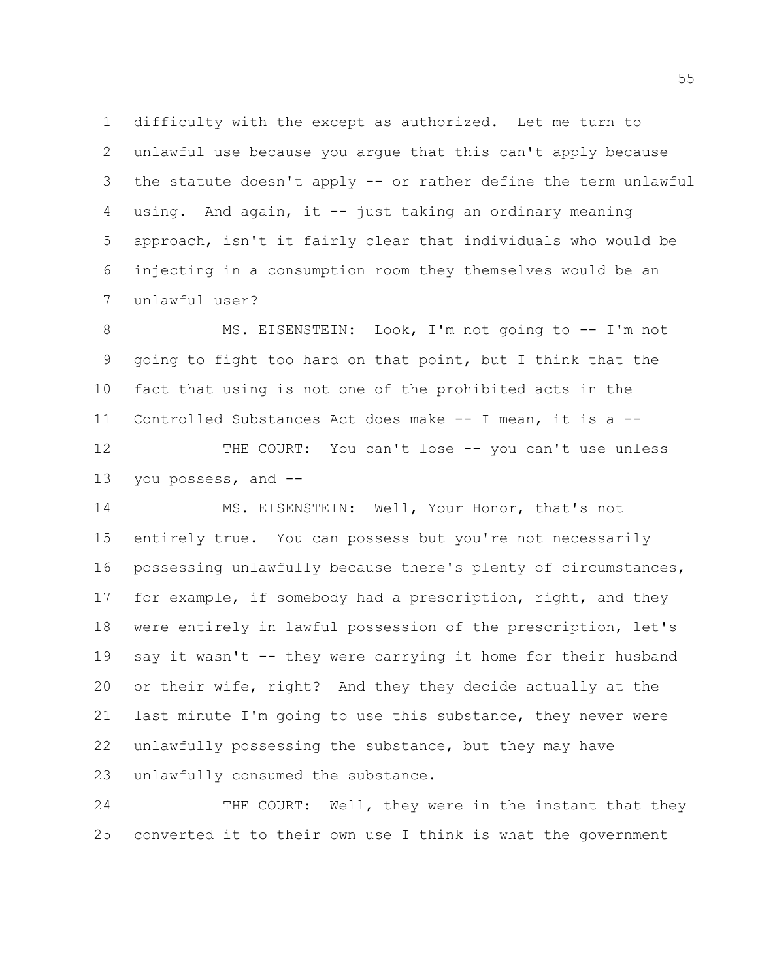difficulty with the except as authorized. Let me turn to unlawful use because you argue that this can't apply because the statute doesn't apply -- or rather define the term unlawful using. And again, it -- just taking an ordinary meaning approach, isn't it fairly clear that individuals who would be injecting in a consumption room they themselves would be an unlawful user?

 MS. EISENSTEIN: Look, I'm not going to -- I'm not going to fight too hard on that point, but I think that the fact that using is not one of the prohibited acts in the Controlled Substances Act does make -- I mean, it is a -- 12 THE COURT: You can't lose -- you can't use unless you possess, and --

 MS. EISENSTEIN: Well, Your Honor, that's not entirely true. You can possess but you're not necessarily possessing unlawfully because there's plenty of circumstances, for example, if somebody had a prescription, right, and they were entirely in lawful possession of the prescription, let's say it wasn't -- they were carrying it home for their husband or their wife, right? And they they decide actually at the last minute I'm going to use this substance, they never were unlawfully possessing the substance, but they may have unlawfully consumed the substance.

 THE COURT: Well, they were in the instant that they converted it to their own use I think is what the government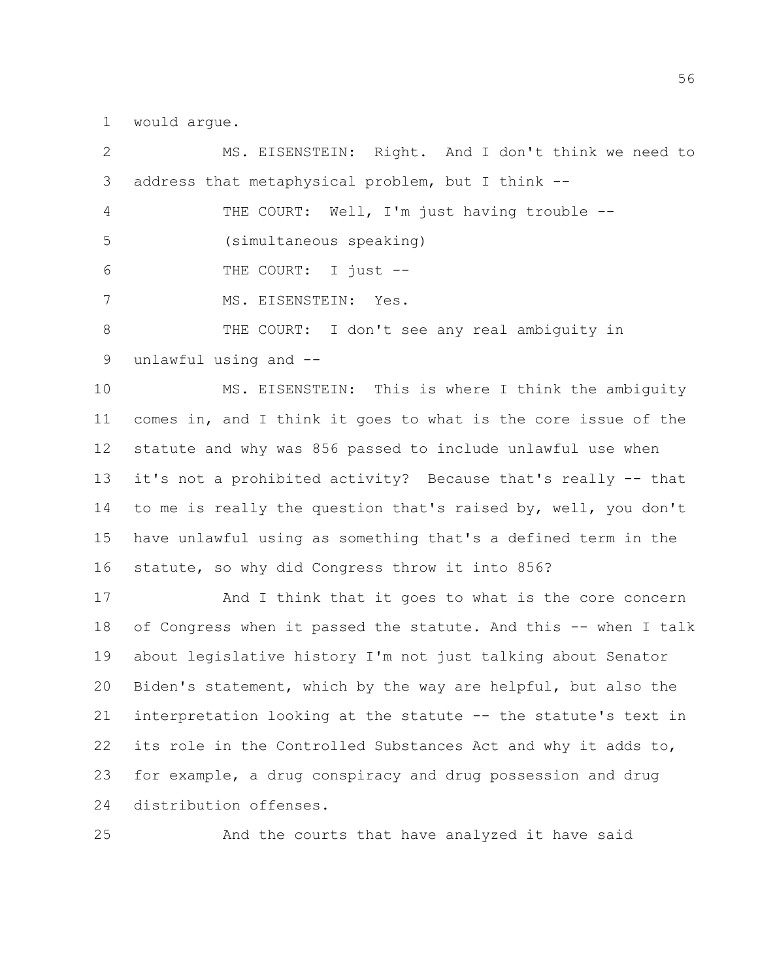would argue.

 MS. EISENSTEIN: Right. And I don't think we need to address that metaphysical problem, but I think -- THE COURT: Well, I'm just having trouble -- (simultaneous speaking) THE COURT: I just -- MS. EISENSTEIN: Yes. THE COURT: I don't see any real ambiguity in unlawful using and -- MS. EISENSTEIN: This is where I think the ambiguity

 comes in, and I think it goes to what is the core issue of the statute and why was 856 passed to include unlawful use when it's not a prohibited activity? Because that's really -- that to me is really the question that's raised by, well, you don't have unlawful using as something that's a defined term in the statute, so why did Congress throw it into 856?

 And I think that it goes to what is the core concern of Congress when it passed the statute. And this -- when I talk about legislative history I'm not just talking about Senator Biden's statement, which by the way are helpful, but also the interpretation looking at the statute -- the statute's text in its role in the Controlled Substances Act and why it adds to, for example, a drug conspiracy and drug possession and drug distribution offenses.

And the courts that have analyzed it have said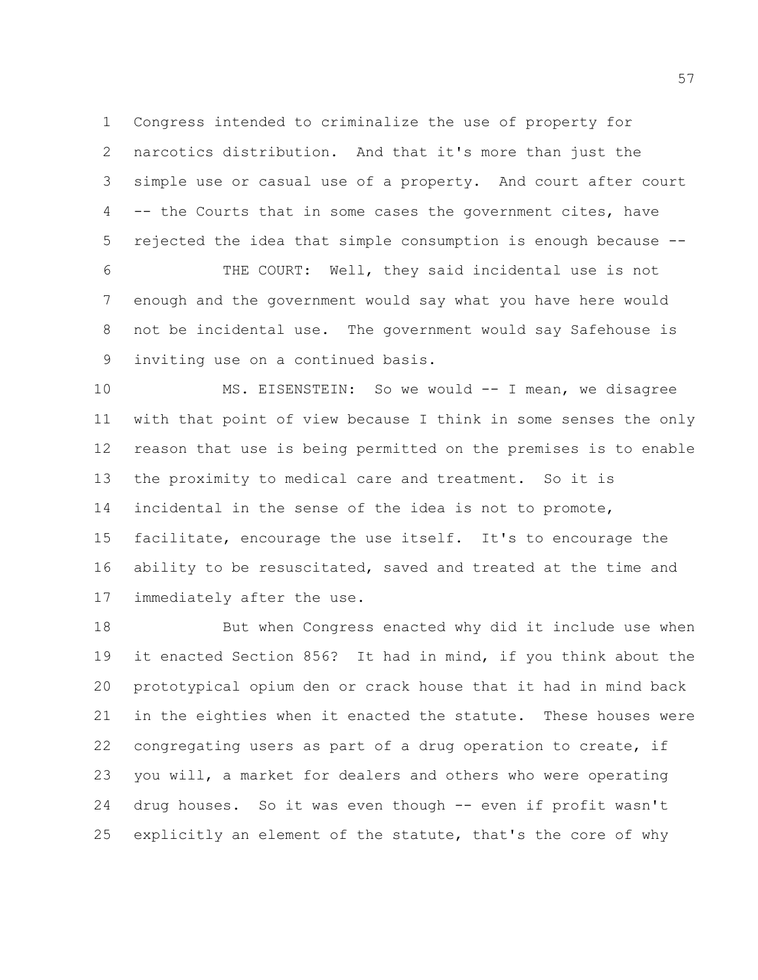Congress intended to criminalize the use of property for narcotics distribution. And that it's more than just the simple use or casual use of a property. And court after court -- the Courts that in some cases the government cites, have rejected the idea that simple consumption is enough because --

 THE COURT: Well, they said incidental use is not enough and the government would say what you have here would not be incidental use. The government would say Safehouse is inviting use on a continued basis.

 MS. EISENSTEIN: So we would -- I mean, we disagree with that point of view because I think in some senses the only reason that use is being permitted on the premises is to enable the proximity to medical care and treatment. So it is incidental in the sense of the idea is not to promote, facilitate, encourage the use itself. It's to encourage the ability to be resuscitated, saved and treated at the time and immediately after the use.

 But when Congress enacted why did it include use when it enacted Section 856? It had in mind, if you think about the prototypical opium den or crack house that it had in mind back in the eighties when it enacted the statute. These houses were congregating users as part of a drug operation to create, if you will, a market for dealers and others who were operating drug houses. So it was even though -- even if profit wasn't explicitly an element of the statute, that's the core of why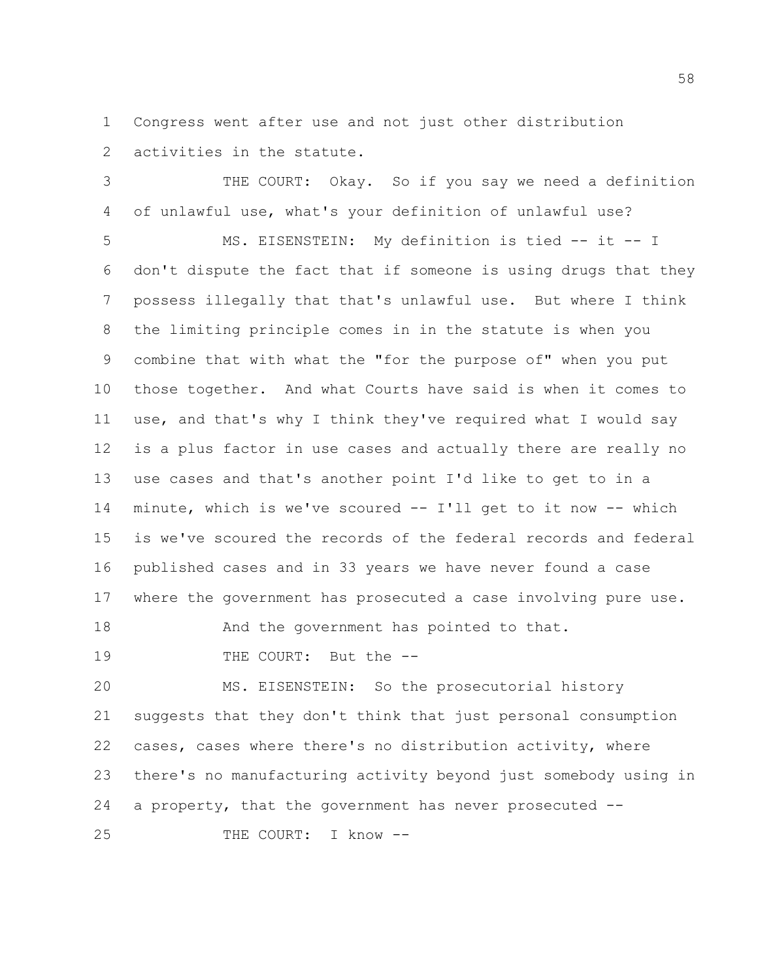Congress went after use and not just other distribution activities in the statute.

 THE COURT: Okay. So if you say we need a definition of unlawful use, what's your definition of unlawful use?

 MS. EISENSTEIN: My definition is tied -- it -- I don't dispute the fact that if someone is using drugs that they possess illegally that that's unlawful use. But where I think the limiting principle comes in in the statute is when you combine that with what the "for the purpose of" when you put those together. And what Courts have said is when it comes to use, and that's why I think they've required what I would say is a plus factor in use cases and actually there are really no use cases and that's another point I'd like to get to in a minute, which is we've scoured -- I'll get to it now -- which is we've scoured the records of the federal records and federal published cases and in 33 years we have never found a case where the government has prosecuted a case involving pure use.

18 And the government has pointed to that.

THE COURT: But the --

 MS. EISENSTEIN: So the prosecutorial history suggests that they don't think that just personal consumption cases, cases where there's no distribution activity, where there's no manufacturing activity beyond just somebody using in a property, that the government has never prosecuted --

THE COURT: I know --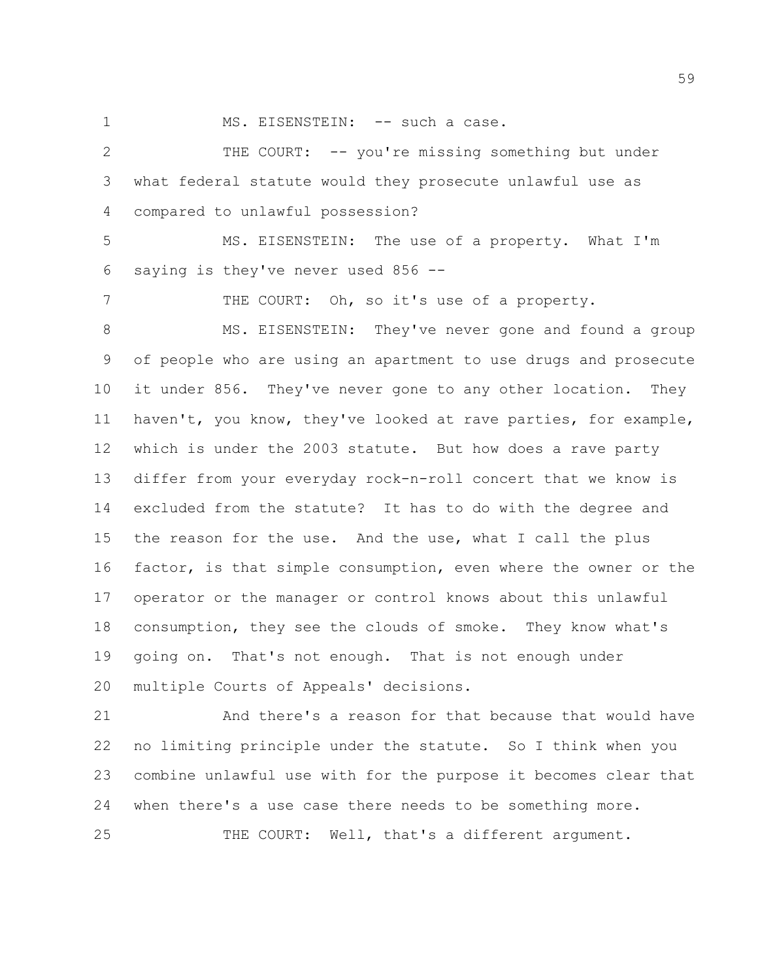1 MS. EISENSTEIN: -- such a case.

 THE COURT: -- you're missing something but under what federal statute would they prosecute unlawful use as compared to unlawful possession?

 MS. EISENSTEIN: The use of a property. What I'm saying is they've never used 856 --

7 THE COURT: Oh, so it's use of a property.

 MS. EISENSTEIN: They've never gone and found a group of people who are using an apartment to use drugs and prosecute it under 856. They've never gone to any other location. They haven't, you know, they've looked at rave parties, for example, which is under the 2003 statute. But how does a rave party differ from your everyday rock-n-roll concert that we know is excluded from the statute? It has to do with the degree and the reason for the use. And the use, what I call the plus factor, is that simple consumption, even where the owner or the operator or the manager or control knows about this unlawful consumption, they see the clouds of smoke. They know what's going on. That's not enough. That is not enough under multiple Courts of Appeals' decisions.

 And there's a reason for that because that would have no limiting principle under the statute. So I think when you combine unlawful use with for the purpose it becomes clear that when there's a use case there needs to be something more.

THE COURT: Well, that's a different argument.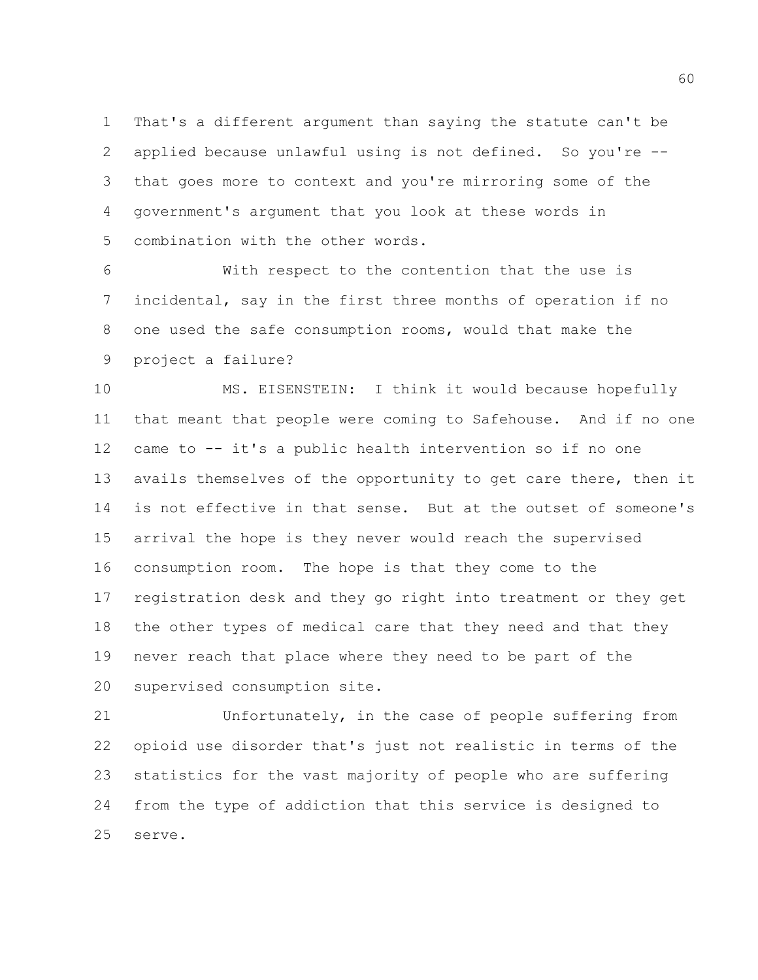That's a different argument than saying the statute can't be applied because unlawful using is not defined. So you're -- that goes more to context and you're mirroring some of the government's argument that you look at these words in combination with the other words.

 With respect to the contention that the use is incidental, say in the first three months of operation if no one used the safe consumption rooms, would that make the project a failure?

 MS. EISENSTEIN: I think it would because hopefully that meant that people were coming to Safehouse. And if no one came to -- it's a public health intervention so if no one avails themselves of the opportunity to get care there, then it is not effective in that sense. But at the outset of someone's arrival the hope is they never would reach the supervised consumption room. The hope is that they come to the registration desk and they go right into treatment or they get the other types of medical care that they need and that they never reach that place where they need to be part of the supervised consumption site.

 Unfortunately, in the case of people suffering from opioid use disorder that's just not realistic in terms of the statistics for the vast majority of people who are suffering from the type of addiction that this service is designed to serve.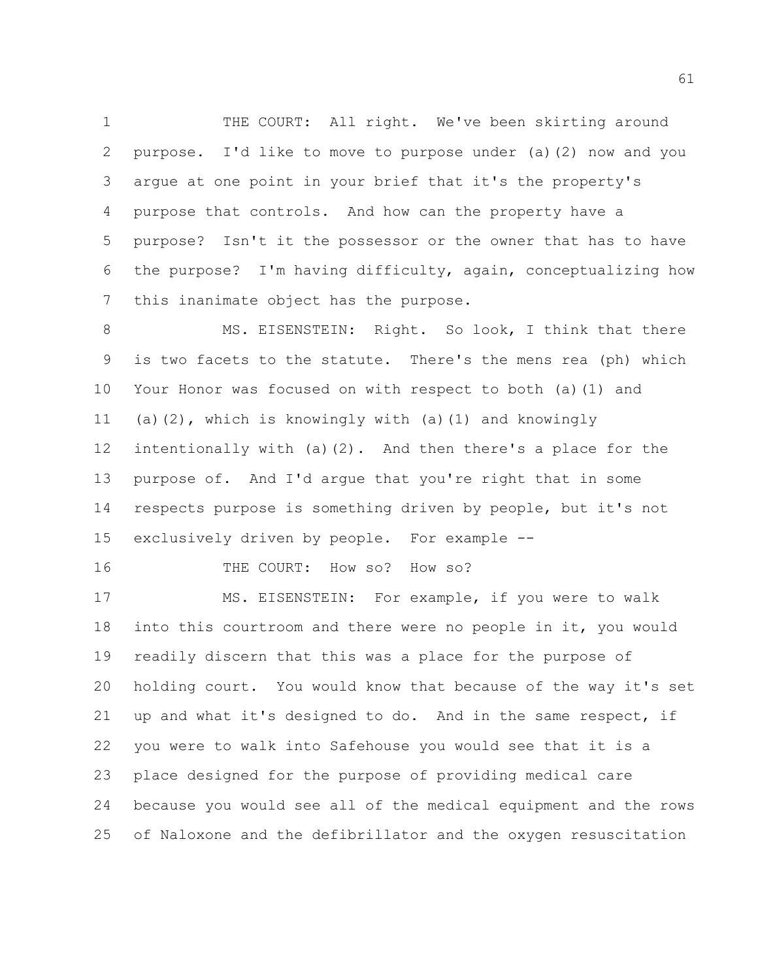1 THE COURT: All right. We've been skirting around purpose. I'd like to move to purpose under (a)(2) now and you argue at one point in your brief that it's the property's purpose that controls. And how can the property have a purpose? Isn't it the possessor or the owner that has to have the purpose? I'm having difficulty, again, conceptualizing how this inanimate object has the purpose.

8 MS. EISENSTEIN: Right. So look, I think that there is two facets to the statute. There's the mens rea (ph) which Your Honor was focused on with respect to both (a)(1) and (a)(2), which is knowingly with (a)(1) and knowingly intentionally with (a)(2). And then there's a place for the purpose of. And I'd argue that you're right that in some respects purpose is something driven by people, but it's not exclusively driven by people. For example --

THE COURT: How so? How so?

 MS. EISENSTEIN: For example, if you were to walk into this courtroom and there were no people in it, you would readily discern that this was a place for the purpose of holding court. You would know that because of the way it's set up and what it's designed to do. And in the same respect, if you were to walk into Safehouse you would see that it is a place designed for the purpose of providing medical care because you would see all of the medical equipment and the rows of Naloxone and the defibrillator and the oxygen resuscitation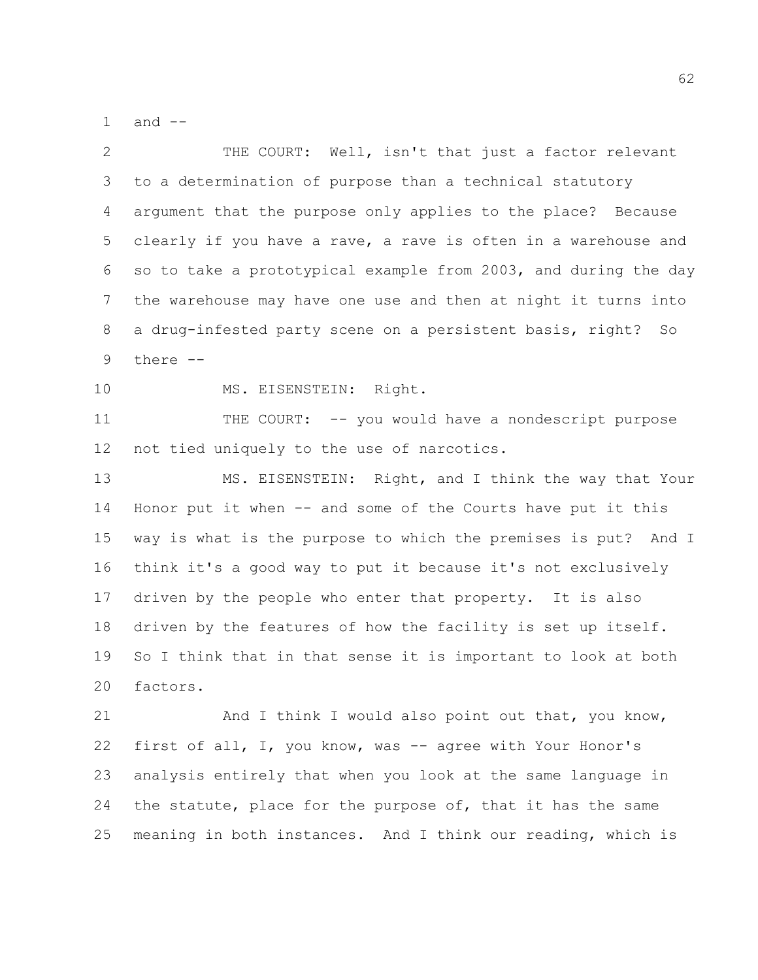1 and  $-$ 

 THE COURT: Well, isn't that just a factor relevant to a determination of purpose than a technical statutory argument that the purpose only applies to the place? Because clearly if you have a rave, a rave is often in a warehouse and so to take a prototypical example from 2003, and during the day the warehouse may have one use and then at night it turns into a drug-infested party scene on a persistent basis, right? So there --

10 MS. EISENSTEIN: Right.

 THE COURT: -- you would have a nondescript purpose not tied uniquely to the use of narcotics.

 MS. EISENSTEIN: Right, and I think the way that Your Honor put it when -- and some of the Courts have put it this way is what is the purpose to which the premises is put? And I think it's a good way to put it because it's not exclusively driven by the people who enter that property. It is also driven by the features of how the facility is set up itself. So I think that in that sense it is important to look at both factors.

21 And I think I would also point out that, you know, first of all, I, you know, was -- agree with Your Honor's analysis entirely that when you look at the same language in 24 the statute, place for the purpose of, that it has the same meaning in both instances. And I think our reading, which is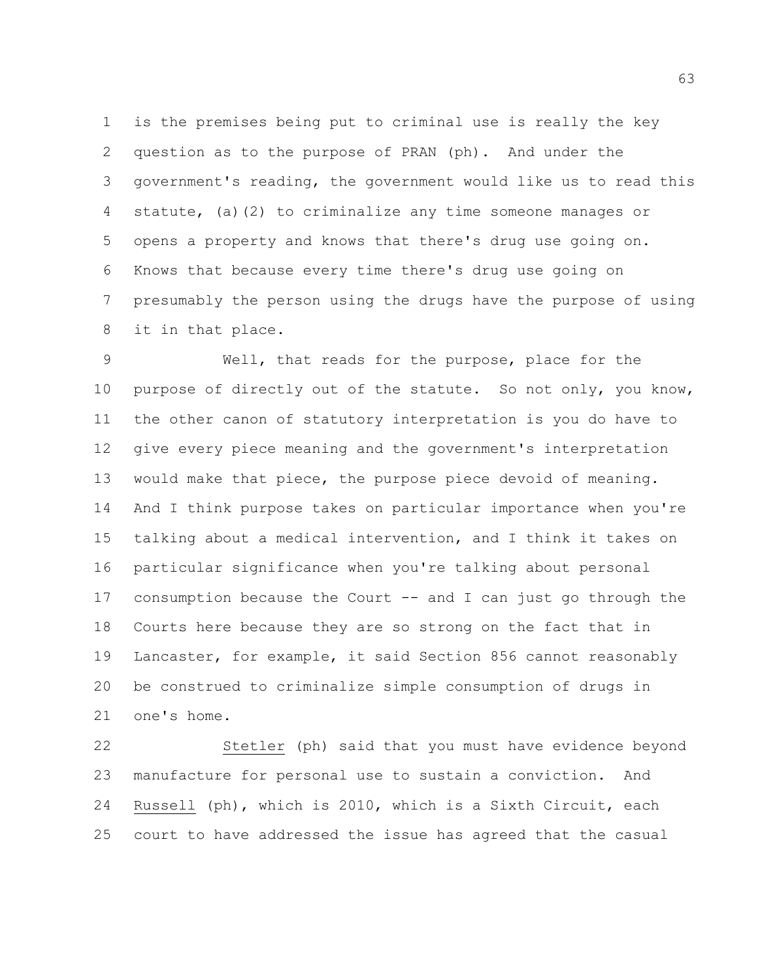is the premises being put to criminal use is really the key question as to the purpose of PRAN (ph). And under the government's reading, the government would like us to read this statute, (a)(2) to criminalize any time someone manages or opens a property and knows that there's drug use going on. Knows that because every time there's drug use going on presumably the person using the drugs have the purpose of using it in that place.

 Well, that reads for the purpose, place for the purpose of directly out of the statute. So not only, you know, the other canon of statutory interpretation is you do have to give every piece meaning and the government's interpretation would make that piece, the purpose piece devoid of meaning. And I think purpose takes on particular importance when you're talking about a medical intervention, and I think it takes on particular significance when you're talking about personal consumption because the Court -- and I can just go through the Courts here because they are so strong on the fact that in Lancaster, for example, it said Section 856 cannot reasonably be construed to criminalize simple consumption of drugs in one's home.

 Stetler (ph) said that you must have evidence beyond manufacture for personal use to sustain a conviction. And Russell (ph), which is 2010, which is a Sixth Circuit, each court to have addressed the issue has agreed that the casual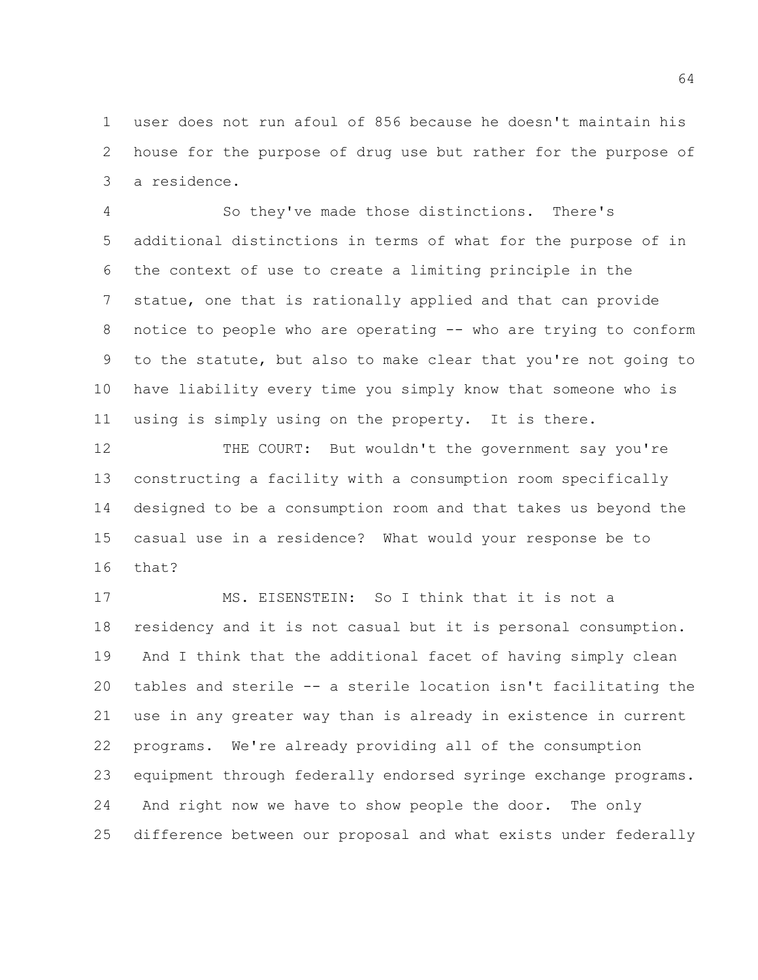user does not run afoul of 856 because he doesn't maintain his house for the purpose of drug use but rather for the purpose of a residence.

 So they've made those distinctions. There's additional distinctions in terms of what for the purpose of in the context of use to create a limiting principle in the statue, one that is rationally applied and that can provide notice to people who are operating -- who are trying to conform to the statute, but also to make clear that you're not going to have liability every time you simply know that someone who is using is simply using on the property. It is there.

12 THE COURT: But wouldn't the government say you're constructing a facility with a consumption room specifically designed to be a consumption room and that takes us beyond the casual use in a residence? What would your response be to that?

 MS. EISENSTEIN: So I think that it is not a residency and it is not casual but it is personal consumption. And I think that the additional facet of having simply clean tables and sterile -- a sterile location isn't facilitating the use in any greater way than is already in existence in current programs. We're already providing all of the consumption equipment through federally endorsed syringe exchange programs. And right now we have to show people the door. The only difference between our proposal and what exists under federally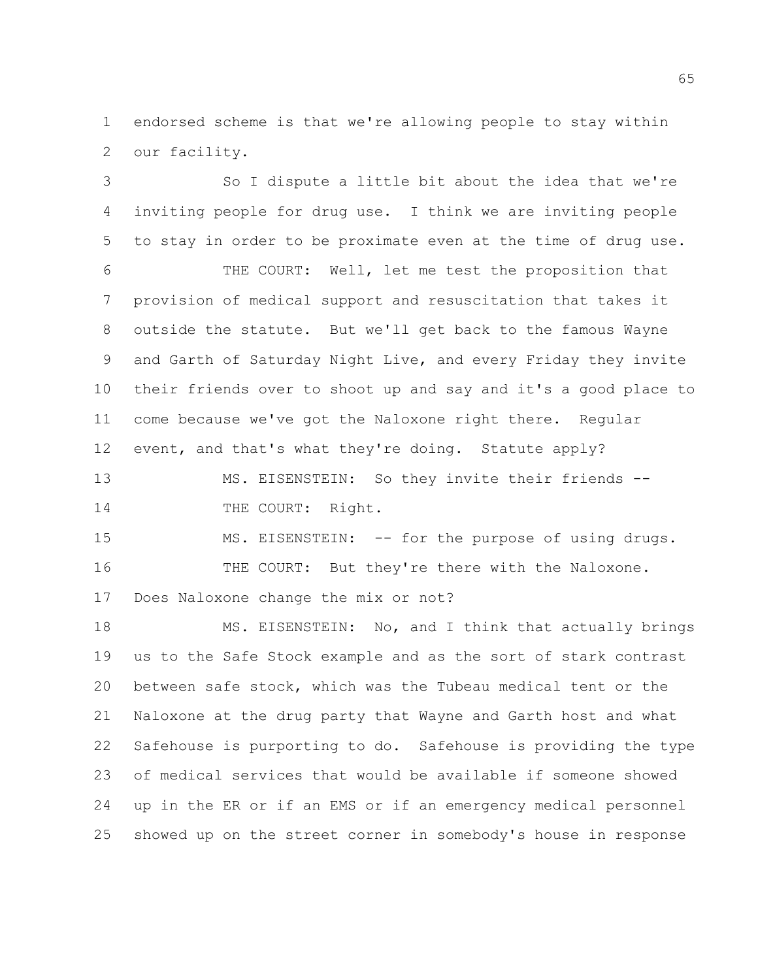endorsed scheme is that we're allowing people to stay within our facility.

 So I dispute a little bit about the idea that we're inviting people for drug use. I think we are inviting people to stay in order to be proximate even at the time of drug use. THE COURT: Well, let me test the proposition that provision of medical support and resuscitation that takes it outside the statute. But we'll get back to the famous Wayne and Garth of Saturday Night Live, and every Friday they invite their friends over to shoot up and say and it's a good place to come because we've got the Naloxone right there. Regular 12 event, and that's what they're doing. Statute apply?

 MS. EISENSTEIN: So they invite their friends -- 14 THE COURT: Right.

15 MS. EISENSTEIN: -- for the purpose of using drugs. THE COURT: But they're there with the Naloxone. Does Naloxone change the mix or not?

 MS. EISENSTEIN: No, and I think that actually brings us to the Safe Stock example and as the sort of stark contrast between safe stock, which was the Tubeau medical tent or the Naloxone at the drug party that Wayne and Garth host and what Safehouse is purporting to do. Safehouse is providing the type of medical services that would be available if someone showed up in the ER or if an EMS or if an emergency medical personnel showed up on the street corner in somebody's house in response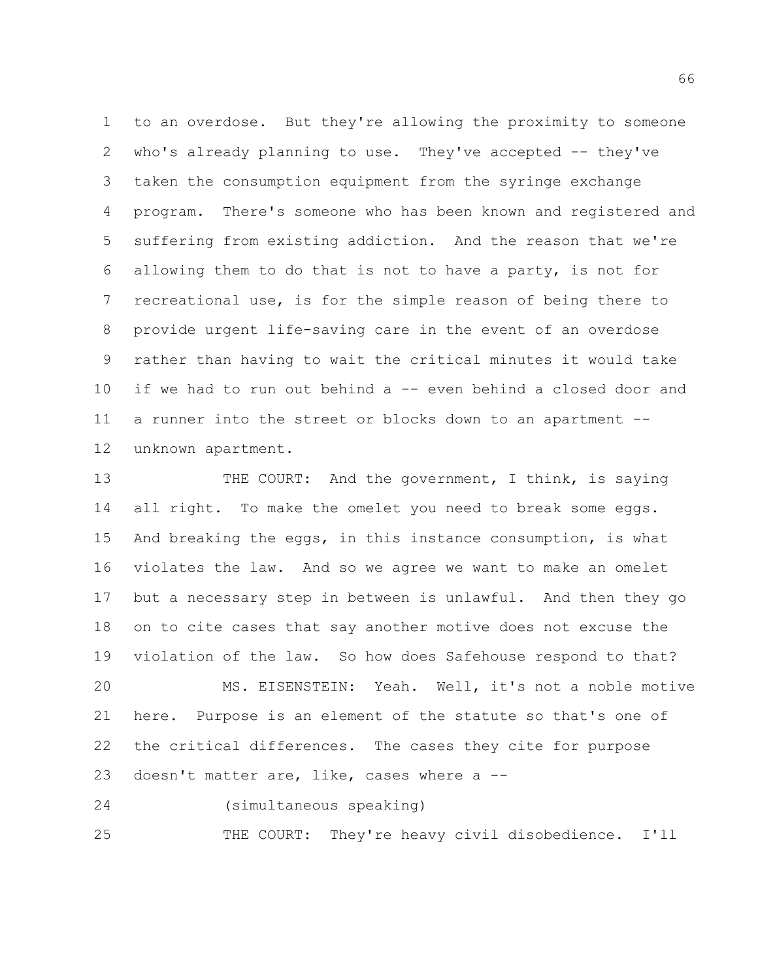to an overdose. But they're allowing the proximity to someone who's already planning to use. They've accepted -- they've taken the consumption equipment from the syringe exchange program. There's someone who has been known and registered and suffering from existing addiction. And the reason that we're allowing them to do that is not to have a party, is not for recreational use, is for the simple reason of being there to provide urgent life-saving care in the event of an overdose rather than having to wait the critical minutes it would take if we had to run out behind a -- even behind a closed door and a runner into the street or blocks down to an apartment -- unknown apartment.

 THE COURT: And the government, I think, is saying 14 all right. To make the omelet you need to break some eggs. And breaking the eggs, in this instance consumption, is what violates the law. And so we agree we want to make an omelet but a necessary step in between is unlawful. And then they go on to cite cases that say another motive does not excuse the violation of the law. So how does Safehouse respond to that? MS. EISENSTEIN: Yeah. Well, it's not a noble motive here. Purpose is an element of the statute so that's one of the critical differences. The cases they cite for purpose doesn't matter are, like, cases where a -- (simultaneous speaking)

THE COURT: They're heavy civil disobedience. I'll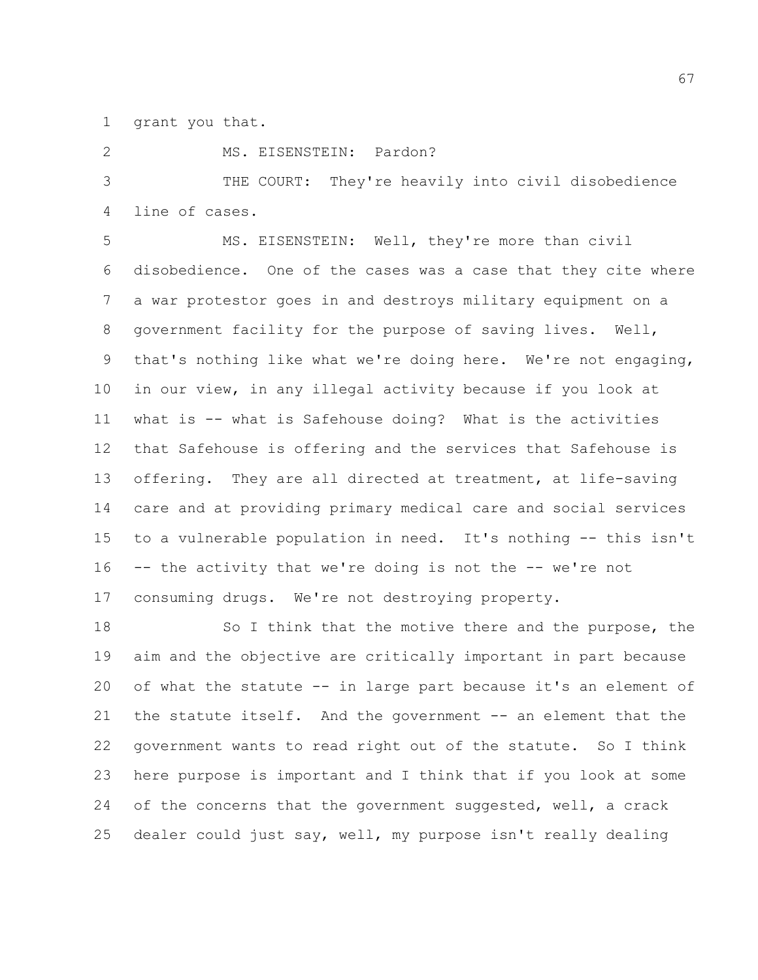grant you that.

MS. EISENSTEIN: Pardon?

 THE COURT: They're heavily into civil disobedience line of cases.

 MS. EISENSTEIN: Well, they're more than civil disobedience. One of the cases was a case that they cite where a war protestor goes in and destroys military equipment on a government facility for the purpose of saving lives. Well, that's nothing like what we're doing here. We're not engaging, in our view, in any illegal activity because if you look at what is -- what is Safehouse doing? What is the activities that Safehouse is offering and the services that Safehouse is offering. They are all directed at treatment, at life-saving care and at providing primary medical care and social services to a vulnerable population in need. It's nothing -- this isn't -- the activity that we're doing is not the -- we're not consuming drugs. We're not destroying property.

 So I think that the motive there and the purpose, the aim and the objective are critically important in part because of what the statute -- in large part because it's an element of 21 the statute itself. And the government -- an element that the government wants to read right out of the statute. So I think here purpose is important and I think that if you look at some 24 of the concerns that the government suggested, well, a crack dealer could just say, well, my purpose isn't really dealing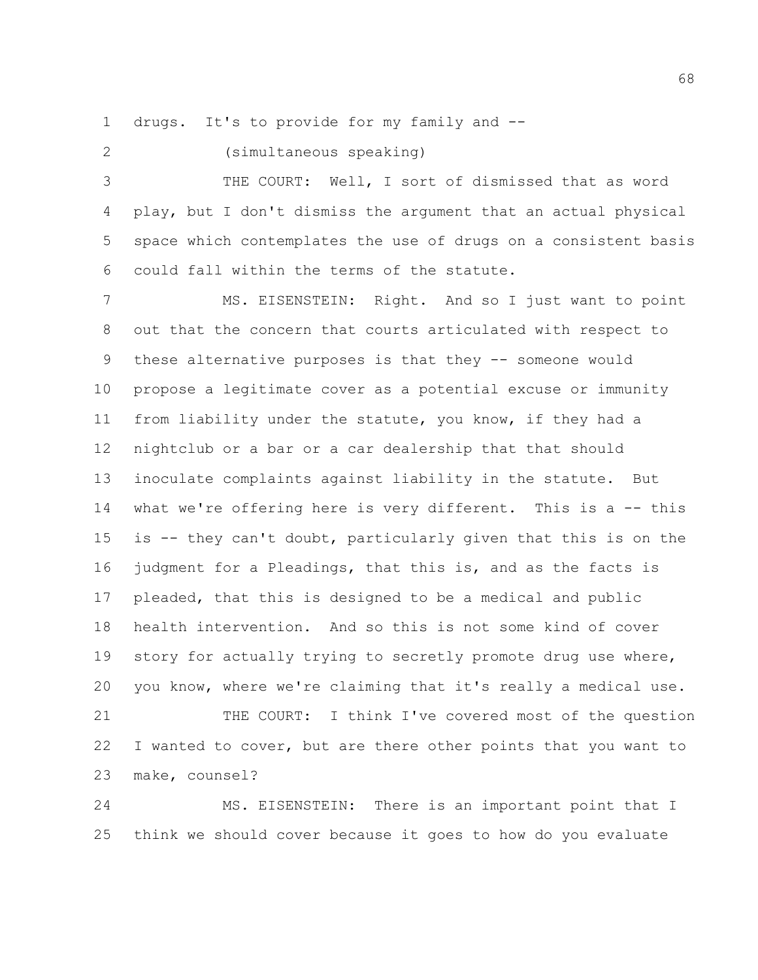drugs. It's to provide for my family and --

(simultaneous speaking)

 THE COURT: Well, I sort of dismissed that as word play, but I don't dismiss the argument that an actual physical space which contemplates the use of drugs on a consistent basis could fall within the terms of the statute.

 MS. EISENSTEIN: Right. And so I just want to point out that the concern that courts articulated with respect to these alternative purposes is that they -- someone would propose a legitimate cover as a potential excuse or immunity from liability under the statute, you know, if they had a nightclub or a bar or a car dealership that that should inoculate complaints against liability in the statute. But what we're offering here is very different. This is a -- this is -- they can't doubt, particularly given that this is on the 16 judgment for a Pleadings, that this is, and as the facts is pleaded, that this is designed to be a medical and public health intervention. And so this is not some kind of cover story for actually trying to secretly promote drug use where, you know, where we're claiming that it's really a medical use. THE COURT: I think I've covered most of the question

 I wanted to cover, but are there other points that you want to make, counsel?

 MS. EISENSTEIN: There is an important point that I think we should cover because it goes to how do you evaluate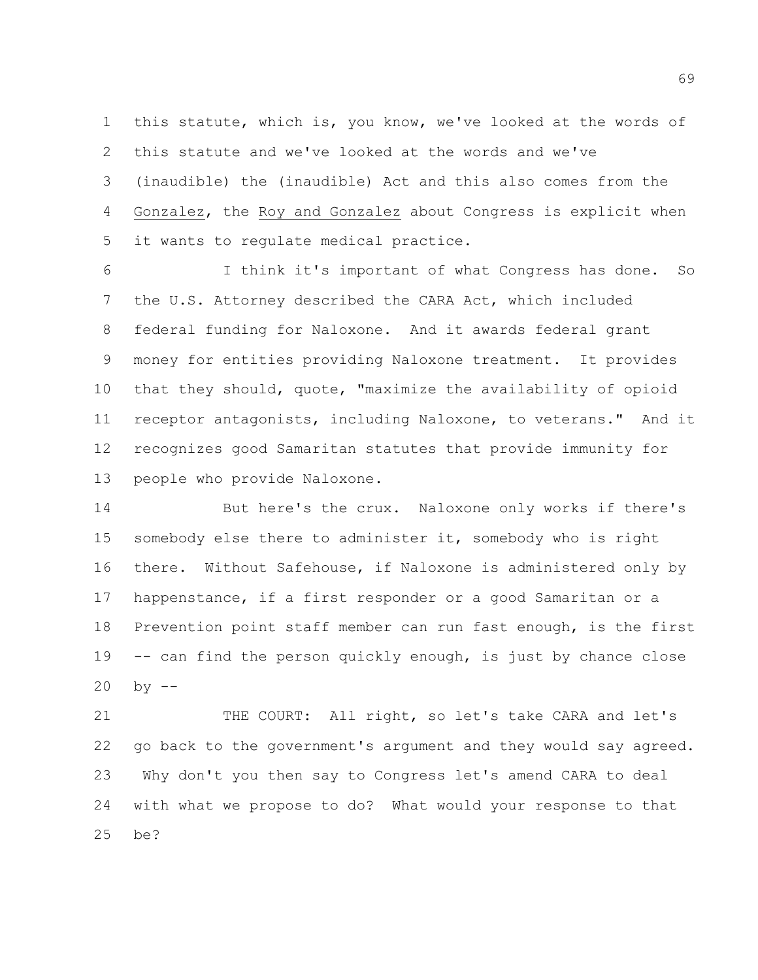this statute, which is, you know, we've looked at the words of this statute and we've looked at the words and we've (inaudible) the (inaudible) Act and this also comes from the Gonzalez, the Roy and Gonzalez about Congress is explicit when it wants to regulate medical practice.

 I think it's important of what Congress has done. So the U.S. Attorney described the CARA Act, which included federal funding for Naloxone. And it awards federal grant money for entities providing Naloxone treatment. It provides that they should, quote, "maximize the availability of opioid receptor antagonists, including Naloxone, to veterans." And it recognizes good Samaritan statutes that provide immunity for people who provide Naloxone.

 But here's the crux. Naloxone only works if there's somebody else there to administer it, somebody who is right there. Without Safehouse, if Naloxone is administered only by happenstance, if a first responder or a good Samaritan or a Prevention point staff member can run fast enough, is the first -- can find the person quickly enough, is just by chance close by  $-$ 

21 THE COURT: All right, so let's take CARA and let's go back to the government's argument and they would say agreed. Why don't you then say to Congress let's amend CARA to deal with what we propose to do? What would your response to that be?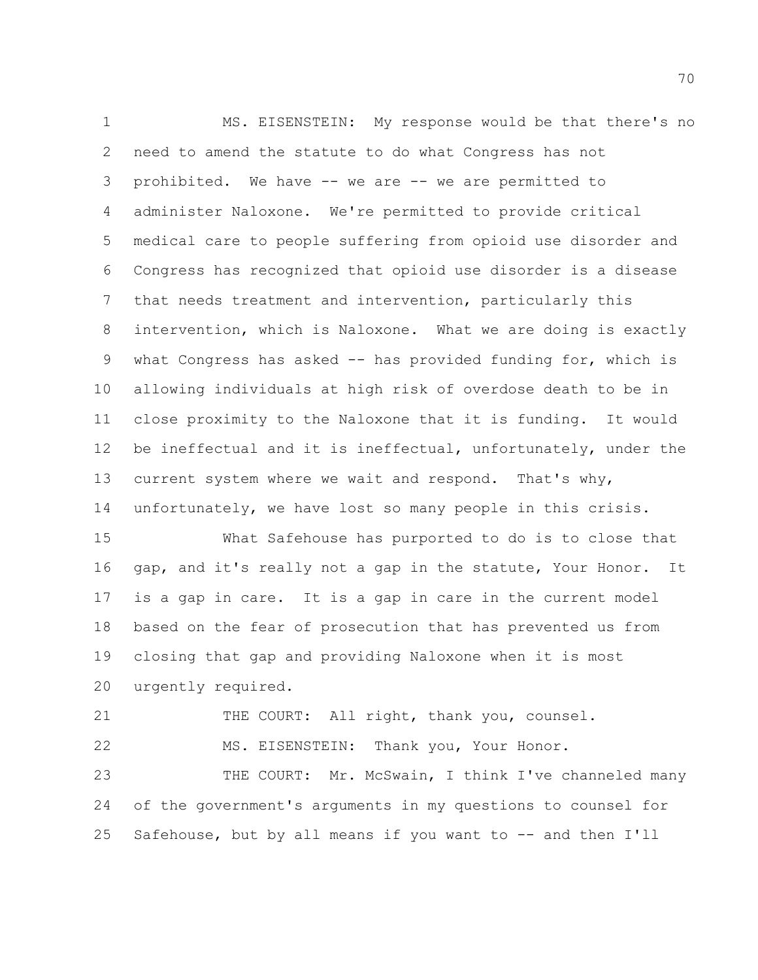MS. EISENSTEIN: My response would be that there's no need to amend the statute to do what Congress has not prohibited. We have -- we are -- we are permitted to administer Naloxone. We're permitted to provide critical medical care to people suffering from opioid use disorder and Congress has recognized that opioid use disorder is a disease that needs treatment and intervention, particularly this intervention, which is Naloxone. What we are doing is exactly what Congress has asked -- has provided funding for, which is allowing individuals at high risk of overdose death to be in close proximity to the Naloxone that it is funding. It would be ineffectual and it is ineffectual, unfortunately, under the 13 current system where we wait and respond. That's why, unfortunately, we have lost so many people in this crisis.

 What Safehouse has purported to do is to close that gap, and it's really not a gap in the statute, Your Honor. It is a gap in care. It is a gap in care in the current model based on the fear of prosecution that has prevented us from closing that gap and providing Naloxone when it is most urgently required.

21 THE COURT: All right, thank you, counsel.

MS. EISENSTEIN: Thank you, Your Honor.

23 THE COURT: Mr. McSwain, I think I've channeled many of the government's arguments in my questions to counsel for Safehouse, but by all means if you want to -- and then I'll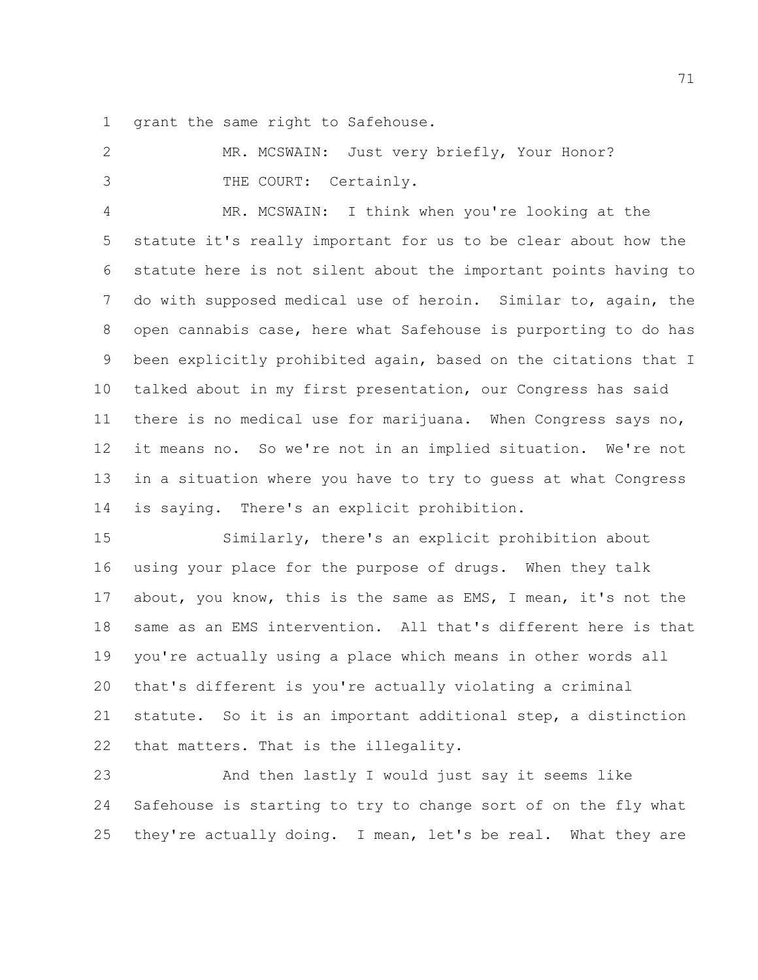grant the same right to Safehouse.

 MR. MCSWAIN: Just very briefly, Your Honor? THE COURT: Certainly.

 MR. MCSWAIN: I think when you're looking at the statute it's really important for us to be clear about how the statute here is not silent about the important points having to do with supposed medical use of heroin. Similar to, again, the open cannabis case, here what Safehouse is purporting to do has been explicitly prohibited again, based on the citations that I talked about in my first presentation, our Congress has said there is no medical use for marijuana. When Congress says no, it means no. So we're not in an implied situation. We're not in a situation where you have to try to guess at what Congress is saying. There's an explicit prohibition.

 Similarly, there's an explicit prohibition about using your place for the purpose of drugs. When they talk about, you know, this is the same as EMS, I mean, it's not the same as an EMS intervention. All that's different here is that you're actually using a place which means in other words all that's different is you're actually violating a criminal statute. So it is an important additional step, a distinction that matters. That is the illegality.

 And then lastly I would just say it seems like Safehouse is starting to try to change sort of on the fly what they're actually doing. I mean, let's be real. What they are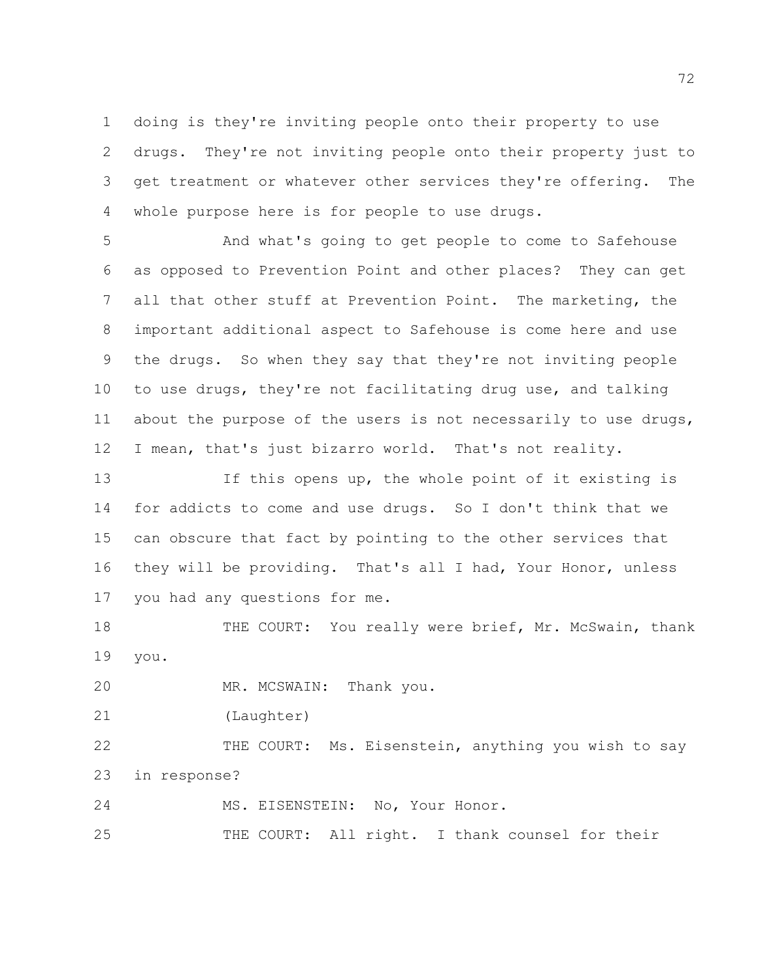doing is they're inviting people onto their property to use drugs. They're not inviting people onto their property just to get treatment or whatever other services they're offering. The whole purpose here is for people to use drugs.

 And what's going to get people to come to Safehouse as opposed to Prevention Point and other places? They can get all that other stuff at Prevention Point. The marketing, the important additional aspect to Safehouse is come here and use the drugs. So when they say that they're not inviting people to use drugs, they're not facilitating drug use, and talking about the purpose of the users is not necessarily to use drugs, I mean, that's just bizarro world. That's not reality.

 If this opens up, the whole point of it existing is for addicts to come and use drugs. So I don't think that we can obscure that fact by pointing to the other services that they will be providing. That's all I had, Your Honor, unless you had any questions for me.

18 THE COURT: You really were brief, Mr. McSwain, thank you.

MR. MCSWAIN: Thank you.

(Laughter)

 THE COURT: Ms. Eisenstein, anything you wish to say in response?

MS. EISENSTEIN: No, Your Honor.

THE COURT: All right. I thank counsel for their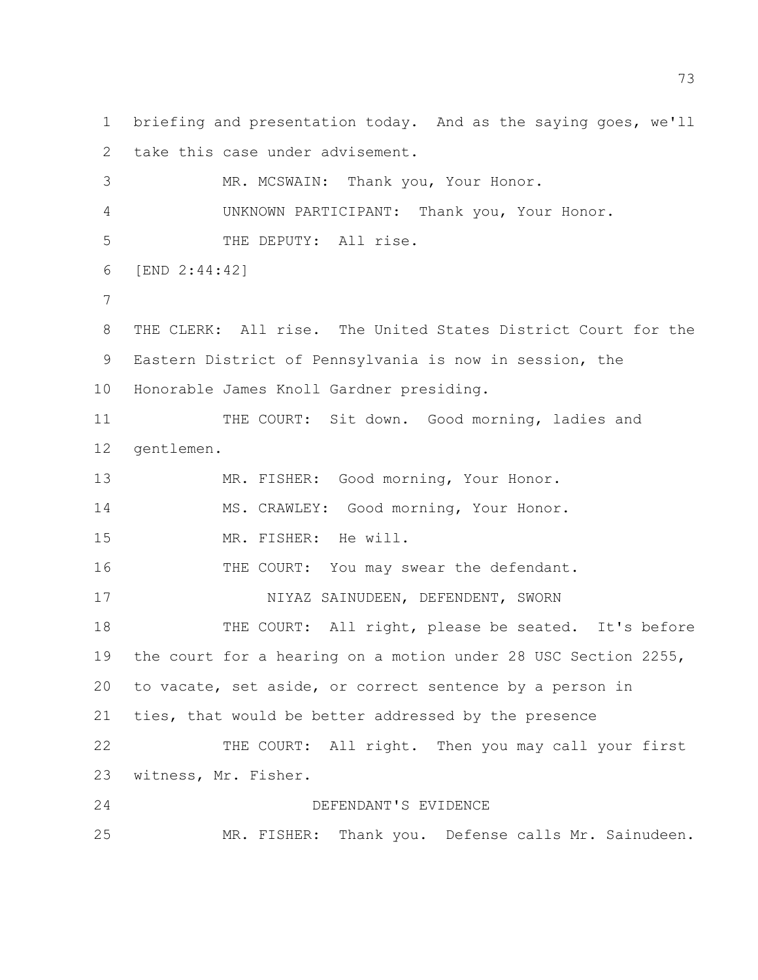briefing and presentation today. And as the saying goes, we'll take this case under advisement. MR. MCSWAIN: Thank you, Your Honor. UNKNOWN PARTICIPANT: Thank you, Your Honor. THE DEPUTY: All rise. [END 2:44:42] THE CLERK: All rise. The United States District Court for the Eastern District of Pennsylvania is now in session, the Honorable James Knoll Gardner presiding. THE COURT: Sit down. Good morning, ladies and gentlemen. MR. FISHER: Good morning, Your Honor. MS. CRAWLEY: Good morning, Your Honor. MR. FISHER: He will. THE COURT: You may swear the defendant. 17 NIYAZ SAINUDEEN, DEFENDENT, SWORN 18 THE COURT: All right, please be seated. It's before the court for a hearing on a motion under 28 USC Section 2255, to vacate, set aside, or correct sentence by a person in ties, that would be better addressed by the presence THE COURT: All right. Then you may call your first witness, Mr. Fisher. DEFENDANT'S EVIDENCE MR. FISHER: Thank you. Defense calls Mr. Sainudeen.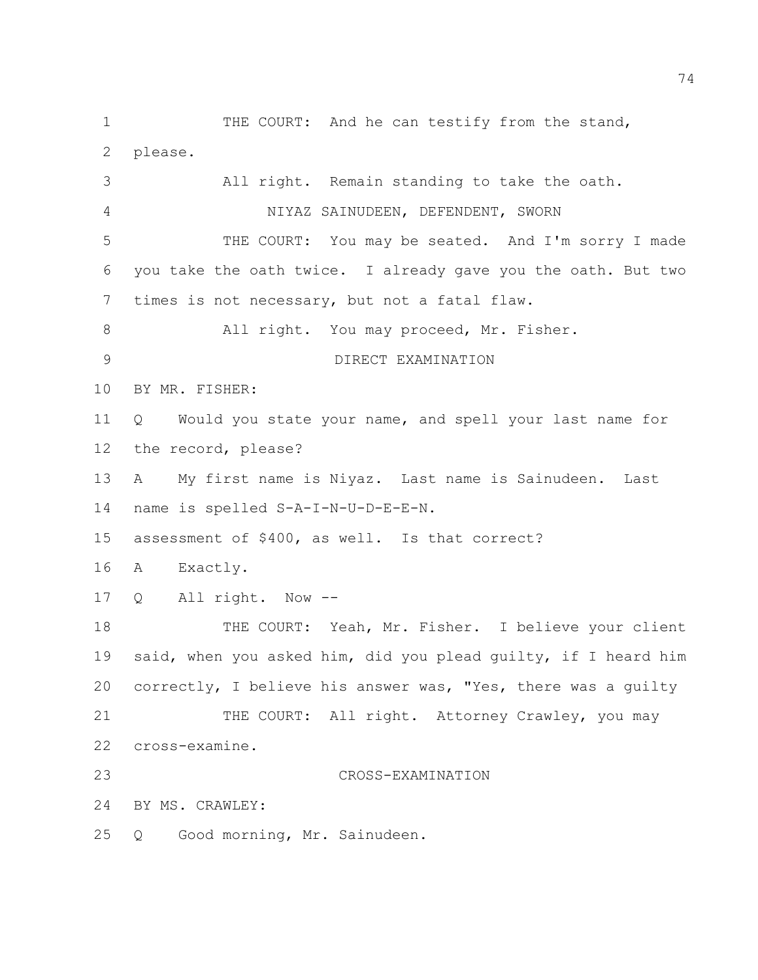1 THE COURT: And he can testify from the stand, please. All right. Remain standing to take the oath. 4 NIYAZ SAINUDEEN, DEFENDENT, SWORN THE COURT: You may be seated. And I'm sorry I made you take the oath twice. I already gave you the oath. But two times is not necessary, but not a fatal flaw. All right. You may proceed, Mr. Fisher. DIRECT EXAMINATION BY MR. FISHER: Q Would you state your name, and spell your last name for the record, please? A My first name is Niyaz. Last name is Sainudeen. Last name is spelled S-A-I-N-U-D-E-E-N. assessment of \$400, as well. Is that correct? A Exactly. Q All right. Now -- 18 THE COURT: Yeah, Mr. Fisher. I believe your client said, when you asked him, did you plead guilty, if I heard him correctly, I believe his answer was, "Yes, there was a guilty 21 THE COURT: All right. Attorney Crawley, you may cross-examine. CROSS-EXAMINATION BY MS. CRAWLEY: Q Good morning, Mr. Sainudeen.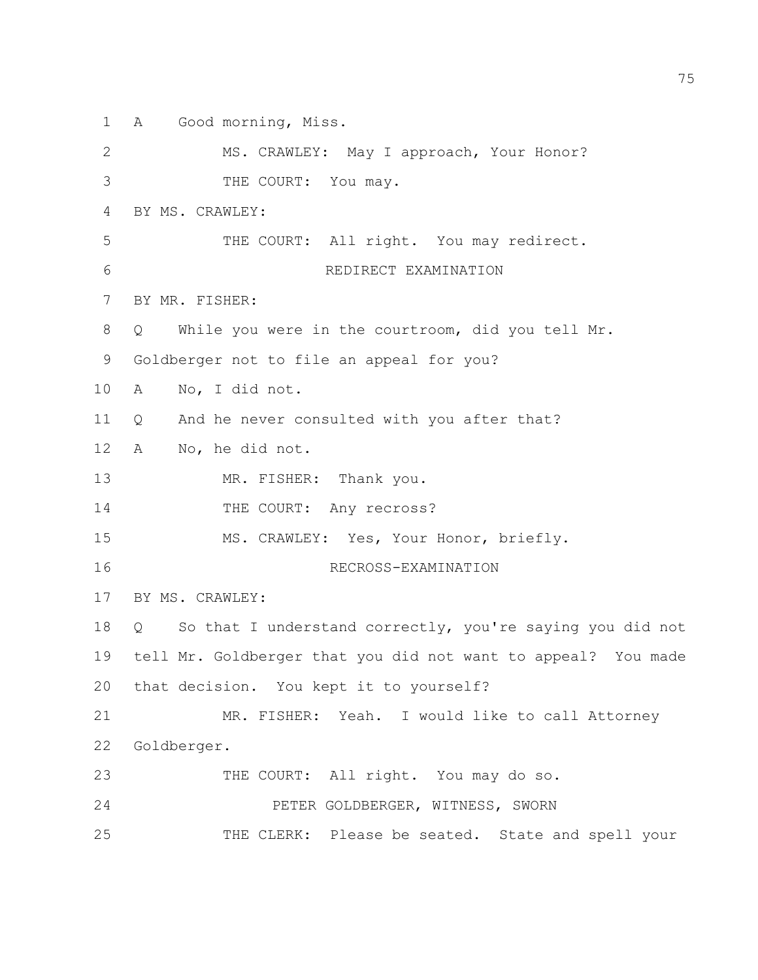A Good morning, Miss.

2 MS. CRAWLEY: May I approach, Your Honor? THE COURT: You may. BY MS. CRAWLEY: 5 THE COURT: All right. You may redirect. REDIRECT EXAMINATION BY MR. FISHER: Q While you were in the courtroom, did you tell Mr. Goldberger not to file an appeal for you? A No, I did not. Q And he never consulted with you after that? A No, he did not. 13 MR. FISHER: Thank you. 14 THE COURT: Any recross? MS. CRAWLEY: Yes, Your Honor, briefly. RECROSS-EXAMINATION BY MS. CRAWLEY: 18 Q So that I understand correctly, you're saying you did not tell Mr. Goldberger that you did not want to appeal? You made that decision. You kept it to yourself? MR. FISHER: Yeah. I would like to call Attorney Goldberger. 23 THE COURT: All right. You may do so. PETER GOLDBERGER, WITNESS, SWORN THE CLERK: Please be seated. State and spell your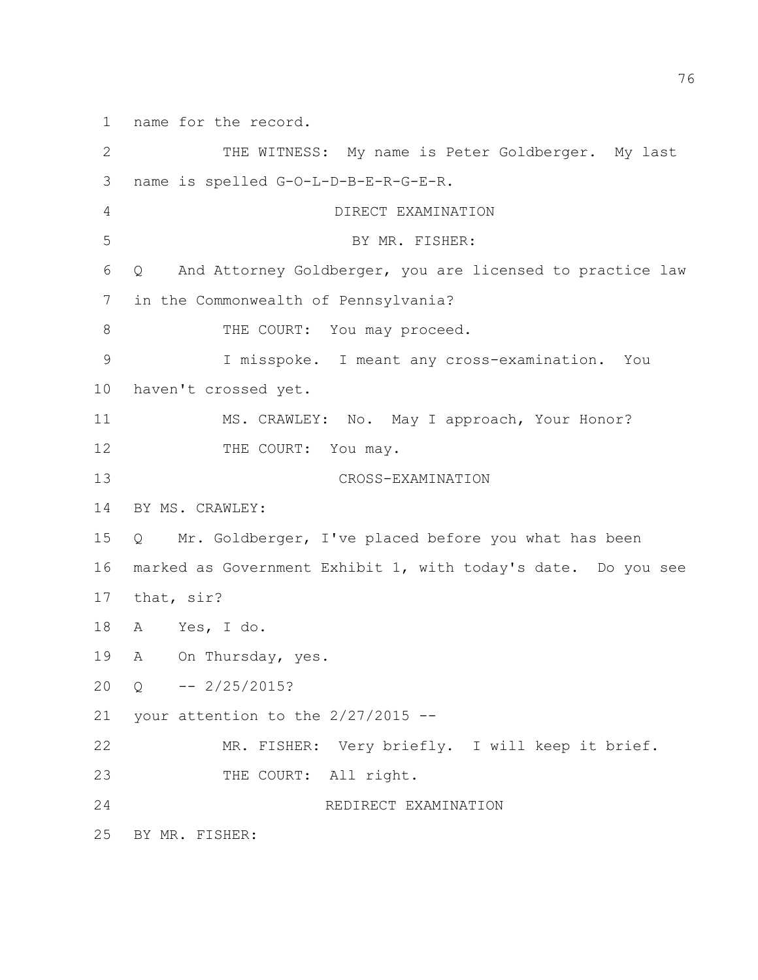name for the record.

2 THE WITNESS: My name is Peter Goldberger. My last name is spelled G-O-L-D-B-E-R-G-E-R. DIRECT EXAMINATION BY MR. FISHER: Q And Attorney Goldberger, you are licensed to practice law in the Commonwealth of Pennsylvania? 8 THE COURT: You may proceed. I misspoke. I meant any cross-examination. You haven't crossed yet. MS. CRAWLEY: No. May I approach, Your Honor? 12 THE COURT: You may. CROSS-EXAMINATION BY MS. CRAWLEY: Q Mr. Goldberger, I've placed before you what has been marked as Government Exhibit 1, with today's date. Do you see that, sir? A Yes, I do. A On Thursday, yes.  $20 \quad O \quad - - \quad 2/25/2015?$ 21 your attention to the  $2/27/2015$  -- MR. FISHER: Very briefly. I will keep it brief. 23 THE COURT: All right. REDIRECT EXAMINATION BY MR. FISHER: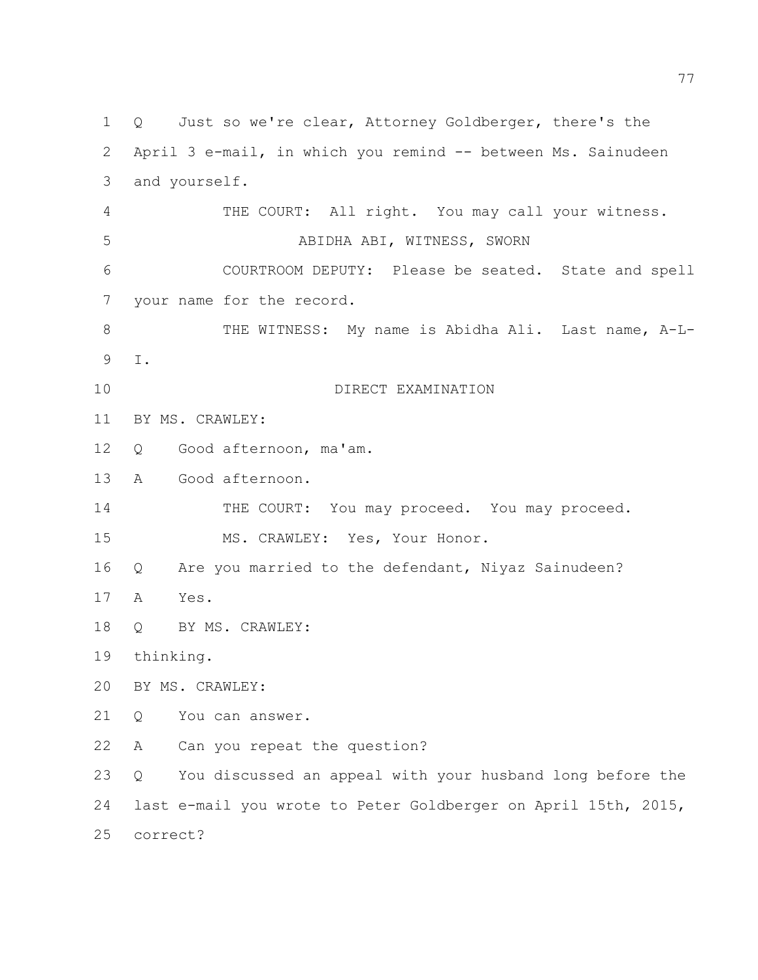Q Just so we're clear, Attorney Goldberger, there's the April 3 e-mail, in which you remind -- between Ms. Sainudeen and yourself. THE COURT: All right. You may call your witness. ABIDHA ABI, WITNESS, SWORN COURTROOM DEPUTY: Please be seated. State and spell your name for the record. 8 THE WITNESS: My name is Abidha Ali. Last name, A-L- I. DIRECT EXAMINATION BY MS. CRAWLEY: Q Good afternoon, ma'am. A Good afternoon. 14 THE COURT: You may proceed. You may proceed. MS. CRAWLEY: Yes, Your Honor. Q Are you married to the defendant, Niyaz Sainudeen? A Yes. 18 O BY MS. CRAWLEY: thinking. BY MS. CRAWLEY: Q You can answer. A Can you repeat the question? Q You discussed an appeal with your husband long before the last e-mail you wrote to Peter Goldberger on April 15th, 2015, correct?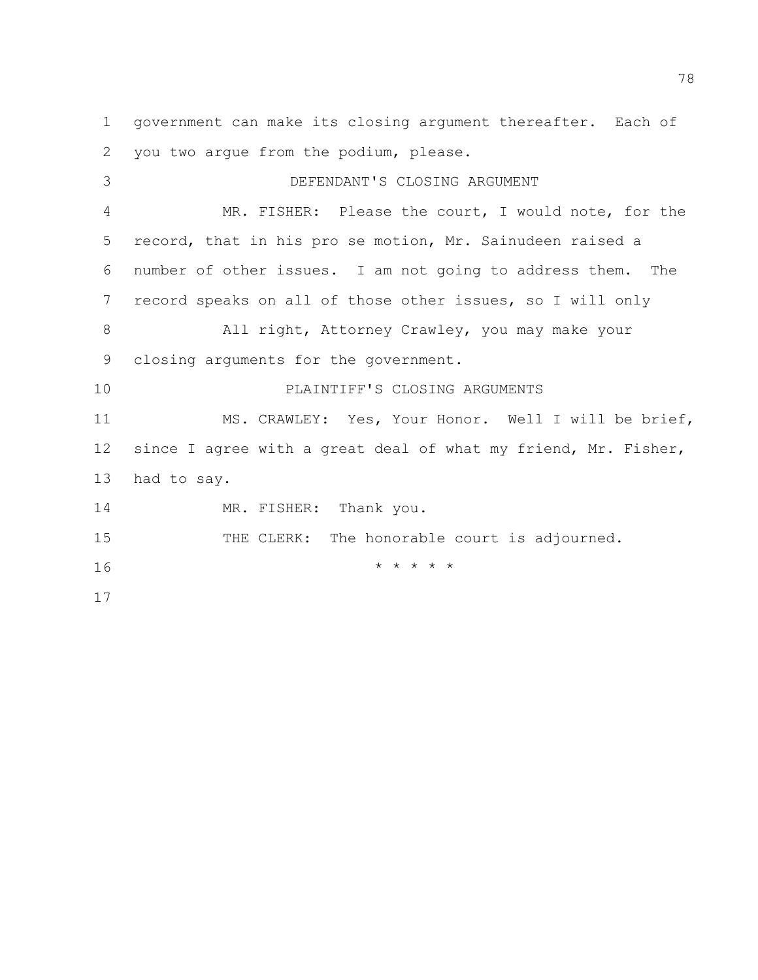government can make its closing argument thereafter. Each of you two argue from the podium, please. DEFENDANT'S CLOSING ARGUMENT MR. FISHER: Please the court, I would note, for the record, that in his pro se motion, Mr. Sainudeen raised a number of other issues. I am not going to address them. The record speaks on all of those other issues, so I will only 8 All right, Attorney Crawley, you may make your closing arguments for the government. PLAINTIFF'S CLOSING ARGUMENTS MS. CRAWLEY: Yes, Your Honor. Well I will be brief, since I agree with a great deal of what my friend, Mr. Fisher, had to say. 14 MR. FISHER: Thank you. 15 THE CLERK: The honorable court is adjourned. \* \* \* \* \* \*